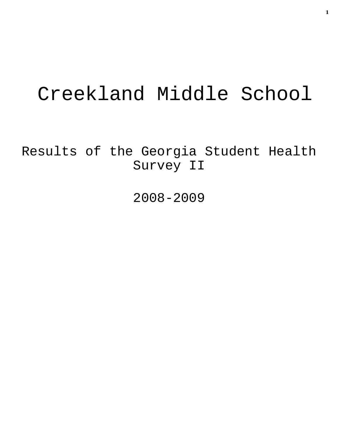# Creekland Middle School

Results of the Georgia Student Health Survey II

2008-2009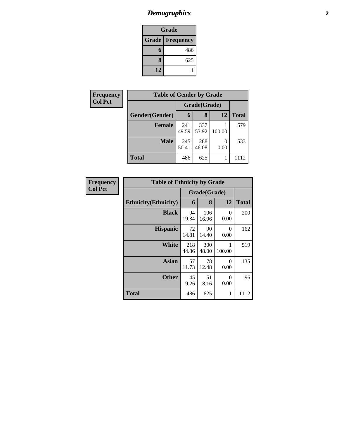# *Demographics* **2**

| Grade |                          |  |  |  |
|-------|--------------------------|--|--|--|
|       | <b>Grade   Frequency</b> |  |  |  |
| 6     | 486                      |  |  |  |
| 8     | 625                      |  |  |  |
| 12    |                          |  |  |  |

| Frequency      | <b>Table of Gender by Grade</b> |              |              |           |              |
|----------------|---------------------------------|--------------|--------------|-----------|--------------|
| <b>Col Pct</b> |                                 | Grade(Grade) |              |           |              |
|                | Gender(Gender)                  | 6            | 8            | 12        | <b>Total</b> |
|                | <b>Female</b>                   | 241<br>49.59 | 337<br>53.92 | 100.00    | 579          |
|                | <b>Male</b>                     | 245<br>50.41 | 288<br>46.08 | 0<br>0.00 | 533          |
|                | <b>Total</b>                    | 486          | 625          |           | 1112         |

| Frequency      | <b>Table of Ethnicity by Grade</b> |              |              |                  |              |
|----------------|------------------------------------|--------------|--------------|------------------|--------------|
| <b>Col Pct</b> |                                    |              | Grade(Grade) |                  |              |
|                | <b>Ethnicity</b> (Ethnicity)       | 6            | 8            | 12               | <b>Total</b> |
|                | <b>Black</b>                       | 94<br>19.34  | 106<br>16.96 | 0<br>0.00        | 200          |
|                | <b>Hispanic</b>                    | 72<br>14.81  | 90<br>14.40  | 0<br>0.00        | 162          |
|                | <b>White</b>                       | 218<br>44.86 | 300<br>48.00 | 100.00           | 519          |
|                | Asian                              | 57<br>11.73  | 78<br>12.48  | $\Omega$<br>0.00 | 135          |
|                | <b>Other</b>                       | 45<br>9.26   | 51<br>8.16   | 0<br>0.00        | 96           |
|                | <b>Total</b>                       | 486          | 625          | 1                | 1112         |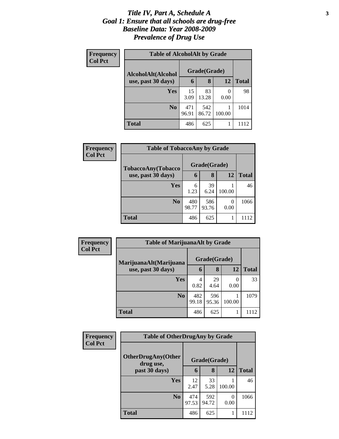#### *Title IV, Part A, Schedule A* **3** *Goal 1: Ensure that all schools are drug-free Baseline Data: Year 2008-2009 Prevalence of Drug Use*

| Frequency      | <b>Table of AlcoholAlt by Grade</b> |              |              |           |              |  |
|----------------|-------------------------------------|--------------|--------------|-----------|--------------|--|
| <b>Col Pct</b> | AlcoholAlt(Alcohol                  |              | Grade(Grade) |           |              |  |
|                | use, past 30 days)                  | 6            | 8            | 12        | <b>Total</b> |  |
|                | Yes                                 | 15<br>3.09   | 83<br>13.28  | 0<br>0.00 | 98           |  |
|                | N <sub>0</sub>                      | 471<br>96.91 | 542<br>86.72 | 100.00    | 1014         |  |
|                | <b>Total</b>                        | 486          | 625          |           | 1112         |  |

| Frequency<br><b>Col Pct</b> | <b>Table of TobaccoAny by Grade</b> |              |              |                  |              |
|-----------------------------|-------------------------------------|--------------|--------------|------------------|--------------|
|                             | TobaccoAny(Tobacco                  | Grade(Grade) |              |                  |              |
|                             | use, past 30 days)                  | 6            | 8            | 12               | <b>Total</b> |
|                             | <b>Yes</b>                          | 6<br>1.23    | 39<br>6.24   | 100.00           | 46           |
|                             | N <sub>0</sub>                      | 480<br>98.77 | 586<br>93.76 | $\Omega$<br>0.00 | 1066         |
|                             | <b>Total</b>                        | 486          | 625          |                  | 1112         |

| <b>Frequency</b><br><b>Col Pct</b> | <b>Table of MarijuanaAlt by Grade</b> |              |              |        |              |
|------------------------------------|---------------------------------------|--------------|--------------|--------|--------------|
|                                    | MarijuanaAlt(Marijuana                | Grade(Grade) |              |        |              |
|                                    | use, past 30 days)                    | 6            | 8            | 12     | <b>Total</b> |
|                                    | Yes                                   | 4<br>0.82    | 29<br>4.64   | 0.00   | 33           |
|                                    | N <sub>o</sub>                        | 482<br>99.18 | 596<br>95.36 | 100.00 | 1079         |
|                                    | <b>Total</b>                          | 486          | 625          |        | 1112         |

| Frequency<br><b>Col Pct</b> | <b>Table of OtherDrugAny by Grade</b>  |              |              |           |              |
|-----------------------------|----------------------------------------|--------------|--------------|-----------|--------------|
|                             | <b>OtherDrugAny(Other</b><br>drug use, |              | Grade(Grade) |           |              |
|                             | past 30 days)                          | 6            | 8            | 12        | <b>Total</b> |
|                             | Yes                                    | 12<br>2.47   | 33<br>5.28   | 100.00    | 46           |
|                             | N <sub>o</sub>                         | 474<br>97.53 | 592<br>94.72 | 0<br>0.00 | 1066         |
|                             | <b>Total</b>                           | 486          | 625          |           | 1112         |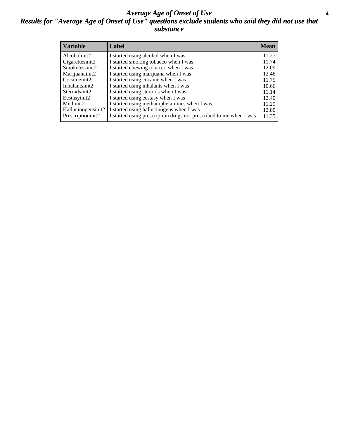#### *Average Age of Onset of Use* **4** *Results for "Average Age of Onset of Use" questions exclude students who said they did not use that substance*

| <b>Variable</b>    | Label                                                              | <b>Mean</b> |
|--------------------|--------------------------------------------------------------------|-------------|
| Alcoholinit2       | I started using alcohol when I was                                 | 11.27       |
| Cigarettesinit2    | I started smoking tobacco when I was                               | 11.74       |
| Smokelessinit2     | I started chewing tobacco when I was                               | 12.09       |
| Marijuanainit2     | I started using marijuana when I was                               | 12.46       |
| Cocaineinit2       | I started using cocaine when I was                                 | 11.75       |
| Inhalantsinit2     | I started using inhalants when I was                               | 10.66       |
| Steroidsinit2      | I started using steroids when I was                                | 11.14       |
| Ecstasyinit2       | I started using ecstasy when I was                                 | 12.40       |
| Methinit2          | I started using methamphetamines when I was                        | 11.29       |
| Hallucinogensinit2 | I started using hallucinogens when I was                           | 12.00       |
| Prescriptioninit2  | I started using prescription drugs not prescribed to me when I was | 11.35       |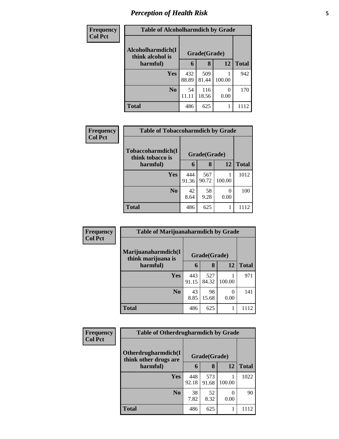# *Perception of Health Risk* **5**

| <b>Frequency</b> | <b>Table of Alcoholharmdich by Grade</b> |              |              |                |              |
|------------------|------------------------------------------|--------------|--------------|----------------|--------------|
| <b>Col Pct</b>   | Alcoholharmdich(I<br>think alcohol is    | Grade(Grade) |              |                |              |
|                  | harmful)                                 | 6            | 8            | 12             | <b>Total</b> |
|                  | <b>Yes</b>                               | 432<br>88.89 | 509<br>81.44 | 100.00         | 942          |
|                  | N <sub>0</sub>                           | 54<br>11.11  | 116<br>18.56 | $_{0}$<br>0.00 | 170          |
|                  | <b>Total</b>                             | 486          | 625          |                | 1112         |

| <b>Frequency</b> | <b>Table of Tobaccoharmdich by Grade</b> |              |              |                  |              |
|------------------|------------------------------------------|--------------|--------------|------------------|--------------|
| <b>Col Pct</b>   | Tobaccoharmdich(I<br>think tobacco is    |              | Grade(Grade) |                  |              |
|                  | harmful)                                 | 6            | 8            | 12               | <b>Total</b> |
|                  | Yes                                      | 444<br>91.36 | 567<br>90.72 | 100.00           | 1012         |
|                  | N <sub>0</sub>                           | 42<br>8.64   | 58<br>9.28   | $\Omega$<br>0.00 | 100          |
|                  | <b>Total</b>                             | 486          | 625          | 1                | 1112         |

| Frequency      | <b>Table of Marijuanaharmdich by Grade</b> |              |              |                  |              |
|----------------|--------------------------------------------|--------------|--------------|------------------|--------------|
| <b>Col Pct</b> | Marijuanaharmdich(I<br>think marijuana is  |              | Grade(Grade) |                  |              |
|                | harmful)                                   | 6            | 8            | 12               | <b>Total</b> |
|                | <b>Yes</b>                                 | 443<br>91.15 | 527<br>84.32 | 100.00           | 971          |
|                | N <sub>0</sub>                             | 43<br>8.85   | 98<br>15.68  | $\theta$<br>0.00 | 141          |
|                | <b>Total</b>                               | 486          | 625          |                  | 1112         |

| Frequency      | <b>Table of Otherdrugharmdich by Grade</b>   |              |              |        |              |
|----------------|----------------------------------------------|--------------|--------------|--------|--------------|
| <b>Col Pct</b> | Otherdrugharmdich(I<br>think other drugs are | Grade(Grade) |              |        |              |
|                | harmful)                                     | 6            | 8            | 12     | <b>Total</b> |
|                | <b>Yes</b>                                   | 448<br>92.18 | 573<br>91.68 | 100.00 | 1022         |
|                | N <sub>0</sub>                               | 38<br>7.82   | 52<br>8.32   | 0.00   | 90           |
|                | <b>Total</b>                                 | 486          | 625          | 1      | 1112         |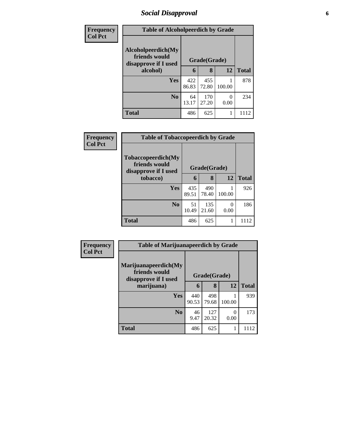## *Social Disapproval* **6**

| Frequency      |                                                             | <b>Table of Alcoholpeerdich by Grade</b> |              |                  |              |  |  |  |
|----------------|-------------------------------------------------------------|------------------------------------------|--------------|------------------|--------------|--|--|--|
| <b>Col Pct</b> | Alcoholpeerdich(My<br>friends would<br>disapprove if I used | Grade(Grade)                             |              |                  |              |  |  |  |
|                | alcohol)                                                    | 6                                        | 8            | 12               | <b>Total</b> |  |  |  |
|                | <b>Yes</b>                                                  | 422<br>86.83                             | 455<br>72.80 | 100.00           | 878          |  |  |  |
|                | N <sub>0</sub>                                              | 64<br>13.17                              | 170<br>27.20 | $\theta$<br>0.00 | 234          |  |  |  |
|                | <b>Total</b>                                                | 486                                      | 625          |                  | 1112         |  |  |  |

| <b>Frequency</b> | <b>Table of Tobaccopeerdich by Grade</b>                    |              |              |           |              |  |  |
|------------------|-------------------------------------------------------------|--------------|--------------|-----------|--------------|--|--|
| <b>Col Pct</b>   | Tobaccopeerdich(My<br>friends would<br>disapprove if I used | Grade(Grade) |              |           |              |  |  |
|                  | tobacco)                                                    | 6            | 8            | 12        | <b>Total</b> |  |  |
|                  | <b>Yes</b>                                                  | 435<br>89.51 | 490<br>78.40 | 100.00    | 926          |  |  |
|                  | No                                                          | 51<br>10.49  | 135<br>21.60 | ∩<br>0.00 | 186          |  |  |
|                  | <b>Total</b>                                                | 486          | 625          |           | 1112         |  |  |

| Frequency      | <b>Table of Marijuanapeerdich by Grade</b>                    |              |              |        |              |  |
|----------------|---------------------------------------------------------------|--------------|--------------|--------|--------------|--|
| <b>Col Pct</b> | Marijuanapeerdich(My<br>friends would<br>disapprove if I used |              | Grade(Grade) |        |              |  |
|                | marijuana)                                                    | 6            | 8            | 12     | <b>Total</b> |  |
|                | <b>Yes</b>                                                    | 440<br>90.53 | 498<br>79.68 | 100.00 | 939          |  |
|                | N <sub>0</sub>                                                | 46           | 127          | 0      | 173          |  |
|                |                                                               | 9.47         | 20.32        | 0.00   |              |  |
|                | <b>Total</b>                                                  | 486          | 625          |        | 1112         |  |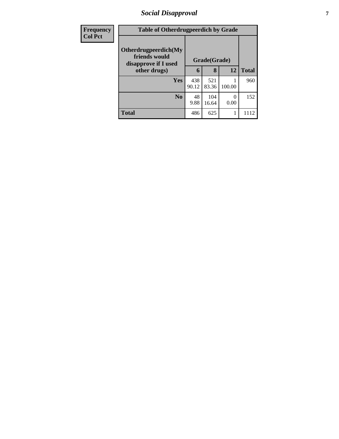## *Social Disapproval* **7**

| <b>Frequency</b> | <b>Table of Otherdrugpeerdich by Grade</b>                    |              |              |                  |              |
|------------------|---------------------------------------------------------------|--------------|--------------|------------------|--------------|
| <b>Col Pct</b>   | Otherdrugpeerdich(My<br>friends would<br>disapprove if I used | Grade(Grade) |              |                  |              |
|                  | other drugs)                                                  | 6            | 8            | 12               | <b>Total</b> |
|                  | <b>Yes</b>                                                    | 438<br>90.12 | 521<br>83.36 | 100.00           | 960          |
|                  | $\bf N_0$                                                     | 48<br>9.88   | 104<br>16.64 | $\Omega$<br>0.00 | 152          |
|                  | <b>Total</b>                                                  | 486          | 625          |                  | 1112         |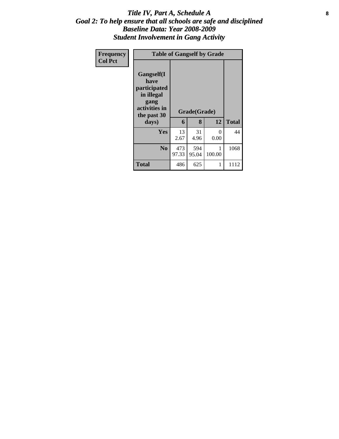#### Title IV, Part A, Schedule A **8** *Goal 2: To help ensure that all schools are safe and disciplined Baseline Data: Year 2008-2009 Student Involvement in Gang Activity*

| Frequency<br><b>Col Pct</b> | <b>Table of Gangself by Grade</b>                                                                         |              |                   |           |              |
|-----------------------------|-----------------------------------------------------------------------------------------------------------|--------------|-------------------|-----------|--------------|
|                             | <b>Gangself</b> (I<br>have<br>participated<br>in illegal<br>gang<br>activities in<br>the past 30<br>days) | 6            | Grade(Grade)<br>8 | 12        | <b>Total</b> |
|                             | <b>Yes</b>                                                                                                | 13<br>2.67   | 31<br>4.96        | 0<br>0.00 | 44           |
|                             | N <sub>0</sub>                                                                                            | 473<br>97.33 | 594<br>95.04      | 100.00    | 1068         |
|                             | <b>Total</b>                                                                                              | 486          | 625               | 1         | 1112         |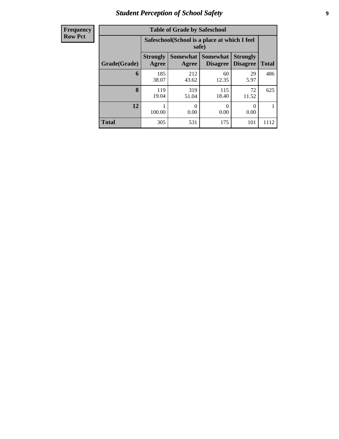# *Student Perception of School Safety* **9**

| <b>Frequency</b> |
|------------------|
| <b>Row Pct</b>   |

| <b>Table of Grade by Safeschool</b> |                          |                                                        |                                    |                                    |              |  |  |  |  |
|-------------------------------------|--------------------------|--------------------------------------------------------|------------------------------------|------------------------------------|--------------|--|--|--|--|
|                                     |                          | Safeschool (School is a place at which I feel<br>safe) |                                    |                                    |              |  |  |  |  |
| Grade(Grade)                        | <b>Strongly</b><br>Agree | Somewhat<br>Agree                                      | <b>Somewhat</b><br><b>Disagree</b> | <b>Strongly</b><br><b>Disagree</b> | <b>Total</b> |  |  |  |  |
| 6                                   | 185<br>38.07             | 212<br>43.62                                           | 60<br>12.35                        | 29<br>5.97                         | 486          |  |  |  |  |
| 8                                   | 119<br>19.04             | 319<br>51.04                                           | 115<br>18.40                       | 72<br>11.52                        | 625          |  |  |  |  |
| 12                                  | 100.00                   | 0<br>0.00                                              | 0<br>0.00                          | 0<br>0.00                          |              |  |  |  |  |
| <b>Total</b>                        | 305                      | 531                                                    | 175                                | 101                                | 1112         |  |  |  |  |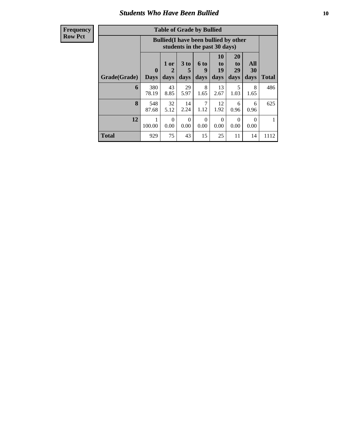#### *Students Who Have Been Bullied* **10**

| <b>Table of Grade by Bullied</b> |                  |                                                                               |                   |                   |                        |                        |                          |              |  |
|----------------------------------|------------------|-------------------------------------------------------------------------------|-------------------|-------------------|------------------------|------------------------|--------------------------|--------------|--|
|                                  |                  | <b>Bullied</b> (I have been bullied by other<br>students in the past 30 days) |                   |                   |                        |                        |                          |              |  |
| Grade(Grade)                     | 0<br><b>Days</b> | 1 or<br>2<br>days                                                             | 3 to<br>5<br>days | 6 to<br>9<br>days | 10<br>to<br>19<br>days | 20<br>to<br>29<br>days | All<br><b>30</b><br>days | <b>Total</b> |  |
| 6                                | 380<br>78.19     | 43<br>8.85                                                                    | 29<br>5.97        | 8<br>1.65         | 13<br>2.67             | 5<br>1.03              | 8<br>1.65                | 486          |  |
| 8                                | 548<br>87.68     | 32<br>5.12                                                                    | 14<br>2.24        | 7<br>1.12         | 12<br>1.92             | 6<br>0.96              | 6<br>0.96                | 625          |  |
| 12                               | 1<br>100.00      | $\Omega$<br>0.00                                                              | $\Omega$<br>0.00  | $\Omega$<br>0.00  | $\Omega$<br>0.00       | $\Omega$<br>0.00       | $\Omega$<br>0.00         |              |  |
| <b>Total</b>                     | 929              | 75                                                                            | 43                | 15                | 25                     | 11                     | 14                       | 1112         |  |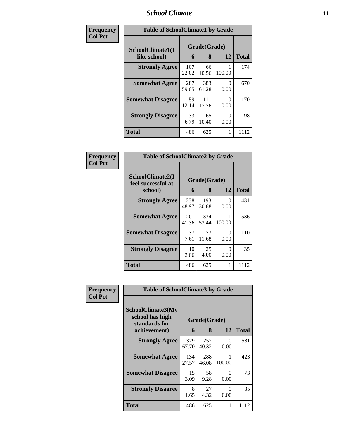#### *School Climate* **11**

| Frequency      | <b>Table of SchoolClimate1 by Grade</b> |                   |              |              |      |  |  |
|----------------|-----------------------------------------|-------------------|--------------|--------------|------|--|--|
| <b>Col Pct</b> | SchoolClimate1(I<br>like school)        | Grade(Grade)<br>6 | <b>Total</b> |              |      |  |  |
|                | <b>Strongly Agree</b>                   | 107<br>22.02      | 66<br>10.56  | 12<br>100.00 | 174  |  |  |
|                | <b>Somewhat Agree</b>                   | 287<br>59.05      | 383<br>61.28 | 0<br>0.00    | 670  |  |  |
|                | <b>Somewhat Disagree</b>                | 59<br>12.14       | 111<br>17.76 | 0<br>0.00    | 170  |  |  |
|                | <b>Strongly Disagree</b>                | 33<br>6.79        | 65<br>10.40  | 0<br>0.00    | 98   |  |  |
|                | <b>Total</b>                            | 486               | 625          |              | 1112 |  |  |

| Frequency      | <b>Table of SchoolClimate2 by Grade</b>           |              |                   |           |              |
|----------------|---------------------------------------------------|--------------|-------------------|-----------|--------------|
| <b>Col Pct</b> | SchoolClimate2(I<br>feel successful at<br>school) | 6            | Grade(Grade)<br>8 | 12        | <b>Total</b> |
|                | <b>Strongly Agree</b>                             | 238<br>48.97 | 193<br>30.88      | 0<br>0.00 | 431          |
|                | <b>Somewhat Agree</b>                             | 201<br>41.36 | 334<br>53.44      | 100.00    | 536          |
|                | <b>Somewhat Disagree</b>                          | 37<br>7.61   | 73<br>11.68       | 0<br>0.00 | 110          |
|                | <b>Strongly Disagree</b>                          | 10<br>2.06   | 25<br>4.00        | 0<br>0.00 | 35           |
|                | <b>Total</b>                                      | 486          | 625               | 1         | 1112         |

| Frequency |                                                                       | <b>Table of SchoolClimate3 by Grade</b> |                   |                  |              |  |  |
|-----------|-----------------------------------------------------------------------|-----------------------------------------|-------------------|------------------|--------------|--|--|
| Col Pct   | SchoolClimate3(My<br>school has high<br>standards for<br>achievement) | 6                                       | Grade(Grade)<br>8 | 12               | <b>Total</b> |  |  |
|           | <b>Strongly Agree</b>                                                 | 329<br>67.70                            | 252<br>40.32      | 0<br>0.00        | 581          |  |  |
|           | <b>Somewhat Agree</b>                                                 | 134<br>27.57                            | 288<br>46.08      | 100.00           | 423          |  |  |
|           | <b>Somewhat Disagree</b>                                              | 15<br>3.09                              | 58<br>9.28        | 0<br>0.00        | 73           |  |  |
|           | <b>Strongly Disagree</b>                                              | 8<br>1.65                               | 27<br>4.32        | $\Omega$<br>0.00 | 35           |  |  |
|           | Total                                                                 | 486                                     | 625               | 1                | 1112         |  |  |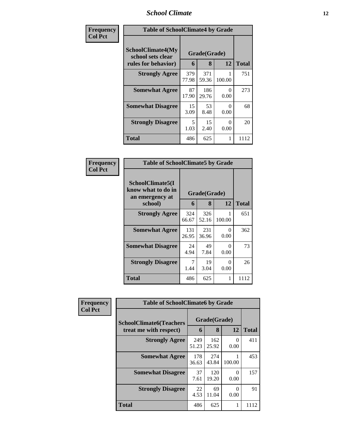# *School Climate* **12**

| Frequency      | <b>Table of SchoolClimate4 by Grade</b>                       |              |                   |           |              |  |
|----------------|---------------------------------------------------------------|--------------|-------------------|-----------|--------------|--|
| <b>Col Pct</b> | SchoolClimate4(My<br>school sets clear<br>rules for behavior) | 6            | Grade(Grade)<br>8 | 12        | <b>Total</b> |  |
|                | <b>Strongly Agree</b>                                         | 379<br>77.98 | 371<br>59.36      | 100.00    | 751          |  |
|                | <b>Somewhat Agree</b>                                         | 87<br>17.90  | 186<br>29.76      | 0<br>0.00 | 273          |  |
|                | <b>Somewhat Disagree</b>                                      | 15<br>3.09   | 53<br>8.48        | 0<br>0.00 | 68           |  |
|                | <b>Strongly Disagree</b>                                      | 5<br>1.03    | 15<br>2.40        | 0<br>0.00 | 20           |  |
|                | <b>Total</b>                                                  | 486          | 625               | 1         | 1112         |  |

| <b>Frequency</b><br>Col Pct |
|-----------------------------|

| <b>Table of SchoolClimate5 by Grade</b>                   |                              |              |             |       |  |  |  |
|-----------------------------------------------------------|------------------------------|--------------|-------------|-------|--|--|--|
| SchoolClimate5(I<br>know what to do in<br>an emergency at | Grade(Grade)<br>8<br>12<br>6 |              |             |       |  |  |  |
| school)                                                   |                              |              |             | Total |  |  |  |
| <b>Strongly Agree</b>                                     | 324<br>66.67                 | 326<br>52.16 | 1<br>100.00 | 651   |  |  |  |
| <b>Somewhat Agree</b>                                     | 131<br>26.95                 | 231<br>36.96 | 0<br>0.00   | 362   |  |  |  |
| <b>Somewhat Disagree</b>                                  | 24<br>4.94                   | 49<br>7.84   | 0<br>0.00   | 73    |  |  |  |
| <b>Strongly Disagree</b>                                  | 7<br>1.44                    | 19<br>3.04   | 0<br>0.00   | 26    |  |  |  |
| Total                                                     | 486                          | 625          | 1           | 1112  |  |  |  |

| Frequency      | <b>Table of SchoolClimate6 by Grade</b> |              |              |           |              |
|----------------|-----------------------------------------|--------------|--------------|-----------|--------------|
| <b>Col Pct</b> | <b>SchoolClimate6(Teachers</b>          | Grade(Grade) |              |           |              |
|                | treat me with respect)                  | 6            | 8            | 12        | <b>Total</b> |
|                | <b>Strongly Agree</b>                   | 249<br>51.23 | 162<br>25.92 | 0<br>0.00 | 411          |
|                | <b>Somewhat Agree</b>                   | 178<br>36.63 | 274<br>43.84 | 100.00    | 453          |
|                | <b>Somewhat Disagree</b>                | 37<br>7.61   | 120<br>19.20 | 0<br>0.00 | 157          |
|                | <b>Strongly Disagree</b>                | 22<br>4.53   | 69<br>11.04  | ∩<br>0.00 | 91           |
|                | <b>Total</b>                            | 486          | 625          |           | 1112         |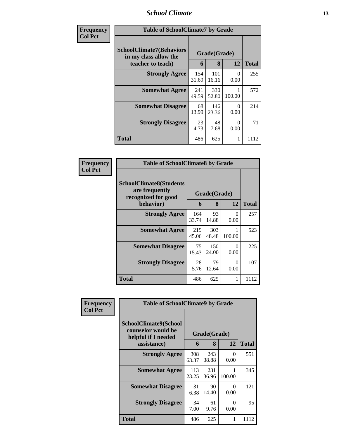#### *School Climate* **13**

| Frequency<br><b>Col Pct</b> | <b>Table of SchoolClimate7 by Grade</b>                                       |              |                   |           |              |
|-----------------------------|-------------------------------------------------------------------------------|--------------|-------------------|-----------|--------------|
|                             | <b>SchoolClimate7(Behaviors</b><br>in my class allow the<br>teacher to teach) | 6            | Grade(Grade)<br>8 | 12        | <b>Total</b> |
|                             | <b>Strongly Agree</b>                                                         | 154<br>31.69 | 101<br>16.16      | 0<br>0.00 | 255          |
|                             | <b>Somewhat Agree</b>                                                         | 241<br>49.59 | 330<br>52.80      | 100.00    | 572          |
|                             | <b>Somewhat Disagree</b>                                                      | 68<br>13.99  | 146<br>23.36      | 0<br>0.00 | 214          |
|                             | <b>Strongly Disagree</b>                                                      | 23<br>4.73   | 48<br>7.68        | 0<br>0.00 | 71           |
|                             | <b>Total</b>                                                                  | 486          | 625               |           | 1112         |

| Frequency      | <b>Table of SchoolClimate8 by Grade</b>                                              |              |                   |           |              |
|----------------|--------------------------------------------------------------------------------------|--------------|-------------------|-----------|--------------|
| <b>Col Pct</b> | <b>SchoolClimate8(Students</b><br>are frequently<br>recognized for good<br>behavior) | 6            | Grade(Grade)<br>8 | 12        | <b>Total</b> |
|                |                                                                                      |              |                   |           |              |
|                | <b>Strongly Agree</b>                                                                | 164<br>33.74 | 93<br>14.88       | 0<br>0.00 | 257          |
|                | <b>Somewhat Agree</b>                                                                | 219<br>45.06 | 303<br>48.48      | 100.00    | 523          |
|                | <b>Somewhat Disagree</b>                                                             | 75<br>15.43  | 150<br>24.00      | 0<br>0.00 | 225          |
|                | <b>Strongly Disagree</b>                                                             | 28<br>5.76   | 79<br>12.64       | 0<br>0.00 | 107          |
|                | Total                                                                                | 486          | 625               |           | 1112         |

| Frequency      | <b>Table of SchoolClimate9 by Grade</b>                                           |              |                   |                  |              |
|----------------|-----------------------------------------------------------------------------------|--------------|-------------------|------------------|--------------|
| <b>Col Pct</b> | SchoolClimate9(School<br>counselor would be<br>helpful if I needed<br>assistance) | 6            | Grade(Grade)<br>8 | 12               | <b>Total</b> |
|                | <b>Strongly Agree</b>                                                             | 308<br>63.37 | 243<br>38.88      | $\Omega$<br>0.00 | 551          |
|                | <b>Somewhat Agree</b>                                                             | 113<br>23.25 | 231<br>36.96      | 100.00           | 345          |
|                | <b>Somewhat Disagree</b>                                                          | 31<br>6.38   | 90<br>14.40       | 0<br>0.00        | 121          |
|                | <b>Strongly Disagree</b>                                                          | 34<br>7.00   | 61<br>9.76        | $\Omega$<br>0.00 | 95           |
|                | Total                                                                             | 486          | 625               |                  | 1112         |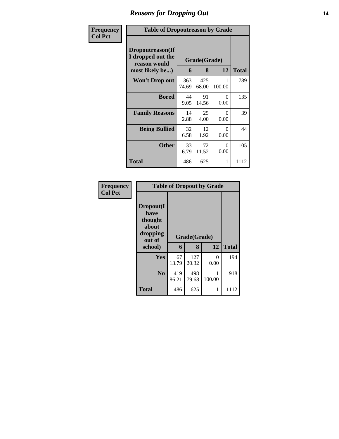## *Reasons for Dropping Out* **14**

| Frequency      | <b>Table of Dropoutreason by Grade</b>                                   |              |                   |                  |              |
|----------------|--------------------------------------------------------------------------|--------------|-------------------|------------------|--------------|
| <b>Col Pct</b> | Dropoutreason(If<br>I dropped out the<br>reason would<br>most likely be) | 6            | Grade(Grade)<br>8 | 12               | <b>Total</b> |
|                | <b>Won't Drop out</b>                                                    | 363<br>74.69 | 425<br>68.00      | 100.00           | 789          |
|                | <b>Bored</b>                                                             | 44<br>9.05   | 91<br>14.56       | $\Omega$<br>0.00 | 135          |
|                | <b>Family Reasons</b>                                                    | 14<br>2.88   | 25<br>4.00        | $\Omega$<br>0.00 | 39           |
|                | <b>Being Bullied</b>                                                     | 32<br>6.58   | 12<br>1.92        | 0<br>0.00        | 44           |
|                | <b>Other</b>                                                             | 33<br>6.79   | 72<br>11.52       | 0<br>0.00        | 105          |
|                | Total                                                                    | 486          | 625               | 1                | 1112         |

| Frequency      | <b>Table of Dropout by Grade</b>                                       |                   |              |           |      |  |  |
|----------------|------------------------------------------------------------------------|-------------------|--------------|-----------|------|--|--|
| <b>Col Pct</b> | Dropout(I<br>have<br>thought<br>about<br>dropping<br>out of<br>school) | Grade(Grade)<br>6 | <b>Total</b> |           |      |  |  |
|                | Yes                                                                    | 67<br>13.79       | 127<br>20.32 | 0<br>0.00 | 194  |  |  |
|                | N <sub>0</sub>                                                         | 419<br>86.21      | 498<br>79.68 | 100.00    | 918  |  |  |
|                | <b>Total</b>                                                           | 486               | 625          | 1         | 1112 |  |  |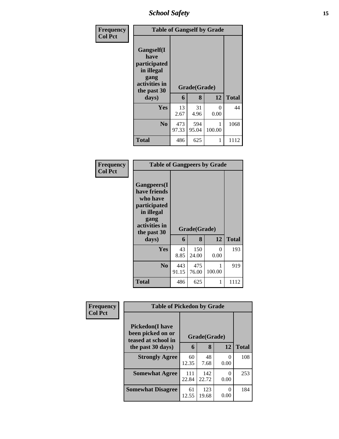*School Safety* **15**

| Frequency<br><b>Col Pct</b> | <b>Table of Gangself by Grade</b>                                                                |              |              |           |              |
|-----------------------------|--------------------------------------------------------------------------------------------------|--------------|--------------|-----------|--------------|
|                             | <b>Gangself</b> (I<br>have<br>participated<br>in illegal<br>gang<br>activities in<br>the past 30 |              | Grade(Grade) |           |              |
|                             | days)                                                                                            | 6            | 8            | 12        | <b>Total</b> |
|                             | Yes                                                                                              | 13<br>2.67   | 31<br>4.96   | 0<br>0.00 | 44           |
|                             | N <sub>0</sub>                                                                                   | 473<br>97.33 | 594<br>95.04 | 100.00    | 1068         |
|                             | <b>Total</b>                                                                                     | 486          | 625          |           | 1112         |

#### **Frequency Col Pct**

| <b>Table of Gangpeers by Grade</b>                                                                                             |              |                   |             |              |  |  |  |
|--------------------------------------------------------------------------------------------------------------------------------|--------------|-------------------|-------------|--------------|--|--|--|
| <b>Gangpeers</b> (I<br>have friends<br>who have<br>participated<br>in illegal<br>gang<br>activities in<br>the past 30<br>days) | 6            | Grade(Grade)<br>8 | 12          | <b>Total</b> |  |  |  |
|                                                                                                                                |              |                   |             |              |  |  |  |
|                                                                                                                                |              |                   |             |              |  |  |  |
| Yes                                                                                                                            | 43<br>8.85   | 150<br>24.00      | 0<br>0.00   | 193          |  |  |  |
| N <sub>0</sub>                                                                                                                 | 443<br>91.15 | 475<br>76.00      | 1<br>100.00 | 919          |  |  |  |

| Frequency      |                                              | <b>Table of Pickedon by Grade</b> |              |           |              |  |
|----------------|----------------------------------------------|-----------------------------------|--------------|-----------|--------------|--|
| <b>Col Pct</b> | <b>Pickedon</b> (I have<br>been picked on or |                                   | Grade(Grade) |           |              |  |
|                | teased at school in<br>the past 30 days)     | 6                                 | 8            | 12        | <b>Total</b> |  |
|                | <b>Strongly Agree</b>                        | 60<br>12.35                       | 48<br>7.68   | 0<br>0.00 | 108          |  |
|                | <b>Somewhat Agree</b>                        | 111<br>22.84                      | 142<br>22.72 | 0<br>0.00 | 253          |  |
|                | <b>Somewhat Disagree</b>                     | 61<br>12.55                       | 123<br>19.68 | 0<br>0.00 | 184          |  |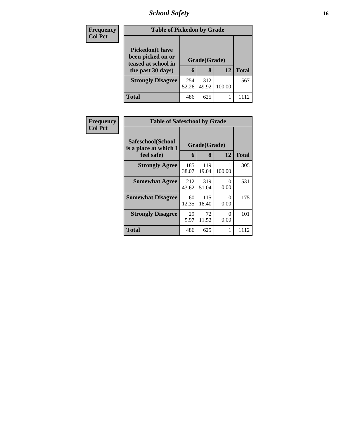# *School Safety* **16**

| Frequency<br><b>Col Pct</b> | <b>Table of Pickedon by Grade</b>                                                        |              |                   |        |              |
|-----------------------------|------------------------------------------------------------------------------------------|--------------|-------------------|--------|--------------|
|                             | <b>Pickedon</b> (I have<br>been picked on or<br>teased at school in<br>the past 30 days) | 6            | Grade(Grade)<br>8 | 12     | <b>Total</b> |
|                             | <b>Strongly Disagree</b>                                                                 | 254<br>52.26 | 312<br>49.92      | 100.00 | 567          |
|                             | <b>Total</b>                                                                             | 486          | 625               |        |              |

| <b>Frequency</b> | <b>Table of Safeschool by Grade</b>                      |              |                   |           |              |
|------------------|----------------------------------------------------------|--------------|-------------------|-----------|--------------|
| <b>Col Pct</b>   | Safeschool(School<br>is a place at which I<br>feel safe) | 6            | Grade(Grade)<br>8 | 12        | <b>Total</b> |
|                  | <b>Strongly Agree</b>                                    | 185<br>38.07 | 119<br>19.04      | 100.00    | 305          |
|                  | <b>Somewhat Agree</b>                                    | 212<br>43.62 | 319<br>51.04      | 0<br>0.00 | 531          |
|                  | <b>Somewhat Disagree</b>                                 | 60<br>12.35  | 115<br>18.40      | 0<br>0.00 | 175          |
|                  | <b>Strongly Disagree</b>                                 | 29<br>5.97   | 72<br>11.52       | 0<br>0.00 | 101          |
|                  | Total                                                    | 486          | 625               | 1         | 1112         |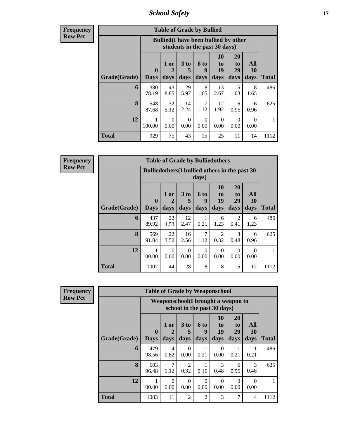*School Safety* **17**

**Frequency Row Pct**

| <b>Table of Grade by Bullied</b> |              |                                                                                                                                                                                                                                                                    |            |           |            |           |           |      |  |  |  |  |
|----------------------------------|--------------|--------------------------------------------------------------------------------------------------------------------------------------------------------------------------------------------------------------------------------------------------------------------|------------|-----------|------------|-----------|-----------|------|--|--|--|--|
|                                  |              | <b>Bullied</b> (I have been bullied by other<br>students in the past 30 days)<br><b>10</b><br><b>20</b><br>All<br>3 to<br>1 or<br>6 to<br>to<br>to<br>19<br>29<br>30<br>9<br>$\mathbf{0}$<br>2<br>5<br>days<br>days<br>days<br><b>Days</b><br>days<br>days<br>days |            |           |            |           |           |      |  |  |  |  |
| Grade(Grade)                     |              |                                                                                                                                                                                                                                                                    |            |           |            |           |           |      |  |  |  |  |
| 6                                | 380<br>78.19 | 43<br>8.85                                                                                                                                                                                                                                                         | 29<br>5.97 | 8<br>1.65 | 13<br>2.67 | 5<br>1.03 | 8<br>1.65 | 486  |  |  |  |  |
| 8                                | 548<br>87.68 | 32<br>5.12                                                                                                                                                                                                                                                         | 14<br>2.24 | 7<br>1.12 | 12<br>1.92 | 6<br>0.96 | 6<br>0.96 | 625  |  |  |  |  |
| 12                               | 1<br>100.00  | $\Omega$<br>$\Omega$<br>$\Omega$<br>$\Omega$<br>$\Omega$<br>$\Omega$<br>0.00<br>0.00<br>0.00<br>0.00<br>0.00<br>0.00                                                                                                                                               |            |           |            |           |           |      |  |  |  |  |
| <b>Total</b>                     | 929          | 75                                                                                                                                                                                                                                                                 | 43         | 15        | 25         | 11        | 14        | 1112 |  |  |  |  |

**Frequency Row Pct**

| <b>Table of Grade by Bulliedothers</b> |                                                 |                              |                         |                          |                        |                        |                          |              |  |  |  |  |
|----------------------------------------|-------------------------------------------------|------------------------------|-------------------------|--------------------------|------------------------|------------------------|--------------------------|--------------|--|--|--|--|
|                                        | Bullied others (I bullied others in the past 30 |                              |                         | days)                    |                        |                        |                          |              |  |  |  |  |
| Grade(Grade)                           | $\mathbf{0}$<br><b>Days</b>                     | 1 or<br>$\mathbf{2}$<br>days | 3 <sub>to</sub><br>days | <b>6 to</b><br>9<br>days | 10<br>to<br>19<br>days | 20<br>to<br>29<br>days | <b>All</b><br>30<br>days | <b>Total</b> |  |  |  |  |
| 6                                      | 437<br>89.92                                    | 22<br>4.53                   | 12<br>2.47              | 0.21                     | 6<br>1.23              | $\overline{2}$<br>0.41 | 6<br>1.23                | 486          |  |  |  |  |
| 8                                      | 569<br>91.04                                    | 22<br>3.52                   | 16<br>2.56              | 7<br>1.12                | $\overline{c}$<br>0.32 | 3<br>0.48              | 6<br>0.96                | 625          |  |  |  |  |
| 12                                     | 100.00                                          | $\Omega$<br>0.00             | $\Omega$<br>0.00        | $\Omega$<br>0.00         | $\Omega$<br>0.00       | $\Omega$<br>0.00       | $\Omega$<br>0.00         |              |  |  |  |  |
| <b>Total</b>                           | 1007                                            | 44                           | 28                      | 8                        | 8                      | 5                      | 12                       | 1112         |  |  |  |  |

**Frequency Row Pct**

| <b>Table of Grade by Weaponschool</b> |                             |                                     |                              |                             |                               |                        |                   |              |  |  |  |
|---------------------------------------|-----------------------------|-------------------------------------|------------------------------|-----------------------------|-------------------------------|------------------------|-------------------|--------------|--|--|--|
|                                       |                             | Weaponschool (I brought a weapon to |                              | school in the past 30 days) |                               |                        |                   |              |  |  |  |
| Grade(Grade)                          | $\mathbf{0}$<br><b>Days</b> | $1$ or<br>2<br>days                 | 3 <sub>to</sub><br>5<br>days | 6 to<br>9<br>days           | <b>10</b><br>to<br>19<br>days | 20<br>to<br>29<br>days | All<br>30<br>days | <b>Total</b> |  |  |  |
| 6                                     | 479<br>98.56                | 4<br>0.82                           | 0<br>0.00                    | 0.21                        | 0<br>0.00                     | 0.21                   | 0.21              | 486          |  |  |  |
| 8                                     | 603<br>96.48                | 7<br>1.12                           | $\overline{2}$<br>0.32       | 0.16                        | 3<br>0.48                     | 6<br>0.96              | 3<br>0.48         | 625          |  |  |  |
| 12                                    | 100.00                      | $\Omega$<br>0.00                    | $\Omega$<br>0.00             | 0<br>0.00                   | 0<br>0.00                     | $\Omega$<br>0.00       | 0<br>0.00         |              |  |  |  |
| <b>Total</b>                          | 1083                        | 11                                  | $\overline{2}$               | $\overline{2}$              | 3                             | 7                      | 4                 | 1112         |  |  |  |

٦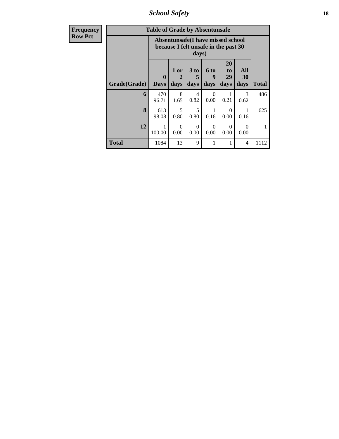*School Safety* **18**

| <b>Frequency</b> |              | <b>Table of Grade by Absentunsafe</b> |                                                                           |                   |                          |                               |                   |              |
|------------------|--------------|---------------------------------------|---------------------------------------------------------------------------|-------------------|--------------------------|-------------------------------|-------------------|--------------|
| <b>Row Pct</b>   |              |                                       | Absentunsafe(I have missed school<br>because I felt unsafe in the past 30 | days)             |                          |                               |                   |              |
|                  | Grade(Grade) | $\bf{0}$<br><b>Days</b>               | 1 or<br>2<br>days                                                         | 3 to<br>5<br>days | <b>6 to</b><br>9<br>days | <b>20</b><br>to<br>29<br>days | All<br>30<br>days | <b>Total</b> |
|                  | 6            | 470<br>96.71                          | 8<br>1.65                                                                 | 4<br>0.82         | $\Omega$<br>0.00         | 1<br>0.21                     | 3<br>0.62         | 486          |
|                  | 8            | 613<br>98.08                          | 5<br>0.80                                                                 | 5<br>0.80         | 1<br>0.16                | $\Omega$<br>0.00              | 1<br>0.16         | 625          |
|                  | 12           | 1<br>100.00                           | $\Omega$<br>0.00                                                          | $\Omega$<br>0.00  | $\Omega$<br>0.00         | $\Omega$<br>0.00              | $\Omega$<br>0.00  | $\mathbf{1}$ |
|                  | <b>Total</b> | 1084                                  | 13                                                                        | 9                 | 1                        | 1                             | 4                 | 1112         |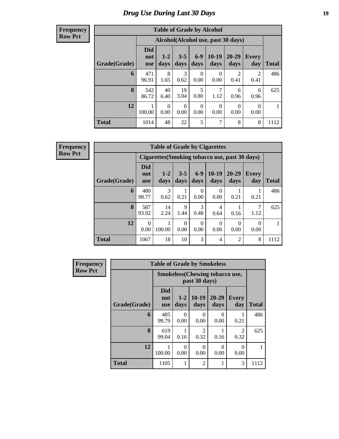## *Drug Use During Last 30 Days* **19**

#### **Frequency Row Pct**

| <b>Table of Grade by Alcohol</b> |                                 |                  |                  |                  |                                    |                        |                     |       |  |  |  |  |
|----------------------------------|---------------------------------|------------------|------------------|------------------|------------------------------------|------------------------|---------------------|-------|--|--|--|--|
|                                  |                                 |                  |                  |                  | Alcohol(Alcohol use, past 30 days) |                        |                     |       |  |  |  |  |
| Grade(Grade)                     | <b>Did</b><br>not<br><b>use</b> | $1 - 2$<br>days  | $3 - 5$<br>days  | $6-9$<br>days    | $10-19$<br>days                    | 20-29<br>days          | <b>Every</b><br>day | Total |  |  |  |  |
| 6                                | 471<br>96.91                    | 8<br>1.65        | 3<br>0.62        | $\Omega$<br>0.00 | 0<br>0.00                          | $\overline{2}$<br>0.41 | 2<br>0.41           | 486   |  |  |  |  |
| 8                                | 542<br>86.72                    | 40<br>6.40       | 19<br>3.04       | 5<br>0.80        | 7<br>1.12                          | 6<br>0.96              | 6<br>0.96           | 625   |  |  |  |  |
| 12                               | 100.00                          | $\Omega$<br>0.00 | $\Omega$<br>0.00 | $\Omega$<br>0.00 | $\Omega$<br>0.00                   | $\Omega$<br>0.00       | $\Omega$<br>0.00    |       |  |  |  |  |
| <b>Total</b>                     | 1014                            | 48               | 22               | 5                | 7                                  | 8                      | 8                   | 1112  |  |  |  |  |

| <b>Table of Grade by Cigarettes</b> |                                 |                                                |                           |                  |                  |                   |                     |              |  |  |  |  |
|-------------------------------------|---------------------------------|------------------------------------------------|---------------------------|------------------|------------------|-------------------|---------------------|--------------|--|--|--|--|
|                                     |                                 | Cigarettes (Smoking tobacco use, past 30 days) |                           |                  |                  |                   |                     |              |  |  |  |  |
| Grade(Grade)                        | <b>Did</b><br>not<br><b>use</b> | $1 - 2$<br>days                                | $3 - 5$<br>days           | $6-9$<br>days    | $10-19$<br>days  | $20 - 29$<br>days | <b>Every</b><br>day | <b>Total</b> |  |  |  |  |
| 6                                   | 480<br>98.77                    | 3<br>0.62                                      | 0.21                      | $\Omega$<br>0.00 | $\Omega$<br>0.00 | 0.21              | 0.21                | 486          |  |  |  |  |
| 8                                   | 587<br>93.92                    | 14<br>2.24                                     | 9<br>1.44                 | 3<br>0.48        | 4<br>0.64        | 0.16              | 7<br>1.12           | 625          |  |  |  |  |
| 12                                  | 0<br>0.00                       | 100.00                                         | $\mathbf{\Omega}$<br>0.00 | $\Omega$<br>0.00 | $\Omega$<br>0.00 | 0<br>0.00         | 0<br>0.00           |              |  |  |  |  |
| <b>Total</b>                        | 1067                            | 18                                             | 10                        | 3                | 4                | 2                 | 8                   | 1112         |  |  |  |  |

| Frequency      |              | <b>Table of Grade by Smokeless</b> |                  |                                                        |                   |                        |              |
|----------------|--------------|------------------------------------|------------------|--------------------------------------------------------|-------------------|------------------------|--------------|
| <b>Row Pct</b> |              |                                    |                  | <b>Smokeless</b> (Chewing tobaccouse,<br>past 30 days) |                   |                        |              |
|                | Grade(Grade) | <b>Did</b><br>not<br><b>use</b>    | $1 - 2$<br>days  | $10-19$<br>days                                        | $20 - 29$<br>days | <b>Every</b><br>day    | <b>Total</b> |
|                | 6            | 485<br>99.79                       | $\Omega$<br>0.00 | $\Omega$<br>0.00                                       | 0<br>0.00         | 0.21                   | 486          |
|                | 8            | 619<br>99.04                       | 0.16             | $\overline{2}$<br>0.32                                 | 0.16              | $\mathfrak{D}$<br>0.32 | 625          |
|                | 12           | 100.00                             | 0<br>0.00        | $\theta$<br>0.00                                       | $\Omega$<br>0.00  | $\Omega$<br>0.00       |              |
|                | <b>Total</b> | 1105                               |                  | $\overline{2}$                                         | 1                 | 3                      | 1112         |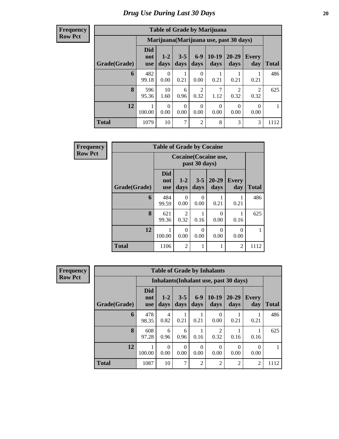| <b>Table of Grade by Marijuana</b>                                                                                                                                  |              |                                         |           |                        |                  |                        |                        |      |  |  |  |  |
|---------------------------------------------------------------------------------------------------------------------------------------------------------------------|--------------|-----------------------------------------|-----------|------------------------|------------------|------------------------|------------------------|------|--|--|--|--|
|                                                                                                                                                                     |              | Marijuana (Marijuana use, past 30 days) |           |                        |                  |                        |                        |      |  |  |  |  |
| <b>Did</b><br>$10-19$<br>20-29<br>$6-9$<br>$3 - 5$<br>$1 - 2$<br>Every<br>not<br>Grade(Grade)<br>days<br>day<br>Total<br>days<br>days<br>days<br>days<br><b>use</b> |              |                                         |           |                        |                  |                        |                        |      |  |  |  |  |
| 6                                                                                                                                                                   | 482<br>99.18 | $\Omega$<br>0.00                        | 1<br>0.21 | $\Omega$<br>0.00       | 0.21             | 0.21                   | 0.21                   | 486  |  |  |  |  |
| 8                                                                                                                                                                   | 596<br>95.36 | 10<br>1.60                              | 6<br>0.96 | $\overline{2}$<br>0.32 | 7<br>1.12        | $\mathfrak{D}$<br>0.32 | $\mathfrak{D}$<br>0.32 | 625  |  |  |  |  |
| 12                                                                                                                                                                  | 100.00       | $\Omega$<br>0.00                        | 0<br>0.00 | $\Omega$<br>0.00       | $\theta$<br>0.00 | $\Omega$<br>0.00       | $\Omega$<br>0.00       |      |  |  |  |  |
| <b>Total</b>                                                                                                                                                        | 1079         | 10                                      | 7         | $\overline{2}$         | 8                | 3                      | 3                      | 1112 |  |  |  |  |

| Frequency      |              | <b>Table of Grade by Cocaine</b> |                                               |                 |               |                     |       |
|----------------|--------------|----------------------------------|-----------------------------------------------|-----------------|---------------|---------------------|-------|
| <b>Row Pct</b> |              |                                  | <b>Cocaine</b> (Cocaine use,<br>past 30 days) |                 |               |                     |       |
|                | Grade(Grade) | <b>Did</b><br>not<br><b>use</b>  | $1-2$<br>days                                 | $3 - 5$<br>days | 20-29<br>days | <b>Every</b><br>day | Total |
|                | 6            | 484<br>99.59                     | 0<br>0.00                                     | 0<br>0.00       | 0.21          | 0.21                | 486   |
|                | 8            | 621<br>99.36                     | 2<br>0.32                                     | 0.16            | 0<br>0.00     | 0.16                | 625   |
|                | 12           | 100.00                           | 0<br>0.00                                     | 0<br>0.00       | 0<br>0.00     | $\Omega$<br>0.00    |       |
|                | <b>Total</b> | 1106                             | $\overline{2}$                                | 1               |               | $\overline{2}$      | 1112  |

| Frequency      | <b>Table of Grade by Inhalants</b> |                                 |                 |                 |                |                  |                                        |                     |              |  |  |
|----------------|------------------------------------|---------------------------------|-----------------|-----------------|----------------|------------------|----------------------------------------|---------------------|--------------|--|--|
| <b>Row Pct</b> |                                    |                                 |                 |                 |                |                  | Inhalants (Inhalant use, past 30 days) |                     |              |  |  |
|                | Grade(Grade)                       | <b>Did</b><br>not<br><b>use</b> | $1 - 2$<br>days | $3 - 5$<br>days | $6-9$<br>days  | $10-19$<br>days  | $20 - 29$<br>days                      | <b>Every</b><br>day | <b>Total</b> |  |  |
|                | 6                                  | 478<br>98.35                    | 4<br>0.82       | 0.21            | 0.21           | $\theta$<br>0.00 | 0.21                                   | 0.21                | 486          |  |  |
|                | 8                                  | 608<br>97.28                    | 6<br>0.96       | 6<br>0.96       | 0.16           | 0.32             | 0.16                                   | 0.16                | 625          |  |  |
|                | 12                                 | 100.00                          | 0<br>0.00       | 0<br>0.00       | 0.00           | $\Omega$<br>0.00 | $\theta$<br>0.00                       | $\Omega$<br>0.00    |              |  |  |
|                | <b>Total</b>                       | 1087                            | 10              | $\tau$          | $\mathfrak{D}$ | 2                | $\overline{2}$                         | 2                   | 1112         |  |  |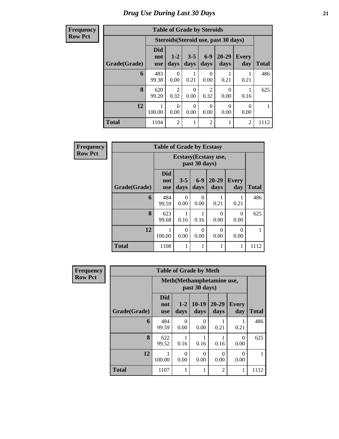| <b>Table of Grade by Steroids</b> |                                 |                        |                  |                        |                                      |                     |              |  |  |  |  |
|-----------------------------------|---------------------------------|------------------------|------------------|------------------------|--------------------------------------|---------------------|--------------|--|--|--|--|
|                                   |                                 |                        |                  |                        | Steroids (Steroid use, past 30 days) |                     |              |  |  |  |  |
| Grade(Grade)                      | <b>Did</b><br>not<br><b>use</b> | $1 - 2$<br>days        | $3 - 5$<br>days  | $6-9$<br>days          | 20-29<br>days                        | <b>Every</b><br>day | <b>Total</b> |  |  |  |  |
| 6                                 | 483<br>99.38                    | 0<br>0.00              | 0.21             | 0<br>0.00              | 0.21                                 | 0.21                | 486          |  |  |  |  |
| 8                                 | 620<br>99.20                    | $\mathfrak{D}$<br>0.32 | $\Omega$<br>0.00 | $\mathfrak{D}$<br>0.32 | $\mathbf{\Omega}$<br>0.00            | 0.16                | 625          |  |  |  |  |
| 12                                | 100.00                          | $\Omega$<br>0.00       | $\Omega$<br>0.00 | $\Omega$<br>0.00       | 0<br>0.00                            | 0.00                |              |  |  |  |  |
| <b>Total</b>                      | 1104                            | $\mathfrak{D}$         | 1                | $\overline{2}$         | 1                                    | $\mathfrak{D}$      | 1112         |  |  |  |  |

| <b>Frequency</b> | <b>Table of Grade by Ecstasy</b> |                                 |                                       |                  |                   |                     |              |  |  |
|------------------|----------------------------------|---------------------------------|---------------------------------------|------------------|-------------------|---------------------|--------------|--|--|
| <b>Row Pct</b>   |                                  |                                 | Ecstasy(Ecstasy use,<br>past 30 days) |                  |                   |                     |              |  |  |
|                  | Grade(Grade)                     | <b>Did</b><br>not<br><b>use</b> | $3 - 5$<br>days                       | $6-9$<br>days    | $20 - 29$<br>days | <b>Every</b><br>day | <b>Total</b> |  |  |
|                  | 6                                | 484<br>99.59                    | 0<br>0.00                             | $\theta$<br>0.00 | 0.21              | 0.21                | 486          |  |  |
|                  | 8                                | 623<br>99.68                    | 0.16                                  | 1<br>0.16        | $\Omega$<br>0.00  | $\Omega$<br>0.00    | 625          |  |  |
|                  | 12                               | 100.00                          | 0<br>0.00                             | $\theta$<br>0.00 | $\Omega$<br>0.00  | $\Omega$<br>0.00    |              |  |  |
|                  | <b>Total</b>                     | 1108                            | 1                                     | 1                |                   | 1                   | 1112         |  |  |

| <b>Frequency</b> | <b>Table of Grade by Meth</b> |                                 |                  |                 |                   |                     |              |  |  |
|------------------|-------------------------------|---------------------------------|------------------|-----------------|-------------------|---------------------|--------------|--|--|
| <b>Row Pct</b>   |                               | Meth(Methamphetamine use,       |                  |                 |                   |                     |              |  |  |
|                  | Grade(Grade)                  | <b>Did</b><br>not<br><b>use</b> | $1 - 2$<br>days  | $10-19$<br>days | $20 - 29$<br>days | <b>Every</b><br>day | <b>Total</b> |  |  |
|                  | 6                             | 484<br>99.59                    | $\Omega$<br>0.00 | 0<br>0.00       | 0.21              | 0.21                | 486          |  |  |
|                  | 8                             | 622<br>99.52                    | 0.16             | 0.16            | 0.16              | 0<br>0.00           | 625          |  |  |
|                  | 12                            | 100.00                          | $\Omega$<br>0.00 | 0<br>0.00       | 0<br>0.00         | 0<br>0.00           |              |  |  |
|                  | <b>Total</b>                  | 1107                            |                  |                 | $\overline{2}$    | 1                   | 1112         |  |  |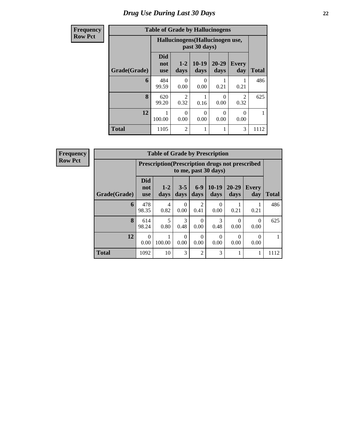# *Drug Use During Last 30 Days* **22**

| <b>Frequency</b> | <b>Table of Grade by Hallucinogens</b> |                                 |                                                   |                  |                   |                        |              |  |  |
|------------------|----------------------------------------|---------------------------------|---------------------------------------------------|------------------|-------------------|------------------------|--------------|--|--|
| <b>Row Pct</b>   |                                        |                                 | Hallucinogens (Hallucinogen use,<br>past 30 days) |                  |                   |                        |              |  |  |
|                  | Grade(Grade)                           | <b>Did</b><br>not<br><b>use</b> | $1 - 2$<br>days                                   | $10-19$<br>days  | $20 - 29$<br>days | <b>Every</b><br>day    | <b>Total</b> |  |  |
|                  | 6                                      | 484<br>99.59                    | 0<br>0.00                                         | $\Omega$<br>0.00 | 0.21              | 0.21                   | 486          |  |  |
|                  | 8                                      | 620<br>99.20                    | $\mathcal{D}_{\mathcal{L}}$<br>0.32               | 0.16             | 0<br>0.00         | $\mathfrak{D}$<br>0.32 | 625          |  |  |
|                  | 12                                     | 100.00                          | 0<br>0.00                                         | 0<br>0.00        | 0.00              | $\Omega$<br>0.00       |              |  |  |
|                  | <b>Total</b>                           | 1105                            | $\mathfrak{D}$                                    |                  | 1                 | 3                      | 1112         |  |  |

| <b>Frequency</b> |
|------------------|
| <b>Row Pct</b>   |

| <b>Table of Grade by Prescription</b> |                                 |                                                                                 |                 |                  |                  |                   |                  |              |  |
|---------------------------------------|---------------------------------|---------------------------------------------------------------------------------|-----------------|------------------|------------------|-------------------|------------------|--------------|--|
|                                       |                                 | <b>Prescription (Prescription drugs not prescribed)</b><br>to me, past 30 days) |                 |                  |                  |                   |                  |              |  |
| Grade(Grade)                          | <b>Did</b><br>not<br><b>use</b> | $1 - 2$<br>days                                                                 | $3 - 5$<br>days | $6-9$<br>days    | $10-19$<br>days  | $20 - 29$<br>days | Every<br>day     | <b>Total</b> |  |
| 6                                     | 478<br>98.35                    | 4<br>0.82                                                                       | 0.00            | 0.41             | $\theta$<br>0.00 | 0.21              | 0.21             | 486          |  |
| 8                                     | 614<br>98.24                    | 5<br>0.80                                                                       | 3<br>0.48       | $\Omega$<br>0.00 | 3<br>0.48        | 0.00              | 0<br>0.00        | 625          |  |
| 12                                    | 0<br>0.00                       | 100.00                                                                          | 0<br>0.00       | 0<br>0.00        | $\Omega$<br>0.00 | 0<br>0.00         | $\Omega$<br>0.00 |              |  |
| <b>Total</b>                          | 1092                            | 10                                                                              | 3               | $\overline{2}$   | 3                |                   |                  | 1112         |  |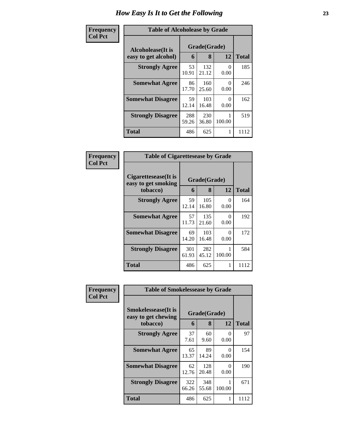| <b>Frequency</b> | <b>Table of Alcoholease by Grade</b>      |              |                   |                           |              |  |
|------------------|-------------------------------------------|--------------|-------------------|---------------------------|--------------|--|
| <b>Col Pct</b>   | Alcoholease(It is<br>easy to get alcohol) | 6            | Grade(Grade)<br>8 | 12                        | <b>Total</b> |  |
|                  | <b>Strongly Agree</b>                     | 53<br>10.91  | 132<br>21.12      | $\mathbf{\Omega}$<br>0.00 | 185          |  |
|                  | <b>Somewhat Agree</b>                     | 86<br>17.70  | 160<br>25.60      | 0<br>0.00                 | 246          |  |
|                  | <b>Somewhat Disagree</b>                  | 59<br>12.14  | 103<br>16.48      | 0<br>0.00                 | 162          |  |
|                  | <b>Strongly Disagree</b>                  | 288<br>59.26 | 230<br>36.80      | 100.00                    | 519          |  |
|                  | <b>Total</b>                              | 486          | 625               | 1                         | 1112         |  |

| Frequency      | <b>Table of Cigarettesease by Grade</b>                 |              |                   |           |              |  |
|----------------|---------------------------------------------------------|--------------|-------------------|-----------|--------------|--|
| <b>Col Pct</b> | Cigarettesease(It is<br>easy to get smoking<br>tobacco) | 6            | Grade(Grade)<br>8 | 12        | <b>Total</b> |  |
|                | <b>Strongly Agree</b>                                   | 59<br>12.14  | 105<br>16.80      | 0<br>0.00 | 164          |  |
|                | <b>Somewhat Agree</b>                                   | 57<br>11.73  | 135<br>21.60      | 0<br>0.00 | 192          |  |
|                | <b>Somewhat Disagree</b>                                | 69<br>14.20  | 103<br>16.48      | 0<br>0.00 | 172          |  |
|                | <b>Strongly Disagree</b>                                | 301<br>61.93 | 282<br>45.12      | 100.00    | 584          |  |
|                | <b>Total</b>                                            | 486          | 625               | 1         | 1112         |  |

| Frequency      | <b>Table of Smokelessease by Grade</b>                         |              |                   |           |              |
|----------------|----------------------------------------------------------------|--------------|-------------------|-----------|--------------|
| <b>Col Pct</b> | <b>Smokelessease</b> (It is<br>easy to get chewing<br>tobacco) | 6            | Grade(Grade)<br>8 | 12        | <b>Total</b> |
|                | <b>Strongly Agree</b>                                          | 37<br>7.61   | 60<br>9.60        | 0<br>0.00 | 97           |
|                | <b>Somewhat Agree</b>                                          | 65<br>13.37  | 89<br>14.24       | 0<br>0.00 | 154          |
|                | <b>Somewhat Disagree</b>                                       | 62<br>12.76  | 128<br>20.48      | 0<br>0.00 | 190          |
|                | <b>Strongly Disagree</b>                                       | 322<br>66.26 | 348<br>55.68      | 100.00    | 671          |
|                | Total                                                          | 486          | 625               | 1         | 1112         |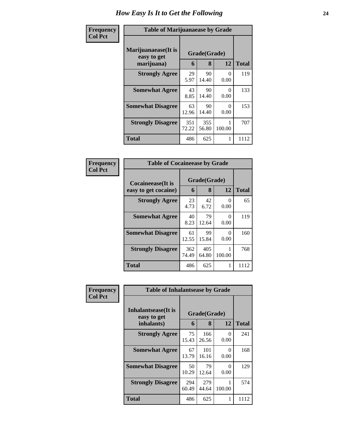| Frequency      | <b>Table of Marijuanaease by Grade</b>           |                   |                  |                 |      |  |  |
|----------------|--------------------------------------------------|-------------------|------------------|-----------------|------|--|--|
| <b>Col Pct</b> | Marijuanaease(It is<br>easy to get<br>marijuana) | Grade(Grade)<br>6 | <b>Total</b>     |                 |      |  |  |
|                | <b>Strongly Agree</b>                            | 29<br>5.97        | 8<br>90<br>14.40 | 12<br>0<br>0.00 | 119  |  |  |
|                | <b>Somewhat Agree</b>                            | 43<br>8.85        | 90<br>14.40      | 0<br>0.00       | 133  |  |  |
|                | <b>Somewhat Disagree</b>                         | 63<br>12.96       | 90<br>14.40      | 0<br>0.00       | 153  |  |  |
|                | <b>Strongly Disagree</b>                         | 351<br>72.22      | 355<br>56.80     | 100.00          | 707  |  |  |
|                | <b>Total</b>                                     | 486               | 625              | 1               | 1112 |  |  |

| Frequency      |                                           | <b>Table of Cocaineease by Grade</b> |                   |           |              |  |  |
|----------------|-------------------------------------------|--------------------------------------|-------------------|-----------|--------------|--|--|
| <b>Col Pct</b> | Cocaineease(It is<br>easy to get cocaine) | 6                                    | Grade(Grade)<br>8 | 12        | <b>Total</b> |  |  |
|                | <b>Strongly Agree</b>                     | 23<br>4.73                           | 42<br>6.72        | 0<br>0.00 | 65           |  |  |
|                | <b>Somewhat Agree</b>                     | 40<br>8.23                           | 79<br>12.64       | 0<br>0.00 | 119          |  |  |
|                | <b>Somewhat Disagree</b>                  | 61<br>12.55                          | 99<br>15.84       | 0<br>0.00 | 160          |  |  |
|                | <b>Strongly Disagree</b>                  | 362<br>74.49                         | 405<br>64.80      | 100.00    | 768          |  |  |
|                | Total                                     | 486                                  | 625               | 1         | 1112         |  |  |

| Frequency<br><b>Col Pct</b> | <b>Table of Inhalantsease by Grade</b> |              |              |                  |              |  |  |
|-----------------------------|----------------------------------------|--------------|--------------|------------------|--------------|--|--|
|                             | Inhalantsease(It is<br>easy to get     |              | Grade(Grade) |                  |              |  |  |
|                             | inhalants)                             | 6            | 8            | 12               | <b>Total</b> |  |  |
|                             | <b>Strongly Agree</b>                  | 75<br>15.43  | 166<br>26.56 | 0<br>0.00        | 241          |  |  |
|                             | <b>Somewhat Agree</b>                  | 67<br>13.79  | 101<br>16.16 | $\Omega$<br>0.00 | 168          |  |  |
|                             | <b>Somewhat Disagree</b>               | 50<br>10.29  | 79<br>12.64  | 0<br>0.00        | 129          |  |  |
|                             | <b>Strongly Disagree</b>               | 294<br>60.49 | 279<br>44.64 | 100.00           | 574          |  |  |
|                             | <b>Total</b>                           | 486          | 625          | 1                | 1112         |  |  |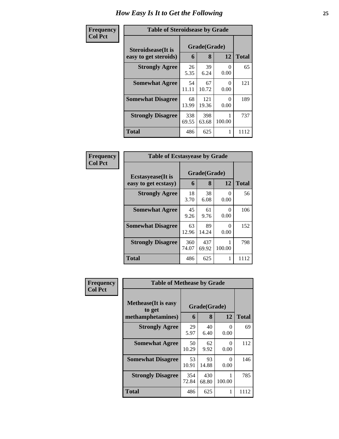| Frequency      | <b>Table of Steroidsease by Grade</b>               |              |                   |                  |              |  |  |
|----------------|-----------------------------------------------------|--------------|-------------------|------------------|--------------|--|--|
| <b>Col Pct</b> | <b>Steroidsease</b> (It is<br>easy to get steroids) | 6            | Grade(Grade)<br>8 | 12               | <b>Total</b> |  |  |
|                | <b>Strongly Agree</b>                               | 26<br>5.35   | 39<br>6.24        | $\Omega$<br>0.00 | 65           |  |  |
|                | <b>Somewhat Agree</b>                               | 54<br>11.11  | 67<br>10.72       | 0<br>0.00        | 121          |  |  |
|                | <b>Somewhat Disagree</b>                            | 68<br>13.99  | 121<br>19.36      | $\Omega$<br>0.00 | 189          |  |  |
|                | <b>Strongly Disagree</b>                            | 338<br>69.55 | 398<br>63.68      | 100.00           | 737          |  |  |
|                | <b>Total</b>                                        | 486          | 625               |                  | 1112         |  |  |

| Frequency      | <b>Table of Ecstasyease by Grade</b>              |                   |              |                  |      |  |  |  |  |  |  |  |
|----------------|---------------------------------------------------|-------------------|--------------|------------------|------|--|--|--|--|--|--|--|
| <b>Col Pct</b> | <b>Ecstasyease</b> (It is<br>easy to get ecstasy) | Grade(Grade)<br>6 | <b>Total</b> |                  |      |  |  |  |  |  |  |  |
|                | <b>Strongly Agree</b>                             | 18<br>3.70        | 38<br>6.08   | $\theta$<br>0.00 | 56   |  |  |  |  |  |  |  |
|                | <b>Somewhat Agree</b>                             | 45<br>9.26        | 61<br>9.76   | 0<br>0.00        | 106  |  |  |  |  |  |  |  |
|                | <b>Somewhat Disagree</b>                          | 63<br>12.96       | 89<br>14.24  | 0<br>0.00        | 152  |  |  |  |  |  |  |  |
|                | <b>Strongly Disagree</b>                          | 360<br>74.07      | 437<br>69.92 | 100.00           | 798  |  |  |  |  |  |  |  |
|                | <b>Total</b>                                      | 486               | 625          |                  | 1112 |  |  |  |  |  |  |  |

| Frequency      | <b>Table of Methease by Grade</b>                          |              |                   |           |              |  |  |  |  |  |
|----------------|------------------------------------------------------------|--------------|-------------------|-----------|--------------|--|--|--|--|--|
| <b>Col Pct</b> | <b>Methease</b> (It is easy<br>to get<br>methamphetamines) | 6            | Grade(Grade)<br>8 | 12        | <b>Total</b> |  |  |  |  |  |
|                | <b>Strongly Agree</b>                                      | 29<br>5.97   | 40<br>6.40        | 0<br>0.00 | 69           |  |  |  |  |  |
|                | <b>Somewhat Agree</b>                                      | 50<br>10.29  | 62<br>9.92        | 0<br>0.00 | 112          |  |  |  |  |  |
|                | <b>Somewhat Disagree</b>                                   | 53<br>10.91  | 93<br>14.88       | 0<br>0.00 | 146          |  |  |  |  |  |
|                | <b>Strongly Disagree</b>                                   | 354<br>72.84 | 430<br>68.80      | 100.00    | 785          |  |  |  |  |  |
|                | Total                                                      | 486          | 625               |           | 1112         |  |  |  |  |  |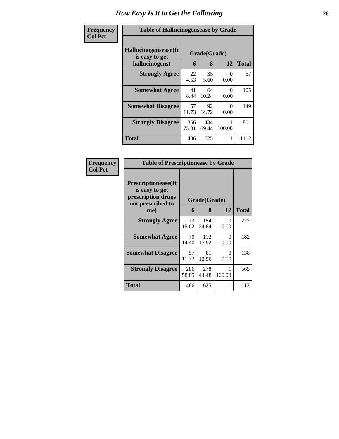| Frequency      | <b>Table of Hallucinogensease by Grade</b>               |              |                   |                  |              |  |  |  |  |
|----------------|----------------------------------------------------------|--------------|-------------------|------------------|--------------|--|--|--|--|
| <b>Col Pct</b> | Hallucinogensease(It<br>is easy to get<br>hallucinogens) | 6            | Grade(Grade)<br>8 | 12               | <b>Total</b> |  |  |  |  |
|                | <b>Strongly Agree</b>                                    | 22<br>4.53   | 35<br>5.60        | $\Omega$<br>0.00 | 57           |  |  |  |  |
|                | <b>Somewhat Agree</b>                                    | 41<br>8.44   | 64<br>10.24       | 0<br>0.00        | 105          |  |  |  |  |
|                | <b>Somewhat Disagree</b>                                 | 57<br>11.73  | 92<br>14.72       | $\Omega$<br>0.00 | 149          |  |  |  |  |
|                | <b>Strongly Disagree</b>                                 | 366<br>75.31 | 434<br>69.44      | 100.00           | 801          |  |  |  |  |
|                | <b>Total</b>                                             | 486          | 625               | 1                | 1112         |  |  |  |  |

| Frequency      | <b>Table of Prescriptionease by Grade</b>                                        |              |              |           |       |
|----------------|----------------------------------------------------------------------------------|--------------|--------------|-----------|-------|
| <b>Col Pct</b> | Prescriptionease(It<br>is easy to get<br>prescription drugs<br>not prescribed to |              | Grade(Grade) |           |       |
|                | me)                                                                              | 6            | 8            | 12        | Total |
|                | <b>Strongly Agree</b>                                                            | 73<br>15.02  | 154<br>24.64 | 0<br>0.00 | 227   |
|                | <b>Somewhat Agree</b>                                                            | 70<br>14.40  | 112<br>17.92 | 0<br>0.00 | 182   |
|                | <b>Somewhat Disagree</b>                                                         | 57<br>11.73  | 81<br>12.96  | 0<br>0.00 | 138   |
|                | <b>Strongly Disagree</b>                                                         | 286<br>58.85 | 278<br>44.48 | 100.00    | 565   |
|                | Total                                                                            | 486          | 625          | 1         | 1112  |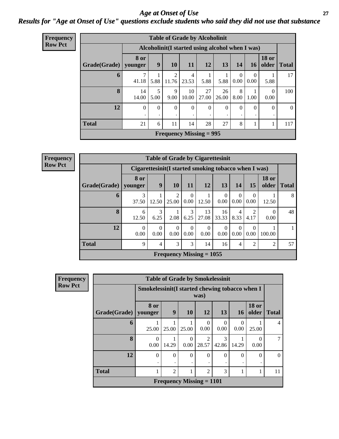#### *Age at Onset of Use* **27** *Results for "Age at Onset of Use" questions exclude students who said they did not use that substance*

| Frequency      | <b>Table of Grade by Alcoholinit</b> |                                                  |               |            |                   |                                |               |                  |                  |                       |              |  |  |
|----------------|--------------------------------------|--------------------------------------------------|---------------|------------|-------------------|--------------------------------|---------------|------------------|------------------|-----------------------|--------------|--|--|
| <b>Row Pct</b> |                                      | Alcoholinit (I started using alcohol when I was) |               |            |                   |                                |               |                  |                  |                       |              |  |  |
|                | Grade(Grade)                         | 8 or<br>younger                                  | 9             | 10         | 11                | 12                             | 13            | 14               | 16               | <b>18 or</b><br>older | <b>Total</b> |  |  |
|                | 6                                    | 41.18                                            | 5.88          | 2<br>11.76 | 4<br>23.53        | 5.88                           | 5.88          | $\theta$<br>0.00 | $\Omega$<br>0.00 | 5.88                  | 17           |  |  |
|                | 8                                    | 14<br>14.00                                      | 5<br>5.00     | 9<br>9.00  | 10<br>10.00       | 27<br>27.00                    | 26<br>26.00   | 8<br>8.00        | 1.00             | $\theta$<br>0.00      | 100          |  |  |
|                | 12                                   | $\theta$                                         | $\Omega$<br>٠ | $\Omega$   | $\mathbf{0}$<br>٠ | 0                              | $\theta$<br>٠ | $\overline{0}$   | $\theta$         | $\Omega$<br>٠         | $\theta$     |  |  |
|                | <b>Total</b>                         | 21                                               | 6             | 11         | 14                | 28                             | 27            | 8                |                  | 1                     | 117          |  |  |
|                |                                      |                                                  |               |            |                   | <b>Frequency Missing = 995</b> |               |                  |                  |                       |              |  |  |

| Frequency      |                        |                  | Tal           |
|----------------|------------------------|------------------|---------------|
| <b>Row Pct</b> |                        | <b>Cigaretto</b> |               |
|                | $Grade(Grade)$ younger | 8 or             |               |
|                |                        |                  |               |
|                | 6                      |                  |               |
|                |                        | 37.50            | $\mathsf{I}'$ |

| <b>Table of Grade by Cigarettesinit</b>                                                                                                                               |                 |                |                                                      |                       |             |                  |                        |                        |                       |              |
|-----------------------------------------------------------------------------------------------------------------------------------------------------------------------|-----------------|----------------|------------------------------------------------------|-----------------------|-------------|------------------|------------------------|------------------------|-----------------------|--------------|
|                                                                                                                                                                       |                 |                | Cigarettesinit(I started smoking tobacco when I was) |                       |             |                  |                        |                        |                       |              |
| Grade(Grade)                                                                                                                                                          | 8 or<br>younger | 9              | 10                                                   | 11                    | <b>12</b>   | 13               | 14                     | 15                     | <b>18 or</b><br>older | <b>Total</b> |
| 6                                                                                                                                                                     | 3<br>37.50      | 12.50          | 2<br>25.00                                           | $\Omega$<br>0.00      | 12.50       | $\Omega$<br>0.00 | $\Omega$<br>0.00       | 0<br>0.00              | 12.50                 | 8            |
| 8                                                                                                                                                                     | 6<br>12.50      | 3<br>6.25      | 2.08                                                 | $\mathcal{F}$<br>6.25 | 13<br>27.08 | 16<br>33.33      | $\overline{4}$<br>8.33 | $\overline{2}$<br>4.17 | 0<br>0.00             | 48           |
| 12<br>$\Omega$<br>$\Omega$<br>$\Omega$<br>$\Omega$<br>$\Omega$<br>$\Omega$<br>$\Omega$<br>0<br>0.00<br>0.00<br>0.00<br>0.00<br>0.00<br>0.00<br>0.00<br>0.00<br>100.00 |                 |                |                                                      |                       |             |                  |                        |                        |                       |              |
| <b>Total</b>                                                                                                                                                          | 9               | $\overline{4}$ | 3                                                    | 3                     | 14          | 16               | 4                      | $\overline{2}$         | $\overline{2}$        | 57           |
| Frequency Missing $= 1055$                                                                                                                                            |                 |                |                                                      |                       |             |                  |                        |                        |                       |              |

| Frequency      | <b>Table of Grade by Smokelessinit</b> |                                                      |                                                         |               |                  |                  |                  |                       |                |  |  |  |
|----------------|----------------------------------------|------------------------------------------------------|---------------------------------------------------------|---------------|------------------|------------------|------------------|-----------------------|----------------|--|--|--|
| <b>Row Pct</b> |                                        |                                                      | Smokelessinit (I started chewing tobacco when I<br>was) |               |                  |                  |                  |                       |                |  |  |  |
|                | Grade(Grade)   younger                 | 8 or                                                 | 9                                                       | <b>10</b>     | <b>12</b>        | 13               | <b>16</b>        | <b>18 or</b><br>older | <b>Total</b>   |  |  |  |
|                | 6                                      | 25.00                                                | 25.00                                                   | 25.00         | $\theta$<br>0.00 | $\left($<br>0.00 | $\Omega$<br>0.00 | 25.00                 | $\overline{4}$ |  |  |  |
|                | 8                                      | $\Omega$<br>0.00                                     | 14.29                                                   | 0<br>0.00     | 28.57            | 3<br>42.86       | 14.29            | 0.00                  | 7              |  |  |  |
|                | 12                                     | $\Omega$                                             | $\theta$                                                | $\theta$<br>٠ | $\Omega$         | $\Omega$         | $\Omega$<br>٠    | $\theta$<br>٠         | $\Omega$       |  |  |  |
|                | <b>Total</b>                           | $\overline{2}$<br>$\overline{2}$<br>3<br>1<br>1<br>1 |                                                         |               |                  |                  |                  |                       |                |  |  |  |
|                |                                        |                                                      | Frequency Missing $= 1101$                              |               |                  |                  |                  |                       |                |  |  |  |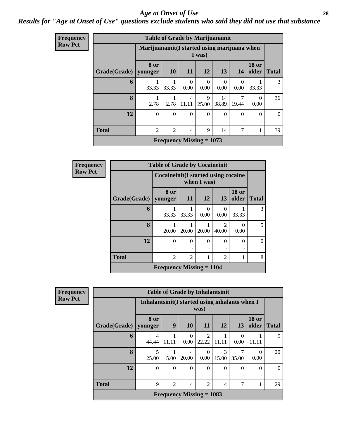#### *Age at Onset of Use* **28**

#### *Results for "Age at Onset of Use" questions exclude students who said they did not use that substance*

| Frequency      |                        |                | <b>Table of Grade by Marijuanainit</b>                  |                         |                  |               |                  |                       |              |  |  |  |
|----------------|------------------------|----------------|---------------------------------------------------------|-------------------------|------------------|---------------|------------------|-----------------------|--------------|--|--|--|
| <b>Row Pct</b> |                        |                | Marijuanainit (I started using marijuana when<br>I was) |                         |                  |               |                  |                       |              |  |  |  |
|                | Grade(Grade)   younger | 8 or           | 10                                                      | <b>11</b>               | <b>12</b>        | 13            | <b>14</b>        | <b>18 or</b><br>older | <b>Total</b> |  |  |  |
|                | 6                      | 33.33          | 33.33                                                   | $\Omega$<br>0.00        | $\theta$<br>0.00 | 0<br>0.00     | $\Omega$<br>0.00 | 33.33                 | 3            |  |  |  |
|                | 8                      | 2.78           | 2.78                                                    | $\overline{4}$<br>11.11 | 9<br>25.00       | 14<br>38.89   | 19.44            | 0.00                  | 36           |  |  |  |
|                | 12                     | $\Omega$       | $\Omega$                                                | $\theta$<br>٠           | $\Omega$<br>٠    | $\Omega$<br>٠ | $\Omega$         | $\Omega$<br>٠         | $\Omega$     |  |  |  |
|                | <b>Total</b>           | $\overline{2}$ | 7<br>$\overline{c}$<br>$\overline{4}$<br>9<br>14        |                         |                  |               |                  |                       |              |  |  |  |
|                |                        |                | <b>Frequency Missing = 1073</b>                         |                         |                  |               |                  |                       |              |  |  |  |

| Frequency      |                        | <b>Table of Grade by Cocaineinit</b>                    |                                                         |           |                                                                                                                                                                          |           |          |  |  |  |  |  |
|----------------|------------------------|---------------------------------------------------------|---------------------------------------------------------|-----------|--------------------------------------------------------------------------------------------------------------------------------------------------------------------------|-----------|----------|--|--|--|--|--|
| <b>Row Pct</b> |                        |                                                         | Cocaine in it (I started using cocaine<br>when I was)   |           |                                                                                                                                                                          |           |          |  |  |  |  |  |
|                | Grade(Grade)   younger | 8 or                                                    | <b>18 or</b><br>older<br>11<br>12<br><b>Total</b><br>13 |           |                                                                                                                                                                          |           |          |  |  |  |  |  |
|                | 6                      | 33.33                                                   | 33.33                                                   | 0<br>0.00 | $\theta$<br>0.00                                                                                                                                                         | 33.33     | 3        |  |  |  |  |  |
|                | 8                      | 20.00                                                   | 20.00                                                   | 20.00     | $\mathcal{D}_{\mathcal{A}}^{\mathcal{A}}(\mathcal{A})=\mathcal{D}_{\mathcal{A}}^{\mathcal{A}}(\mathcal{A})\mathcal{D}_{\mathcal{A}}^{\mathcal{A}}(\mathcal{A})$<br>40.00 | 0<br>0.00 | 5        |  |  |  |  |  |
|                | 12                     | $\theta$                                                | 0                                                       | 0         | 0                                                                                                                                                                        | $\theta$  | $\Omega$ |  |  |  |  |  |
|                | <b>Total</b>           | $\mathfrak{D}$<br>$\mathfrak{D}$<br>$\mathfrak{D}$<br>1 |                                                         |           |                                                                                                                                                                          |           |          |  |  |  |  |  |
|                |                        | Frequency Missing $= 1104$                              |                                                         |           |                                                                                                                                                                          |           |          |  |  |  |  |  |

| <b>Frequency</b> | <b>Table of Grade by Inhalantsinit</b>                                                                             |                                                                   |                                                         |                  |                            |            |                  |                  |    |  |  |
|------------------|--------------------------------------------------------------------------------------------------------------------|-------------------------------------------------------------------|---------------------------------------------------------|------------------|----------------------------|------------|------------------|------------------|----|--|--|
| <b>Row Pct</b>   |                                                                                                                    |                                                                   | Inhalantsinit (I started using inhalants when I<br>was) |                  |                            |            |                  |                  |    |  |  |
|                  | <b>18 or</b><br>8 or<br>9<br>Grade(Grade)   younger<br><b>10</b><br>12<br>older<br>13<br><b>Total</b><br><b>11</b> |                                                                   |                                                         |                  |                            |            |                  |                  |    |  |  |
|                  | 6                                                                                                                  | 4<br>44.44                                                        | 11.11                                                   | $\Omega$<br>0.00 | 2<br>22.22                 | 11.11      | $\Omega$<br>0.00 | 11.11            | 9  |  |  |
|                  | 8                                                                                                                  | 5<br>25.00                                                        | 5.00                                                    | 4<br>20.00       | $\Omega$<br>0.00           | 3<br>15.00 | 35.00            | $\Omega$<br>0.00 | 20 |  |  |
|                  | 12                                                                                                                 | $\theta$                                                          | $\Omega$                                                | $\theta$<br>٠    | $\Omega$                   | $\Omega$   | $\Omega$         | $\Omega$<br>٠    | 0  |  |  |
|                  | <b>Total</b>                                                                                                       | $\overline{2}$<br>9<br>4<br>$\mathfrak{D}$<br>7<br>$\overline{4}$ |                                                         |                  |                            |            |                  |                  |    |  |  |
|                  |                                                                                                                    |                                                                   |                                                         |                  | Frequency Missing $= 1083$ |            |                  |                  |    |  |  |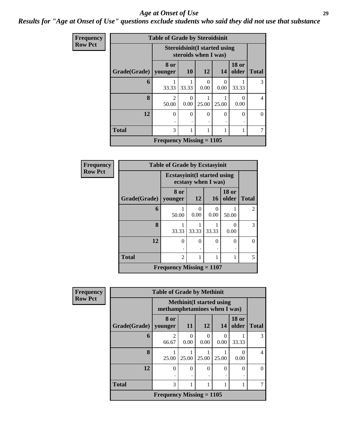#### *Age at Onset of Use* **29**

#### *Results for "Age at Onset of Use" questions exclude students who said they did not use that substance*

| Frequency      |              | <b>Table of Grade by Steroidsinit</b>                       |                  |           |           |                       |              |  |  |
|----------------|--------------|-------------------------------------------------------------|------------------|-----------|-----------|-----------------------|--------------|--|--|
| <b>Row Pct</b> |              | <b>Steroidsinit(I started using</b><br>steroids when I was) |                  |           |           |                       |              |  |  |
|                | Grade(Grade) | 8 or<br>younger                                             | <b>10</b>        | <b>12</b> | 14        | <b>18 or</b><br>older | <b>Total</b> |  |  |
|                | 6            | 33.33                                                       | 33.33            | 0<br>0.00 | 0<br>0.00 | 33.33                 | 3            |  |  |
|                | 8            | 2<br>50.00                                                  | $\Omega$<br>0.00 | 25.00     | 25.00     | $\theta$<br>0.00      | 4            |  |  |
|                | 12           | $\Omega$                                                    | $\Omega$         | $\theta$  | $\Omega$  | $\Omega$              | 0            |  |  |
|                | <b>Total</b> | 3<br>1<br>1                                                 |                  |           |           |                       |              |  |  |
|                |              | Frequency Missing $= 1105$                                  |                  |           |           |                       |              |  |  |

| Frequency      | <b>Table of Grade by Ecstasyinit</b> |                                     |                     |                  |                       |                |  |
|----------------|--------------------------------------|-------------------------------------|---------------------|------------------|-----------------------|----------------|--|
| <b>Row Pct</b> |                                      | <b>Ecstasyinit</b> (I started using | ecstasy when I was) |                  |                       |                |  |
|                | Grade(Grade)                         | 8 or<br>younger                     | <b>12</b>           | <b>16</b>        | <b>18 or</b><br>older | <b>Total</b>   |  |
|                | 6                                    | 50.00                               | $\Omega$<br>0.00    | $\Omega$<br>0.00 | 50.00                 | $\mathfrak{D}$ |  |
|                | 8                                    | 1<br>33.33                          | 33.33               | 33.33            | $\Omega$<br>0.00      | 3              |  |
|                | 12                                   | $\theta$<br>٠                       | $\Omega$            | $\theta$         | $\theta$              | $\theta$       |  |
|                | <b>Total</b>                         | $\overline{c}$                      | 1                   | 1                | 1                     | 5              |  |
|                |                                      | Frequency Missing $= 1107$          |                     |                  |                       |                |  |

| Frequency      | <b>Table of Grade by Methinit</b> |                                                                 |           |           |                  |                           |                |  |  |
|----------------|-----------------------------------|-----------------------------------------------------------------|-----------|-----------|------------------|---------------------------|----------------|--|--|
| <b>Row Pct</b> |                                   | <b>Methinit(I started using</b><br>methamphetamines when I was) |           |           |                  |                           |                |  |  |
|                | Grade(Grade)                      | 8 or<br>younger                                                 | 11        | <b>12</b> | 14               | <b>18 or</b><br>older     | <b>Total</b>   |  |  |
|                | 6                                 | $\overline{c}$<br>66.67                                         | 0<br>0.00 | 0<br>0.00 | $\Omega$<br>0.00 | 33.33                     | 3              |  |  |
|                | 8                                 | 25.00                                                           | 25.00     | 25.00     | 25.00            | $\mathbf{\Omega}$<br>0.00 | $\overline{4}$ |  |  |
|                | 12                                | $\theta$                                                        | $\Omega$  | $\Omega$  | $\Omega$         | 0                         | $\Omega$       |  |  |
|                | <b>Total</b>                      | 3                                                               |           |           |                  |                           |                |  |  |
|                |                                   | Frequency Missing $= 1105$                                      |           |           |                  |                           |                |  |  |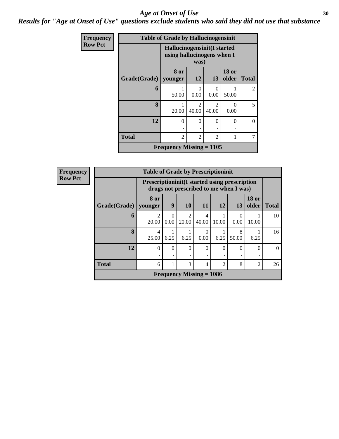#### Age at Onset of Use **30**

*Results for "Age at Onset of Use" questions exclude students who said they did not use that substance*

| Frequency      | <b>Table of Grade by Hallucinogensinit</b> |                                                           |                                  |                         |                       |                |  |  |
|----------------|--------------------------------------------|-----------------------------------------------------------|----------------------------------|-------------------------|-----------------------|----------------|--|--|
| <b>Row Pct</b> |                                            | Hallucinogensinit(I started<br>using hallucinogens when I |                                  |                         |                       |                |  |  |
|                | Grade(Grade)                               | 8 or<br>younger                                           | 12                               | 13                      | <b>18 or</b><br>older | <b>Total</b>   |  |  |
|                | 6                                          | 50.00                                                     | 0<br>0.00                        | 0.00                    | 50.00                 | $\overline{2}$ |  |  |
|                | 8                                          | 1<br>20.00                                                | $\mathcal{L}$<br>40.00           | $\mathfrak{D}$<br>40.00 | $\Omega$<br>0.00      | 5              |  |  |
|                | 12                                         | $\theta$                                                  | $\theta$<br>$\ddot{\phantom{0}}$ | 0                       | 0                     | 0              |  |  |
|                | <b>Total</b>                               | $\overline{2}$                                            | 2                                | $\overline{2}$          |                       |                |  |  |
|                |                                            | Frequency Missing $= 1105$                                |                                  |                         |                       |                |  |  |

| <b>Frequency</b> | <b>Table of Grade by Prescriptioninit</b> |                 |                                                                                                 |                                      |                            |                |            |                       |              |
|------------------|-------------------------------------------|-----------------|-------------------------------------------------------------------------------------------------|--------------------------------------|----------------------------|----------------|------------|-----------------------|--------------|
| <b>Row Pct</b>   |                                           |                 | <b>Prescriptioninit (I started using prescription</b><br>drugs not prescribed to me when I was) |                                      |                            |                |            |                       |              |
|                  | Grade(Grade)                              | 8 or<br>younger | 9                                                                                               | <b>10</b>                            | <b>11</b>                  | 12             | 13         | <b>18 or</b><br>older | <b>Total</b> |
|                  | 6                                         | っ<br>20.00      | $\Omega$<br>0.00                                                                                | $\mathcal{D}_{\mathcal{L}}$<br>20.00 | 4<br>40.00                 | 10.00          | 0<br>0.00  | 10.00                 | 10           |
|                  | 8                                         | 4<br>25.00      | 6.25                                                                                            | 6.25                                 | $\Omega$<br>0.00           | 6.25           | 8<br>50.00 | 6.25                  | 16           |
|                  | 12                                        | 0               | $\theta$                                                                                        | $\Omega$<br>٠                        | $\Omega$                   | $\Omega$       | $\Omega$   | 0                     | $\Omega$     |
|                  | <b>Total</b>                              | 6               | 1                                                                                               | 3                                    | $\overline{4}$             | $\mathfrak{D}$ | 8          | $\overline{2}$        | 26           |
|                  |                                           |                 |                                                                                                 |                                      | Frequency Missing $= 1086$ |                |            |                       |              |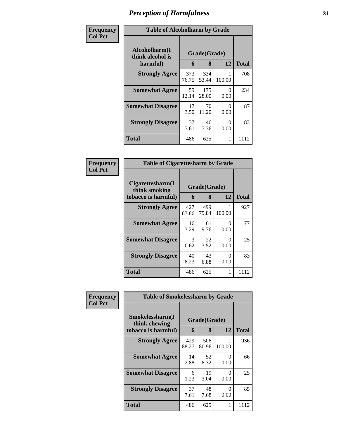| Frequency      | <b>Table of Alcoholharm by Grade</b>          |              |                   |                  |              |  |  |  |
|----------------|-----------------------------------------------|--------------|-------------------|------------------|--------------|--|--|--|
| <b>Col Pct</b> | Alcoholharm(I<br>think alcohol is<br>harmful) | 6            | Grade(Grade)<br>8 | 12               | <b>Total</b> |  |  |  |
|                | <b>Strongly Agree</b>                         | 373<br>76.75 | 334<br>53.44      | 100.00           | 708          |  |  |  |
|                | <b>Somewhat Agree</b>                         | 59<br>12.14  | 175<br>28.00      | 0<br>0.00        | 234          |  |  |  |
|                | <b>Somewhat Disagree</b>                      | 17<br>3.50   | 70<br>11.20       | $\Omega$<br>0.00 | 87           |  |  |  |
|                | <b>Strongly Disagree</b>                      | 37<br>7.61   | 46<br>7.36        | 0<br>0.00        | 83           |  |  |  |
|                | <b>Total</b>                                  | 486          | 625               | 1                | 1112         |  |  |  |

| Frequency<br>  Col Pct |
|------------------------|
|                        |

|                                                          | <b>Table of Cigarettesharm by Grade</b> |              |             |      |  |  |  |  |
|----------------------------------------------------------|-----------------------------------------|--------------|-------------|------|--|--|--|--|
| Cigarettesharm(I<br>think smoking<br>tobacco is harmful) | Grade(Grade)<br>6                       | <b>Total</b> |             |      |  |  |  |  |
| <b>Strongly Agree</b>                                    | 427<br>87.86                            | 499<br>79.84 | 1<br>100.00 | 927  |  |  |  |  |
| <b>Somewhat Agree</b>                                    | 16<br>3.29                              | 61<br>9.76   | 0<br>0.00   | 77   |  |  |  |  |
| <b>Somewhat Disagree</b>                                 | 3<br>0.62                               | 22<br>3.52   | 0<br>0.00   | 25   |  |  |  |  |
| <b>Strongly Disagree</b>                                 | 40<br>8.23                              | 43<br>6.88   | 0<br>0.00   | 83   |  |  |  |  |
| Total                                                    | 486                                     | 625          | 1           | 1112 |  |  |  |  |

| Frequency      | <b>Table of Smokelessharm by Grade</b>                  |                   |              |           |      |  |  |
|----------------|---------------------------------------------------------|-------------------|--------------|-----------|------|--|--|
| <b>Col Pct</b> | Smokelessharm(I<br>think chewing<br>tobacco is harmful) | Grade(Grade)<br>6 | <b>Total</b> |           |      |  |  |
|                | <b>Strongly Agree</b>                                   | 429<br>88.27      | 506<br>80.96 | 100.00    | 936  |  |  |
|                | <b>Somewhat Agree</b>                                   | 14<br>2.88        | 52<br>8.32   | 0<br>0.00 | 66   |  |  |
|                | <b>Somewhat Disagree</b>                                | 6<br>1.23         | 19<br>3.04   | 0<br>0.00 | 25   |  |  |
|                | <b>Strongly Disagree</b>                                | 37<br>7.61        | 48<br>7.68   | 0<br>0.00 | 85   |  |  |
|                | Total                                                   | 486               | 625          |           | 1112 |  |  |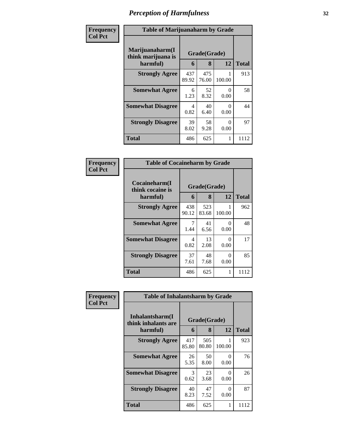| Frequency      | <b>Table of Marijuanaharm by Grade</b>            |                   |                   |                  |      |  |  |
|----------------|---------------------------------------------------|-------------------|-------------------|------------------|------|--|--|
| <b>Col Pct</b> | Marijuanaharm(I<br>think marijuana is<br>harmful) | Grade(Grade)<br>6 | <b>Total</b>      |                  |      |  |  |
|                | <b>Strongly Agree</b>                             | 437<br>89.92      | 8<br>475<br>76.00 | 12<br>100.00     | 913  |  |  |
|                | <b>Somewhat Agree</b>                             | 6<br>1.23         | 52<br>8.32        | $\Omega$<br>0.00 | 58   |  |  |
|                | <b>Somewhat Disagree</b>                          | 4<br>0.82         | 40<br>6.40        | 0<br>0.00        | 44   |  |  |
|                | <b>Strongly Disagree</b>                          | 39<br>8.02        | 58<br>9.28        | 0<br>0.00        | 97   |  |  |
|                | <b>Total</b>                                      | 486               | 625               | 1                | 1112 |  |  |

| <b>Frequency</b><br>Col Pct |
|-----------------------------|

| <b>Table of Cocaineharm by Grade</b>          |                   |              |             |      |  |  |  |
|-----------------------------------------------|-------------------|--------------|-------------|------|--|--|--|
| Cocaineharm(I<br>think cocaine is<br>harmful) | Grade(Grade)<br>6 | <b>Total</b> |             |      |  |  |  |
| <b>Strongly Agree</b>                         | 438<br>90.12      | 523<br>83.68 | 1<br>100.00 | 962  |  |  |  |
| <b>Somewhat Agree</b>                         | 1.44              | 41<br>6.56   | 0<br>0.00   | 48   |  |  |  |
| <b>Somewhat Disagree</b>                      | 4<br>0.82         | 13<br>2.08   | 0<br>0.00   | 17   |  |  |  |
| <b>Strongly Disagree</b>                      | 37<br>7.61        | 48<br>7.68   | 0<br>0.00   | 85   |  |  |  |
| <b>Total</b>                                  | 486               | 625          | 1           | 1112 |  |  |  |

| Frequency      | <b>Table of Inhalantsharm by Grade</b>  |              |              |           |              |
|----------------|-----------------------------------------|--------------|--------------|-----------|--------------|
| <b>Col Pct</b> | Inhalantsharm(I)<br>think inhalants are | Grade(Grade) |              |           |              |
|                | harmful)                                | 6            | 8            | 12        | <b>Total</b> |
|                | <b>Strongly Agree</b>                   | 417<br>85.80 | 505<br>80.80 | 100.00    | 923          |
|                | <b>Somewhat Agree</b>                   | 26<br>5.35   | 50<br>8.00   | 0<br>0.00 | 76           |
|                | <b>Somewhat Disagree</b>                | 3<br>0.62    | 23<br>3.68   | 0<br>0.00 | 26           |
|                | <b>Strongly Disagree</b>                | 40<br>8.23   | 47<br>7.52   | 0<br>0.00 | 87           |
|                | <b>Total</b>                            | 486          | 625          | 1         | 1112         |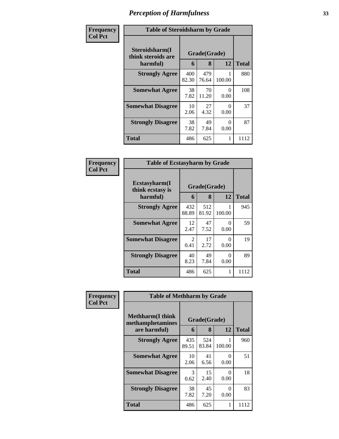| Frequency      | <b>Table of Steroidsharm by Grade</b>            |              |                   |           |              |  |
|----------------|--------------------------------------------------|--------------|-------------------|-----------|--------------|--|
| <b>Col Pct</b> | Steroidsharm(I<br>think steroids are<br>harmful) | 6            | Grade(Grade)<br>8 | 12        | <b>Total</b> |  |
|                | <b>Strongly Agree</b>                            | 400<br>82.30 | 479<br>76.64      | 100.00    | 880          |  |
|                | <b>Somewhat Agree</b>                            | 38<br>7.82   | 70<br>11.20       | 0<br>0.00 | 108          |  |
|                | <b>Somewhat Disagree</b>                         | 10<br>2.06   | 27<br>4.32        | 0<br>0.00 | 37           |  |
|                | <b>Strongly Disagree</b>                         | 38<br>7.82   | 49<br>7.84        | 0<br>0.00 | 87           |  |
|                | <b>Total</b>                                     | 486          | 625               | 1         | 1112         |  |

| Frequency<br>Col Pct |
|----------------------|
|                      |

| <b>Table of Ecstasyharm by Grade</b>          |                        |              |             |      |  |  |  |
|-----------------------------------------------|------------------------|--------------|-------------|------|--|--|--|
| Ecstasyharm(I<br>think ecstasy is<br>harmful) | Grade(Grade)<br>6      | <b>Total</b> |             |      |  |  |  |
| <b>Strongly Agree</b>                         | 432<br>88.89           | 512<br>81.92 | 1<br>100.00 | 945  |  |  |  |
| <b>Somewhat Agree</b>                         | 12<br>2.47             | 47<br>7.52   | 0<br>0.00   | 59   |  |  |  |
| <b>Somewhat Disagree</b>                      | $\mathfrak{D}$<br>0.41 | 17<br>2.72   | 0<br>0.00   | 19   |  |  |  |
| <b>Strongly Disagree</b>                      | 40<br>8.23             | 49<br>7.84   | 0<br>0.00   | 89   |  |  |  |
| <b>Total</b>                                  | 486                    | 625          | 1           | 1112 |  |  |  |

| Frequency      |                                              | <b>Table of Methharm by Grade</b> |              |           |              |  |
|----------------|----------------------------------------------|-----------------------------------|--------------|-----------|--------------|--|
| <b>Col Pct</b> | <b>Methharm</b> (I think<br>methamphetamines |                                   | Grade(Grade) |           |              |  |
|                | are harmful)                                 | 6                                 | 8            | 12        | <b>Total</b> |  |
|                | <b>Strongly Agree</b>                        | 435<br>89.51                      | 524<br>83.84 | 100.00    | 960          |  |
|                | <b>Somewhat Agree</b>                        | 10<br>2.06                        | 41<br>6.56   | 0<br>0.00 | 51           |  |
|                | <b>Somewhat Disagree</b>                     | 3<br>0.62                         | 15<br>2.40   | 0<br>0.00 | 18           |  |
|                | <b>Strongly Disagree</b>                     | 38<br>7.82                        | 45<br>7.20   | 0<br>0.00 | 83           |  |
|                | <b>Total</b>                                 | 486                               | 625          | 1         | 1112         |  |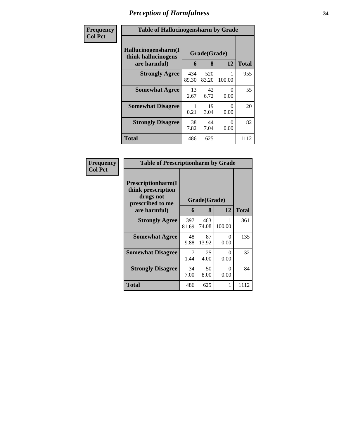| Frequency      | <b>Table of Hallucinogensharm by Grade</b>                 |              |                   |                  |              |  |
|----------------|------------------------------------------------------------|--------------|-------------------|------------------|--------------|--|
| <b>Col Pct</b> | Hallucinogensharm(I<br>think hallucinogens<br>are harmful) | 6            | Grade(Grade)<br>8 | 12               | <b>Total</b> |  |
|                | <b>Strongly Agree</b>                                      | 434<br>89.30 | 520<br>83.20      | 100.00           | 955          |  |
|                | <b>Somewhat Agree</b>                                      | 13<br>2.67   | 42<br>6.72        | $\Omega$<br>0.00 | 55           |  |
|                | <b>Somewhat Disagree</b>                                   | 0.21         | 19<br>3.04        | $\Omega$<br>0.00 | 20           |  |
|                | <b>Strongly Disagree</b>                                   | 38<br>7.82   | 44<br>7.04        | $\Omega$<br>0.00 | 82           |  |
|                | <b>Total</b>                                               | 486          | 625               | 1                | 1112         |  |

| Frequency      | <b>Table of Prescriptionharm by Grade</b>                                                 |              |                   |           |              |
|----------------|-------------------------------------------------------------------------------------------|--------------|-------------------|-----------|--------------|
| <b>Col Pct</b> | Prescriptionharm(I<br>think prescription<br>drugs not<br>prescribed to me<br>are harmful) | 6            | Grade(Grade)<br>8 | 12        | <b>Total</b> |
|                | <b>Strongly Agree</b>                                                                     | 397<br>81.69 | 463<br>74.08      | 100.00    | 861          |
|                | <b>Somewhat Agree</b>                                                                     | 48<br>9.88   | 87<br>13.92       | 0<br>0.00 | 135          |
|                | <b>Somewhat Disagree</b>                                                                  | 7<br>1.44    | 25<br>4.00        | 0<br>0.00 | 32           |
|                | <b>Strongly Disagree</b>                                                                  | 34<br>7.00   | 50<br>8.00        | 0<br>0.00 | 84           |
|                | Total                                                                                     | 486          | 625               | 1         | 1112         |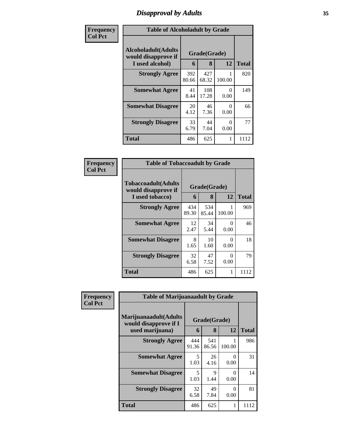## *Disapproval by Adults* **35**

| Frequency      | <b>Table of Alcoholadult by Grade</b>                                 |              |                   |                  |              |  |  |
|----------------|-----------------------------------------------------------------------|--------------|-------------------|------------------|--------------|--|--|
| <b>Col Pct</b> | <b>Alcoholadult</b> (Adults<br>would disapprove if<br>I used alcohol) | 6            | Grade(Grade)<br>8 | 12               | <b>Total</b> |  |  |
|                | <b>Strongly Agree</b>                                                 | 392<br>80.66 | 427<br>68.32      | 100.00           | 820          |  |  |
|                | <b>Somewhat Agree</b>                                                 | 41<br>8.44   | 108<br>17.28      | 0<br>0.00        | 149          |  |  |
|                | <b>Somewhat Disagree</b>                                              | 20<br>4.12   | 46<br>7.36        | 0<br>0.00        | 66           |  |  |
|                | <b>Strongly Disagree</b>                                              | 33<br>6.79   | 44<br>7.04        | $\Omega$<br>0.00 | 77           |  |  |
|                | <b>Total</b>                                                          | 486          | 625               | 1                | 1112         |  |  |

| Frequency      | <b>Table of Tobaccoadult by Grade</b>                         |              |                   |                  |              |  |
|----------------|---------------------------------------------------------------|--------------|-------------------|------------------|--------------|--|
| <b>Col Pct</b> | Tobaccoadult(Adults<br>would disapprove if<br>I used tobacco) | 6            | Grade(Grade)<br>8 | 12               | <b>Total</b> |  |
|                | <b>Strongly Agree</b>                                         | 434<br>89.30 | 534<br>85.44      | 100.00           | 969          |  |
|                | <b>Somewhat Agree</b>                                         | 12<br>2.47   | 34<br>5.44        | $\Omega$<br>0.00 | 46           |  |
|                | <b>Somewhat Disagree</b>                                      | 8<br>1.65    | 10<br>1.60        | $\Omega$<br>0.00 | 18           |  |
|                | <b>Strongly Disagree</b>                                      | 32<br>6.58   | 47<br>7.52        | $\Omega$<br>0.00 | 79           |  |
|                | <b>Total</b>                                                  | 486          | 625               | 1                | 1112         |  |

| Frequency<br><b>Col Pct</b> | <b>Table of Marijuanaadult by Grade</b>                           |                                  |                   |           |              |  |
|-----------------------------|-------------------------------------------------------------------|----------------------------------|-------------------|-----------|--------------|--|
|                             | Marijuanaadult(Adults<br>would disapprove if I<br>used marijuana) | 6                                | Grade(Grade)<br>8 | 12        | <b>Total</b> |  |
|                             | <b>Strongly Agree</b>                                             | 444<br>91.36                     | 541<br>86.56      | 100.00    | 986          |  |
|                             | <b>Somewhat Agree</b>                                             | 5<br>1.03                        | 26<br>4.16        | 0<br>0.00 | 31           |  |
|                             | <b>Somewhat Disagree</b>                                          | $\overline{\phantom{0}}$<br>1.03 | 9<br>1.44         | 0<br>0.00 | 14           |  |
|                             | <b>Strongly Disagree</b>                                          | 32<br>6.58                       | 49<br>7.84        | 0<br>0.00 | 81           |  |
|                             | <b>Total</b>                                                      | 486                              | 625               |           | 1112         |  |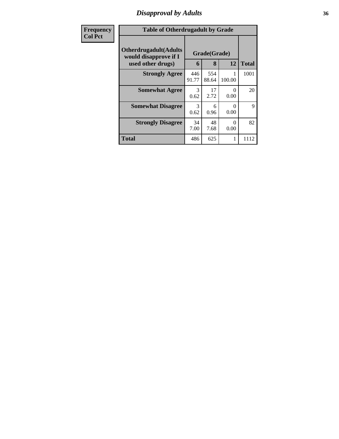## *Disapproval by Adults* **36**

| Frequency      | <b>Table of Otherdrugadult by Grade</b>                                     |                       |                   |           |              |
|----------------|-----------------------------------------------------------------------------|-----------------------|-------------------|-----------|--------------|
| <b>Col Pct</b> | <b>Otherdrugadult</b> (Adults<br>would disapprove if I<br>used other drugs) | 6                     | Grade(Grade)<br>8 | 12        | <b>Total</b> |
|                | <b>Strongly Agree</b>                                                       | 446<br>91.77          | 554<br>88.64      | 100.00    | 1001         |
|                | <b>Somewhat Agree</b>                                                       | $\mathcal{F}$<br>0.62 | 17<br>2.72        | 0<br>0.00 | 20           |
|                | <b>Somewhat Disagree</b>                                                    | $\mathcal{R}$<br>0.62 | 6<br>0.96         | 0<br>0.00 | 9            |
|                | <b>Strongly Disagree</b>                                                    | 34<br>7.00            | 48<br>7.68        | 0<br>0.00 | 82           |
|                | <b>Total</b>                                                                | 486                   | 625               | 1         | 1112         |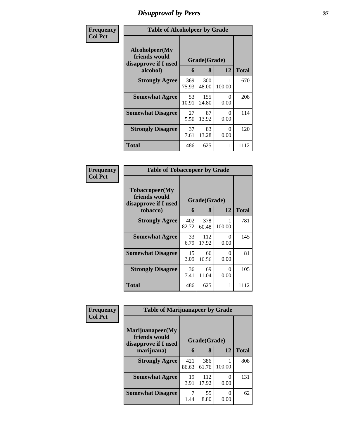# *Disapproval by Peers* **37**

| Frequency      | <b>Table of Alcoholpeer by Grade</b>                                         |              |              |           |              |  |  |
|----------------|------------------------------------------------------------------------------|--------------|--------------|-----------|--------------|--|--|
| <b>Col Pct</b> | Alcoholpeer(My<br>friends would<br>Grade(Grade)<br>disapprove if I used<br>6 |              |              |           |              |  |  |
|                | alcohol)                                                                     |              | 8            | 12        | <b>Total</b> |  |  |
|                | <b>Strongly Agree</b>                                                        | 369<br>75.93 | 300<br>48.00 | 100.00    | 670          |  |  |
|                | <b>Somewhat Agree</b>                                                        | 53<br>10.91  | 155<br>24.80 | 0<br>0.00 | 208          |  |  |
|                | <b>Somewhat Disagree</b>                                                     | 27<br>5.56   | 87<br>13.92  | 0<br>0.00 | 114          |  |  |
|                | <b>Strongly Disagree</b>                                                     | 37<br>7.61   | 83<br>13.28  | 0<br>0.00 | 120          |  |  |
|                | <b>Total</b>                                                                 | 486          | 625          | 1         | 1112         |  |  |

| Frequency      | <b>Table of Tobaccopeer by Grade</b>                                |              |                   |           |              |  |  |
|----------------|---------------------------------------------------------------------|--------------|-------------------|-----------|--------------|--|--|
| <b>Col Pct</b> | Tobaccopeer(My<br>friends would<br>disapprove if I used<br>tobacco) | 6            | Grade(Grade)<br>8 | 12        | <b>Total</b> |  |  |
|                |                                                                     |              |                   |           |              |  |  |
|                | <b>Strongly Agree</b>                                               | 402<br>82.72 | 378<br>60.48      | 100.00    | 781          |  |  |
|                | <b>Somewhat Agree</b>                                               | 33<br>6.79   | 112<br>17.92      | 0<br>0.00 | 145          |  |  |
|                | <b>Somewhat Disagree</b>                                            | 15<br>3.09   | 66<br>10.56       | ∩<br>0.00 | 81           |  |  |
|                | <b>Strongly Disagree</b>                                            | 36<br>7.41   | 69<br>11.04       | 0<br>0.00 | 105          |  |  |
|                | Total                                                               | 486          | 625               | 1         | 1112         |  |  |

| Frequency      | <b>Table of Marijuanapeer by Grade</b>                    |              |              |        |              |
|----------------|-----------------------------------------------------------|--------------|--------------|--------|--------------|
| <b>Col Pct</b> | Marijuanapeer(My<br>friends would<br>disapprove if I used |              | Grade(Grade) |        |              |
|                | marijuana)                                                | 6            | 8            | 12     | <b>Total</b> |
|                | <b>Strongly Agree</b>                                     | 421<br>86.63 | 386<br>61.76 | 100.00 | 808          |
|                | <b>Somewhat Agree</b>                                     | 19<br>3.91   | 112<br>17.92 | 0.00   | 131          |
|                | <b>Somewhat Disagree</b>                                  | 1.44         | 55<br>8.80   | 0.00   | 62           |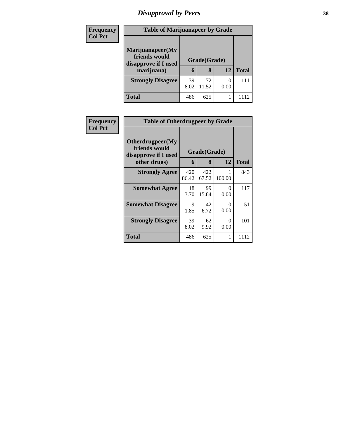# *Disapproval by Peers* **38**

| <b>Frequency</b><br><b>Col Pct</b> | <b>Table of Marijuanapeer by Grade</b>                                  |            |                   |      |              |  |
|------------------------------------|-------------------------------------------------------------------------|------------|-------------------|------|--------------|--|
|                                    | Marijuanapeer(My<br>friends would<br>disapprove if I used<br>marijuana) | 6          | Grade(Grade)<br>8 | 12   | <b>Total</b> |  |
|                                    | <b>Strongly Disagree</b>                                                | 39<br>8.02 | 72<br>11.52       | 0.00 | 111          |  |
|                                    | Total                                                                   | 486        | 625               |      |              |  |

| <b>Frequency</b> |                                                           | <b>Table of Otherdrugpeer by Grade</b> |              |                  |              |  |  |
|------------------|-----------------------------------------------------------|----------------------------------------|--------------|------------------|--------------|--|--|
| <b>Col Pct</b>   | Otherdrugpeer(My<br>friends would<br>disapprove if I used |                                        | Grade(Grade) |                  |              |  |  |
|                  | other drugs)                                              | 6                                      | 8            | 12               | <b>Total</b> |  |  |
|                  | <b>Strongly Agree</b>                                     | 420<br>86.42                           | 422<br>67.52 | 100.00           | 843          |  |  |
|                  | <b>Somewhat Agree</b>                                     | 18<br>3.70                             | 99<br>15.84  | $\Omega$<br>0.00 | 117          |  |  |
|                  | <b>Somewhat Disagree</b>                                  | 9<br>1.85                              | 42<br>6.72   | 0<br>0.00        | 51           |  |  |
|                  | <b>Strongly Disagree</b>                                  | 39<br>8.02                             | 62<br>9.92   | $\Omega$<br>0.00 | 101          |  |  |
|                  | <b>Total</b>                                              | 486                                    | 625          |                  | 1112         |  |  |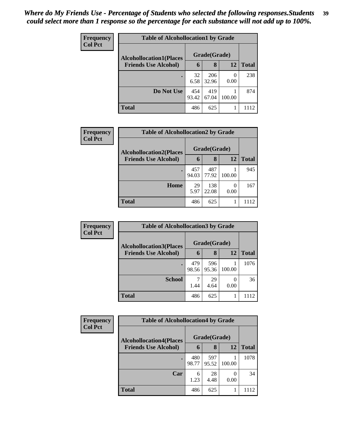| Frequency      | <b>Table of Alcohollocation1 by Grade</b> |              |              |           |              |  |  |  |
|----------------|-------------------------------------------|--------------|--------------|-----------|--------------|--|--|--|
| <b>Col Pct</b> | <b>Alcohollocation1(Places</b>            |              | Grade(Grade) |           |              |  |  |  |
|                | <b>Friends Use Alcohol)</b>               | 6            | 8            | 12        | <b>Total</b> |  |  |  |
|                |                                           | 32<br>6.58   | 206<br>32.96 | 0<br>0.00 | 238          |  |  |  |
|                | Do Not Use                                | 454<br>93.42 | 419<br>67.04 | 100.00    | 874          |  |  |  |
|                | <b>Total</b>                              | 486          | 625          |           | 1112         |  |  |  |

| Frequency      | <b>Table of Alcohollocation2 by Grade</b> |              |              |        |              |  |
|----------------|-------------------------------------------|--------------|--------------|--------|--------------|--|
| <b>Col Pct</b> | <b>Alcohollocation2(Places</b>            |              | Grade(Grade) |        |              |  |
|                | <b>Friends Use Alcohol)</b>               | 6            | 8            | 12     | <b>Total</b> |  |
|                |                                           | 457<br>94.03 | 487<br>77.92 | 100.00 | 945          |  |
|                | Home                                      | 29<br>5.97   | 138<br>22.08 | 0.00   | 167          |  |
|                | <b>Total</b>                              | 486          | 625          |        | 1112         |  |

| Frequency<br><b>Col Pct</b> | <b>Table of Alcohollocation 3 by Grade</b> |              |              |        |              |  |
|-----------------------------|--------------------------------------------|--------------|--------------|--------|--------------|--|
|                             | <b>Alcohollocation3(Places</b>             |              | Grade(Grade) |        |              |  |
|                             | <b>Friends Use Alcohol)</b>                | $\mathbf b$  | 8            | 12     | <b>Total</b> |  |
|                             |                                            | 479<br>98.56 | 596<br>95.36 | 100.00 | 1076         |  |
|                             | <b>School</b>                              | 1.44         | 29<br>4.64   | 0.00   | 36           |  |
|                             | <b>Total</b>                               | 486          | 625          |        | 1112         |  |

| <b>Frequency</b> | <b>Table of Alcohollocation4 by Grade</b> |              |              |        |              |  |
|------------------|-------------------------------------------|--------------|--------------|--------|--------------|--|
| <b>Col Pct</b>   | <b>Alcohollocation4(Places</b>            |              | Grade(Grade) |        |              |  |
|                  | <b>Friends Use Alcohol)</b>               | 6            | 8            | 12     | <b>Total</b> |  |
|                  |                                           | 480<br>98.77 | 597<br>95.52 | 100.00 | 1078         |  |
|                  | Car                                       | 6<br>1.23    | 28<br>4.48   | 0.00   | 34           |  |
|                  | <b>Total</b>                              | 486          | 625          |        | 1112         |  |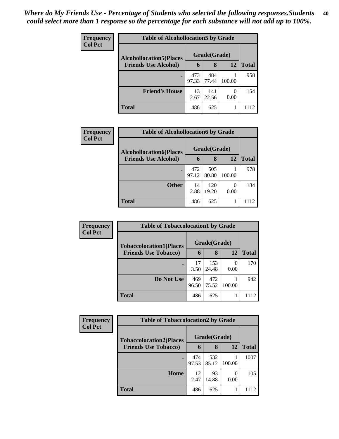| <b>Frequency</b><br><b>Col Pct</b> | <b>Table of Alcohollocation5 by Grade</b> |              |              |                  |              |  |
|------------------------------------|-------------------------------------------|--------------|--------------|------------------|--------------|--|
|                                    | <b>Alcohollocation5</b> (Places           | Grade(Grade) |              |                  |              |  |
|                                    | <b>Friends Use Alcohol)</b>               | 6            | 8            | 12               | <b>Total</b> |  |
|                                    |                                           | 473<br>97.33 | 484<br>77.44 | 100.00           | 958          |  |
|                                    | <b>Friend's House</b>                     | 13<br>2.67   | 141<br>22.56 | $\theta$<br>0.00 | 154          |  |
|                                    | <b>Total</b>                              | 486          | 625          |                  | 1112         |  |

| Frequency      | <b>Table of Alcohollocation6 by Grade</b> |              |              |        |              |  |  |
|----------------|-------------------------------------------|--------------|--------------|--------|--------------|--|--|
| <b>Col Pct</b> | <b>Alcohollocation6(Places</b>            |              | Grade(Grade) |        |              |  |  |
|                | <b>Friends Use Alcohol)</b>               | 6            | 8            | 12     | <b>Total</b> |  |  |
|                |                                           | 472<br>97.12 | 505<br>80.80 | 100.00 | 978          |  |  |
|                | <b>Other</b>                              | 14<br>2.88   | 120<br>19.20 | 0.00   | 134          |  |  |
|                | <b>Total</b>                              | 486          | 625          |        | 1112         |  |  |

| Frequency      | <b>Table of Tobaccolocation1 by Grade</b>                     |              |              |        |              |  |
|----------------|---------------------------------------------------------------|--------------|--------------|--------|--------------|--|
| <b>Col Pct</b> | <b>Tobaccolocation1(Places</b><br><b>Friends Use Tobacco)</b> | Grade(Grade) |              |        |              |  |
|                |                                                               | 6            | 8            | 12     | <b>Total</b> |  |
|                | ٠                                                             | 17<br>3.50   | 153<br>24.48 | 0.00   | 170          |  |
|                | Do Not Use                                                    | 469<br>96.50 | 472<br>75.52 | 100.00 | 942          |  |
|                | <b>Total</b>                                                  | 486          | 625          |        | 1112         |  |

| <b>Frequency</b> | <b>Table of Tobaccolocation2 by Grade</b> |              |              |        |              |  |  |  |  |
|------------------|-------------------------------------------|--------------|--------------|--------|--------------|--|--|--|--|
| <b>Col Pct</b>   | <b>Tobaccolocation2(Places</b>            | Grade(Grade) |              |        |              |  |  |  |  |
|                  | <b>Friends Use Tobacco)</b>               | $\mathbf b$  | 8            | 12     | <b>Total</b> |  |  |  |  |
|                  |                                           | 474<br>97.53 | 532<br>85.12 | 100.00 | 1007         |  |  |  |  |
|                  | Home                                      | 12<br>2.47   | 93<br>14.88  | 0.00   | 105          |  |  |  |  |
|                  | Total                                     | 486          | 625          |        |              |  |  |  |  |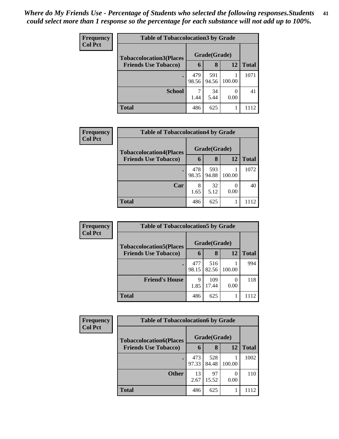| <b>Frequency</b> | <b>Table of Tobaccolocation3 by Grade</b> |              |              |        |              |  |  |
|------------------|-------------------------------------------|--------------|--------------|--------|--------------|--|--|
| <b>Col Pct</b>   | <b>Tobaccolocation3(Places</b>            | Grade(Grade) |              |        |              |  |  |
|                  | <b>Friends Use Tobacco)</b>               | 6            | 8            | 12     | <b>Total</b> |  |  |
|                  |                                           | 479<br>98.56 | 591<br>94.56 | 100.00 | 1071         |  |  |
|                  | <b>School</b>                             | ⇁<br>1.44    | 34<br>5.44   | 0.00   | 41           |  |  |
|                  | Total                                     | 486          | 625          |        |              |  |  |

| <b>Frequency</b> | <b>Table of Tobaccolocation4 by Grade</b> |              |              |        |              |  |  |  |
|------------------|-------------------------------------------|--------------|--------------|--------|--------------|--|--|--|
| <b>Col Pct</b>   | <b>Tobaccolocation4(Places</b>            |              | Grade(Grade) |        |              |  |  |  |
|                  | <b>Friends Use Tobacco)</b>               | 6            | 8            | 12     | <b>Total</b> |  |  |  |
|                  | $\bullet$                                 | 478<br>98.35 | 593<br>94.88 | 100.00 | 1072         |  |  |  |
|                  | Car                                       | 8<br>1.65    | 32<br>5.12   | 0.00   | 40           |  |  |  |
|                  | <b>Total</b>                              | 486          | 625          |        | 1112         |  |  |  |

| <b>Frequency</b> | <b>Table of Tobaccolocation5 by Grade</b> |              |              |        |              |  |
|------------------|-------------------------------------------|--------------|--------------|--------|--------------|--|
| <b>Col Pct</b>   | <b>Tobaccolocation5(Places</b>            |              | Grade(Grade) |        |              |  |
|                  | <b>Friends Use Tobacco)</b>               | 6            | 8            | 12     | <b>Total</b> |  |
|                  |                                           | 477<br>98.15 | 516<br>82.56 | 100.00 | 994          |  |
|                  | <b>Friend's House</b>                     | 9<br>1.85    | 109<br>17.44 | 0.00   | 118          |  |
|                  | <b>Total</b>                              | 486          | 625          |        | 1112         |  |

| <b>Frequency</b> | <b>Table of Tobaccolocation6 by Grade</b>                     |              |              |        |              |  |  |  |  |
|------------------|---------------------------------------------------------------|--------------|--------------|--------|--------------|--|--|--|--|
| <b>Col Pct</b>   | <b>Tobaccolocation6(Places</b><br><b>Friends Use Tobacco)</b> | Grade(Grade) |              |        |              |  |  |  |  |
|                  |                                                               | 6            | 8            | 12     | <b>Total</b> |  |  |  |  |
|                  | $\bullet$                                                     | 473<br>97.33 | 528<br>84.48 | 100.00 | 1002         |  |  |  |  |
|                  | <b>Other</b>                                                  | 13<br>2.67   | 97<br>15.52  | 0.00   | 110          |  |  |  |  |
|                  | Total                                                         | 486          | 625          |        | 1112         |  |  |  |  |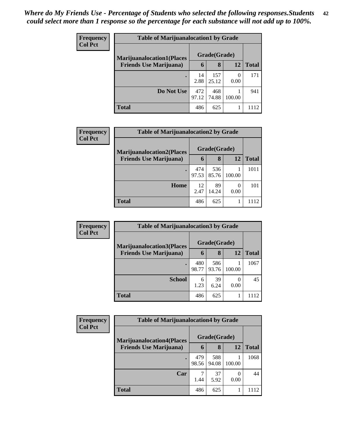| <b>Frequency</b> | <b>Table of Marijuanalocation1 by Grade</b> |              |              |           |              |  |  |  |
|------------------|---------------------------------------------|--------------|--------------|-----------|--------------|--|--|--|
| <b>Col Pct</b>   | <b>Marijuanalocation1(Places</b>            | Grade(Grade) |              |           |              |  |  |  |
|                  | <b>Friends Use Marijuana</b> )              | 6            | 8            | 12        | <b>Total</b> |  |  |  |
|                  |                                             | 14<br>2.88   | 157<br>25.12 | 0<br>0.00 | 171          |  |  |  |
|                  | Do Not Use                                  | 472<br>97.12 | 468<br>74.88 | 100.00    | 941          |  |  |  |
|                  | <b>Total</b>                                | 486          | 625          |           | 1112         |  |  |  |

| <b>Frequency</b>               | <b>Table of Marijuanalocation2 by Grade</b> |              |              |              |      |  |  |
|--------------------------------|---------------------------------------------|--------------|--------------|--------------|------|--|--|
| <b>Col Pct</b>                 | <b>Marijuanalocation2(Places)</b>           |              | Grade(Grade) |              |      |  |  |
| <b>Friends Use Marijuana</b> ) | 6                                           | 8            | 12           | <b>Total</b> |      |  |  |
|                                |                                             | 474<br>97.53 | 536<br>85.76 | 100.00       | 1011 |  |  |
|                                | Home                                        | 12<br>2.47   | 89<br>14.24  | 0<br>0.00    | 101  |  |  |
|                                | <b>Total</b>                                | 486          | 625          |              | 1112 |  |  |

| Frequency      | <b>Table of Marijuanalocation3 by Grade</b>                        |              |              |        |              |  |  |
|----------------|--------------------------------------------------------------------|--------------|--------------|--------|--------------|--|--|
| <b>Col Pct</b> | <b>Marijuanalocation3(Places</b><br><b>Friends Use Marijuana</b> ) | Grade(Grade) |              |        |              |  |  |
|                |                                                                    | 6            | 8            | 12     | <b>Total</b> |  |  |
|                |                                                                    | 480<br>98.77 | 586<br>93.76 | 100.00 | 1067         |  |  |
|                | <b>School</b>                                                      | 6<br>1.23    | 39<br>6.24   | 0.00   | 45           |  |  |
|                | <b>Total</b>                                                       | 486          | 625          |        | 112          |  |  |

| <b>Frequency</b> | <b>Table of Marijuanalocation4 by Grade</b> |                       |              |        |       |  |  |  |
|------------------|---------------------------------------------|-----------------------|--------------|--------|-------|--|--|--|
| <b>Col Pct</b>   | <b>Marijuanalocation4(Places</b>            |                       | Grade(Grade) |        |       |  |  |  |
|                  | <b>Friends Use Marijuana</b> )              | $\mathbf b$           | 8            | 12     | Total |  |  |  |
|                  | $\bullet$                                   | 479<br>98.56          | 588<br>94.08 | 100.00 | 1068  |  |  |  |
|                  | Car                                         | $\mathcal{L}$<br>1.44 | 37<br>5.92   | 0.00   | 44    |  |  |  |
|                  | <b>Total</b>                                | 486                   | 625          |        |       |  |  |  |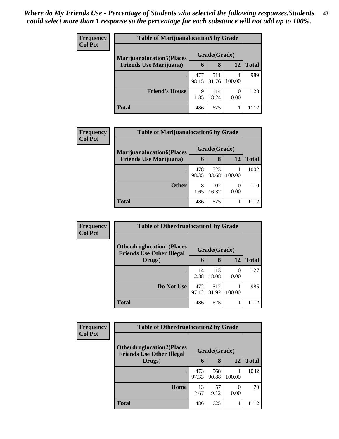| <b>Frequency</b> | <b>Table of Marijuanalocation5 by Grade</b>                         |              |              |        |              |  |  |
|------------------|---------------------------------------------------------------------|--------------|--------------|--------|--------------|--|--|
| <b>Col Pct</b>   | <b>Marijuanalocation5</b> (Places<br><b>Friends Use Marijuana</b> ) | Grade(Grade) |              |        |              |  |  |
|                  |                                                                     | 6            | 8            | 12     | <b>Total</b> |  |  |
|                  |                                                                     | 477<br>98.15 | 511<br>81.76 | 100.00 | 989          |  |  |
|                  | <b>Friend's House</b>                                               | 9<br>1.85    | 114<br>18.24 | 0.00   | 123          |  |  |
|                  | Total                                                               | 486          | 625          |        | 1112         |  |  |

| Frequency      | <b>Table of Marijuanalocation6 by Grade</b> |              |              |           |              |  |  |  |
|----------------|---------------------------------------------|--------------|--------------|-----------|--------------|--|--|--|
| <b>Col Pct</b> | <b>Marijuanalocation6(Places</b>            |              | Grade(Grade) |           |              |  |  |  |
|                | <b>Friends Use Marijuana</b> )              | 6            | 8            | 12        | <b>Total</b> |  |  |  |
|                |                                             | 478<br>98.35 | 523<br>83.68 | 100.00    | 1002         |  |  |  |
|                | <b>Other</b>                                | 8<br>1.65    | 102<br>16.32 | 0<br>0.00 | 110          |  |  |  |
|                | <b>Total</b>                                | 486          | 625          |           |              |  |  |  |

| <b>Frequency</b> | <b>Table of Otherdruglocation1 by Grade</b>                          |              |              |        |              |  |
|------------------|----------------------------------------------------------------------|--------------|--------------|--------|--------------|--|
| <b>Col Pct</b>   | <b>Otherdruglocation1(Places</b><br><b>Friends Use Other Illegal</b> |              | Grade(Grade) |        |              |  |
|                  | Drugs)                                                               | 6            | 8            | 12     | <b>Total</b> |  |
|                  | $\bullet$                                                            | 14<br>2.88   | 113<br>18.08 | 0.00   | 127          |  |
|                  | Do Not Use                                                           | 472<br>97.12 | 512<br>81.92 | 100.00 | 985          |  |
|                  | <b>Total</b>                                                         | 486          | 625          |        | 1112         |  |

| Frequency      | <b>Table of Otherdruglocation2 by Grade</b>                          |              |              |        |              |
|----------------|----------------------------------------------------------------------|--------------|--------------|--------|--------------|
| <b>Col Pct</b> | <b>Otherdruglocation2(Places</b><br><b>Friends Use Other Illegal</b> |              | Grade(Grade) |        |              |
|                | Drugs)                                                               | 6            | 8            | 12     | <b>Total</b> |
|                | ٠                                                                    | 473<br>97.33 | 568<br>90.88 | 100.00 | 1042         |
|                | Home                                                                 | 13<br>2.67   | 57<br>9.12   | 0.00   | 70           |
|                | Total                                                                | 486          | 625          |        | 1112         |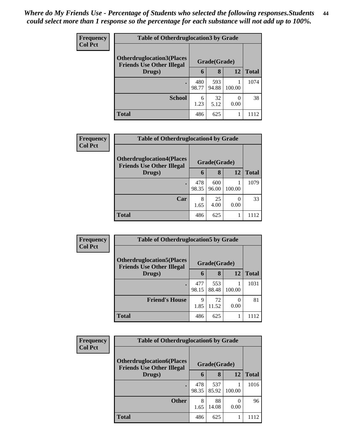| <b>Frequency</b> | <b>Table of Otherdruglocation 3 by Grade</b>                          |              |              |        |              |
|------------------|-----------------------------------------------------------------------|--------------|--------------|--------|--------------|
| <b>Col Pct</b>   | <b>Otherdruglocation3(Places)</b><br><b>Friends Use Other Illegal</b> |              | Grade(Grade) |        |              |
|                  | Drugs)                                                                | $\mathbf b$  | 8            | 12     | <b>Total</b> |
|                  | ٠                                                                     | 480<br>98.77 | 593<br>94.88 | 100.00 | 1074         |
|                  | <b>School</b>                                                         | 6<br>1.23    | 32<br>5.12   | 0.00   | 38           |
|                  | <b>Total</b>                                                          | 486          | 625          |        |              |

| <b>Frequency</b> | <b>Table of Otherdruglocation4 by Grade</b>                           |              |              |        |              |  |
|------------------|-----------------------------------------------------------------------|--------------|--------------|--------|--------------|--|
| <b>Col Pct</b>   | <b>Otherdruglocation4(Places)</b><br><b>Friends Use Other Illegal</b> |              | Grade(Grade) |        |              |  |
|                  | Drugs)                                                                | 6            | 8            | 12     | <b>Total</b> |  |
|                  |                                                                       | 478<br>98.35 | 600<br>96.00 | 100.00 | 1079         |  |
|                  | Car                                                                   | 8<br>1.65    | 25<br>4.00   | 0.00   | 33           |  |
|                  | <b>Total</b>                                                          | 486          | 625          |        | 1112         |  |

| <b>Frequency</b> | <b>Table of Otherdruglocation5 by Grade</b>                          |              |              |        |              |  |
|------------------|----------------------------------------------------------------------|--------------|--------------|--------|--------------|--|
| <b>Col Pct</b>   | <b>Otherdruglocation5(Places</b><br><b>Friends Use Other Illegal</b> |              | Grade(Grade) |        |              |  |
|                  | Drugs)                                                               | 6            | 8            | 12     | <b>Total</b> |  |
|                  |                                                                      | 477<br>98.15 | 553<br>88.48 | 100.00 | 1031         |  |
|                  | <b>Friend's House</b>                                                | 9<br>1.85    | 72<br>11.52  | 0.00   | 81           |  |
|                  | <b>Total</b>                                                         | 486          | 625          |        |              |  |

| <b>Frequency</b> | <b>Table of Otherdruglocation6 by Grade</b>                          |              |              |           |              |
|------------------|----------------------------------------------------------------------|--------------|--------------|-----------|--------------|
| <b>Col Pct</b>   | <b>Otherdruglocation6(Places</b><br><b>Friends Use Other Illegal</b> |              | Grade(Grade) |           |              |
|                  | Drugs)                                                               | 6            | 8            | 12        | <b>Total</b> |
|                  | $\bullet$                                                            | 478<br>98.35 | 537<br>85.92 | 100.00    | 1016         |
|                  | <b>Other</b>                                                         | 8<br>1.65    | 88<br>14.08  | 0<br>0.00 | 96           |
|                  | <b>Total</b>                                                         | 486          | 625          |           |              |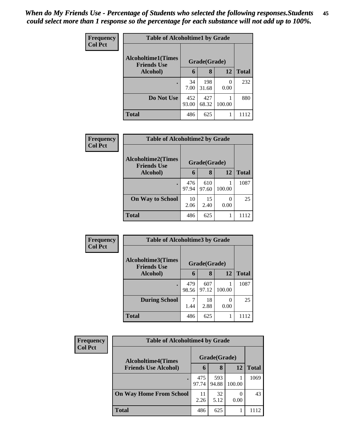| <b>Frequency</b> | <b>Table of Alcoholtime1 by Grade</b>           |              |              |           |              |  |  |
|------------------|-------------------------------------------------|--------------|--------------|-----------|--------------|--|--|
| <b>Col Pct</b>   | <b>Alcoholtime1(Times</b><br><b>Friends Use</b> |              | Grade(Grade) |           |              |  |  |
|                  | Alcohol)                                        | 6            | 8            | 12        | <b>Total</b> |  |  |
|                  | ٠                                               | 34<br>7.00   | 198<br>31.68 | 0<br>0.00 | 232          |  |  |
|                  | Do Not Use                                      | 452<br>93.00 | 427<br>68.32 | 100.00    | 880          |  |  |
|                  | <b>Total</b>                                    | 486          | 625          |           | 1112         |  |  |

| Frequency<br><b>Col Pct</b> | <b>Table of Alcoholtime2 by Grade</b>           |              |              |                  |              |  |  |
|-----------------------------|-------------------------------------------------|--------------|--------------|------------------|--------------|--|--|
|                             | <b>Alcoholtime2(Times</b><br><b>Friends Use</b> | Grade(Grade) |              |                  |              |  |  |
|                             | Alcohol)                                        | 6            | 8            | 12               | <b>Total</b> |  |  |
|                             | $\bullet$                                       | 476<br>97.94 | 610<br>97.60 | 100.00           | 1087         |  |  |
|                             | <b>On Way to School</b>                         | 10<br>2.06   | 15<br>2.40   | $\Omega$<br>0.00 | 25           |  |  |
|                             | <b>Total</b>                                    | 486          | 625          |                  | 1112         |  |  |

| Frequency      | <b>Table of Alcoholtime3 by Grade</b>           |              |              |        |              |  |  |
|----------------|-------------------------------------------------|--------------|--------------|--------|--------------|--|--|
| <b>Col Pct</b> | <b>Alcoholtime3(Times</b><br><b>Friends Use</b> |              | Grade(Grade) |        |              |  |  |
|                | Alcohol)                                        | 6            | 8            | 12     | <b>Total</b> |  |  |
|                | ٠                                               | 479<br>98.56 | 607<br>97.12 | 100.00 | 1087         |  |  |
|                | <b>During School</b>                            | 1.44         | 18<br>2.88   | 0.00   | 25           |  |  |
|                | <b>Total</b>                                    | 486          | 625          | 1      | 1112         |  |  |

| Frequency<br><b>Col Pct</b> | <b>Table of Alcoholtime4 by Grade</b> |              |              |              |      |  |
|-----------------------------|---------------------------------------|--------------|--------------|--------------|------|--|
|                             | <b>Alcoholtime4(Times</b>             | Grade(Grade) |              |              |      |  |
| <b>Friends Use Alcohol)</b> | 6                                     | 8            | 12           | <b>Total</b> |      |  |
|                             |                                       | 475<br>97.74 | 593<br>94.88 | 100.00       | 1069 |  |
|                             | <b>On Way Home From School</b>        | 11<br>2.26   | 32<br>5.12   | 0.00         | 43   |  |
|                             | <b>Total</b>                          | 486          | 625          |              | 1112 |  |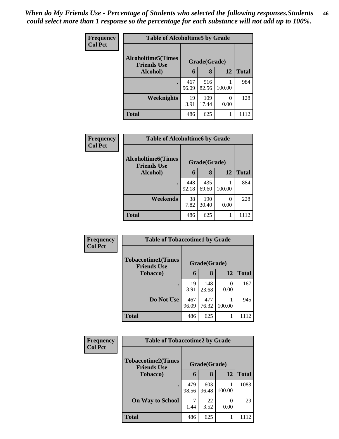| Frequency      | <b>Table of Alcoholtime5 by Grade</b>           |              |              |           |              |  |
|----------------|-------------------------------------------------|--------------|--------------|-----------|--------------|--|
| <b>Col Pct</b> | <b>Alcoholtime5(Times</b><br><b>Friends Use</b> |              | Grade(Grade) |           |              |  |
|                | Alcohol)                                        | 6            | 8            | 12        | <b>Total</b> |  |
|                | $\bullet$                                       | 467<br>96.09 | 516<br>82.56 | 100.00    | 984          |  |
|                | Weeknights                                      | 19<br>3.91   | 109<br>17.44 | 0<br>0.00 | 128          |  |
|                | <b>Total</b>                                    | 486          | 625          |           | 1112         |  |

| <b>Frequency</b><br><b>Col Pct</b> | <b>Table of Alcoholtime6 by Grade</b>           |              |              |                  |              |  |  |
|------------------------------------|-------------------------------------------------|--------------|--------------|------------------|--------------|--|--|
|                                    | <b>Alcoholtime6(Times</b><br><b>Friends Use</b> |              | Grade(Grade) |                  |              |  |  |
|                                    | Alcohol)                                        | 6            | 8            | 12               | <b>Total</b> |  |  |
|                                    | $\bullet$                                       | 448<br>92.18 | 435<br>69.60 | 100.00           | 884          |  |  |
|                                    | Weekends                                        | 38<br>7.82   | 190<br>30.40 | $\Omega$<br>0.00 | 228          |  |  |
|                                    | <b>Total</b>                                    | 486          | 625          |                  | 1112         |  |  |

| Frequency      | <b>Table of Tobaccotime1 by Grade</b>           |              |              |           |              |  |
|----------------|-------------------------------------------------|--------------|--------------|-----------|--------------|--|
| <b>Col Pct</b> | <b>Tobaccotime1(Times</b><br><b>Friends Use</b> |              | Grade(Grade) |           |              |  |
|                | <b>Tobacco</b> )                                | 6            | 8            | 12        | <b>Total</b> |  |
|                |                                                 | 19<br>3.91   | 148<br>23.68 | 0<br>0.00 | 167          |  |
|                | Do Not Use                                      | 467<br>96.09 | 477<br>76.32 | 100.00    | 945          |  |
|                | <b>Total</b>                                    | 486          | 625          |           |              |  |

| <b>Frequency</b> | <b>Table of Tobaccotime2 by Grade</b>           |              |              |        |              |
|------------------|-------------------------------------------------|--------------|--------------|--------|--------------|
| <b>Col Pct</b>   | <b>Tobaccotime2(Times</b><br><b>Friends Use</b> |              | Grade(Grade) |        |              |
|                  | <b>Tobacco</b> )                                | 6            | 8            | 12     | <b>Total</b> |
|                  | $\bullet$                                       | 479<br>98.56 | 603<br>96.48 | 100.00 | 1083         |
|                  | <b>On Way to School</b>                         | 1.44         | 22<br>3.52   | 0.00   | 29           |
|                  | <b>Total</b>                                    | 486          | 625          | 1      | 1112         |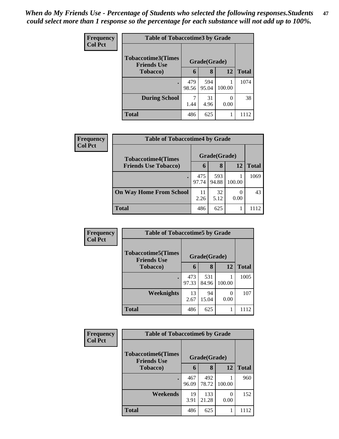| <b>Frequency</b><br><b>Col Pct</b> | <b>Table of Tobaccotime3 by Grade</b>                           |              |              |        |              |  |
|------------------------------------|-----------------------------------------------------------------|--------------|--------------|--------|--------------|--|
|                                    | <b>Tobaccotime3(Times</b><br>Grade(Grade)<br><b>Friends Use</b> |              |              |        |              |  |
|                                    | Tobacco)                                                        | 6            | 8            | 12     | <b>Total</b> |  |
|                                    | $\bullet$                                                       | 479<br>98.56 | 594<br>95.04 | 100.00 | 1074         |  |
|                                    | <b>During School</b>                                            | 1.44         | 31<br>4.96   | 0.00   | 38           |  |
|                                    | <b>Total</b>                                                    | 486          | 625          | 1      | 1112         |  |

| <b>Frequency</b> | <b>Table of Tobaccotime4 by Grade</b> |              |              |        |       |  |
|------------------|---------------------------------------|--------------|--------------|--------|-------|--|
| <b>Col Pct</b>   | <b>Tobaccotime4(Times</b>             |              | Grade(Grade) |        |       |  |
|                  | <b>Friends Use Tobacco)</b>           | 6            | 8            | 12     | Total |  |
|                  |                                       | 475<br>97.74 | 593<br>94.88 | 100.00 | 1069  |  |
|                  | <b>On Way Home From School</b>        | 11<br>2.26   | 32<br>5.12   | 0.00   | 43    |  |
|                  | <b>Total</b>                          | 486          | 625          |        | 1112  |  |

| <b>Frequency</b> | <b>Table of Tobaccotime5 by Grade</b>           |              |              |           |              |  |
|------------------|-------------------------------------------------|--------------|--------------|-----------|--------------|--|
| <b>Col Pct</b>   | <b>Tobaccotime5(Times</b><br><b>Friends Use</b> |              | Grade(Grade) |           |              |  |
|                  | <b>Tobacco</b> )                                | 6            | 8            | 12        | <b>Total</b> |  |
|                  |                                                 | 473<br>97.33 | 531<br>84.96 | 100.00    | 1005         |  |
|                  | Weeknights                                      | 13<br>2.67   | 94<br>15.04  | 0<br>0.00 | 107          |  |
|                  | <b>Total</b>                                    | 486          | 625          |           | 1112         |  |

| <b>Frequency</b> | <b>Table of Tobaccotime6 by Grade</b>           |              |              |           |              |  |
|------------------|-------------------------------------------------|--------------|--------------|-----------|--------------|--|
| <b>Col Pct</b>   | <b>Tobaccotime6(Times</b><br><b>Friends Use</b> | Grade(Grade) |              |           |              |  |
|                  | <b>Tobacco</b> )                                |              | 8            | 12        | <b>Total</b> |  |
|                  |                                                 | 467<br>96.09 | 492<br>78.72 | 100.00    | 960          |  |
|                  | Weekends                                        | 19<br>3.91   | 133<br>21.28 | 0<br>0.00 | 152          |  |
|                  | <b>Total</b>                                    | 486          | 625          | 1         | 1112         |  |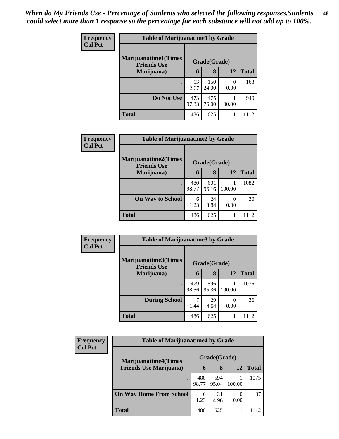| <b>Frequency</b> | <b>Table of Marijuanatime1 by Grade</b>           |              |              |        |              |
|------------------|---------------------------------------------------|--------------|--------------|--------|--------------|
| <b>Col Pct</b>   | <b>Marijuanatime1(Times</b><br><b>Friends Use</b> |              | Grade(Grade) |        |              |
|                  | Marijuana)                                        | 6            | 8            | 12     | <b>Total</b> |
|                  |                                                   | 13<br>2.67   | 150<br>24.00 | 0.00   | 163          |
|                  | Do Not Use                                        | 473<br>97.33 | 475<br>76.00 | 100.00 | 949          |
|                  | <b>Total</b>                                      | 486          | 625          |        | 1112         |

| Frequency      | <b>Table of Marijuanatime2 by Grade</b>            |              |              |        |              |  |
|----------------|----------------------------------------------------|--------------|--------------|--------|--------------|--|
| <b>Col Pct</b> | <b>Marijuanatime2</b> (Times<br><b>Friends Use</b> |              | Grade(Grade) |        |              |  |
|                | Marijuana)                                         | 6            | 8            | 12     | <b>Total</b> |  |
|                | $\bullet$                                          | 480<br>98.77 | 601<br>96.16 | 100.00 | 1082         |  |
|                | <b>On Way to School</b>                            | 6<br>1.23    | 24<br>3.84   | 0.00   | 30           |  |
|                | <b>Total</b>                                       | 486          | 625          |        | 1112         |  |

| Frequency<br><b>Col Pct</b> | <b>Table of Marijuanatime3 by Grade</b>    |              |              |        |              |  |
|-----------------------------|--------------------------------------------|--------------|--------------|--------|--------------|--|
|                             | Marijuanatime3(Times<br><b>Friends Use</b> |              | Grade(Grade) |        |              |  |
|                             | Marijuana)                                 | 6            | 8            | 12     | <b>Total</b> |  |
|                             |                                            | 479<br>98.56 | 596<br>95.36 | 100.00 | 1076         |  |
|                             | <b>During School</b>                       | 7<br>1.44    | 29<br>4.64   | 0.00   | 36           |  |
|                             | <b>Total</b>                               | 486          | 625          |        | 1112         |  |

| Frequency      | <b>Table of Marijuanatime4 by Grade</b> |              |              |        |              |  |
|----------------|-----------------------------------------|--------------|--------------|--------|--------------|--|
| <b>Col Pct</b> | <b>Marijuanatime4(Times</b>             |              | Grade(Grade) |        |              |  |
|                | <b>Friends Use Marijuana</b> )          | 6            | 8            | 12     | <b>Total</b> |  |
|                |                                         | 480<br>98.77 | 594<br>95.04 | 100.00 | 1075         |  |
|                | <b>On Way Home From School</b>          | 6<br>1.23    | 31<br>4.96   | 0.00   | 37           |  |
|                | <b>Total</b>                            | 486          | 625          |        | 1112         |  |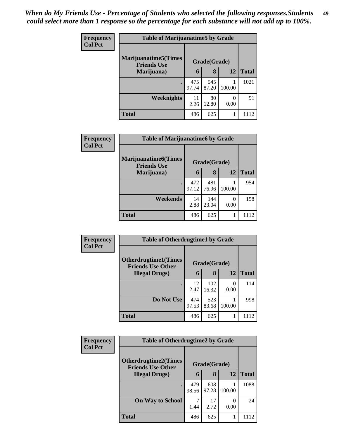| Frequency      | <b>Table of Marijuanatime5 by Grade</b>            |              |              |           |              |
|----------------|----------------------------------------------------|--------------|--------------|-----------|--------------|
| <b>Col Pct</b> | <b>Marijuanatime5</b> (Times<br><b>Friends Use</b> |              | Grade(Grade) |           |              |
|                | Marijuana)                                         | 6            | 8            | 12        | <b>Total</b> |
|                |                                                    | 475<br>97.74 | 545<br>87.20 | 100.00    | 1021         |
|                | <b>Weeknights</b>                                  | 11<br>2.26   | 80<br>12.80  | 0<br>0.00 | 91           |
|                | <b>Total</b>                                       | 486          | 625          |           | 1112         |

| Frequency      | <b>Table of Marijuanatime6 by Grade</b>            |              |              |        |              |  |
|----------------|----------------------------------------------------|--------------|--------------|--------|--------------|--|
| <b>Col Pct</b> | <b>Marijuanatime6</b> (Times<br><b>Friends Use</b> |              | Grade(Grade) |        |              |  |
|                | Marijuana)                                         | 6            | 8            | 12     | <b>Total</b> |  |
|                | ٠                                                  | 472<br>97.12 | 481<br>76.96 | 100.00 | 954          |  |
|                | Weekends                                           | 14<br>2.88   | 144<br>23.04 | 0.00   | 158          |  |
|                | <b>Total</b>                                       | 486          | 625          |        | 1112         |  |

| Frequency      | <b>Table of Otherdrugtime1 by Grade</b>                 |              |              |           |              |
|----------------|---------------------------------------------------------|--------------|--------------|-----------|--------------|
| <b>Col Pct</b> | <b>Otherdrugtime1(Times</b><br><b>Friends Use Other</b> |              | Grade(Grade) |           |              |
|                | <b>Illegal Drugs</b> )                                  | 6            | 8            | <b>12</b> | <b>Total</b> |
|                |                                                         | 12<br>2.47   | 102<br>16.32 | 0<br>0.00 | 114          |
|                | Do Not Use                                              | 474<br>97.53 | 523<br>83.68 | 100.00    | 998          |
|                | <b>Total</b>                                            | 486          | 625          |           | 1112         |

| <b>Frequency</b> | <b>Table of Otherdrugtime2 by Grade</b>                 |                                      |              |        |              |  |
|------------------|---------------------------------------------------------|--------------------------------------|--------------|--------|--------------|--|
| <b>Col Pct</b>   | <b>Otherdrugtime2(Times</b><br><b>Friends Use Other</b> |                                      | Grade(Grade) |        |              |  |
|                  | <b>Illegal Drugs</b> )                                  | 6                                    | 8            | 12     | <b>Total</b> |  |
|                  | $\bullet$                                               | 479<br>98.56                         | 608<br>97.28 | 100.00 | 1088         |  |
|                  | <b>On Way to School</b>                                 | 7<br>17<br>0<br>2.72<br>1.44<br>0.00 |              | 24     |              |  |
|                  | Total                                                   | 486                                  | 625          |        | 1112         |  |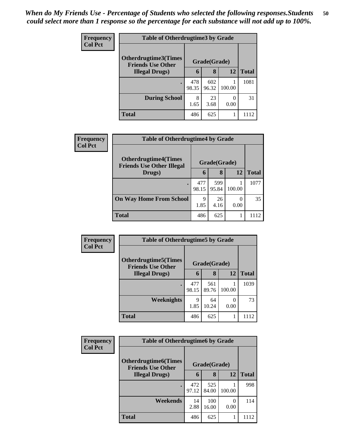| <b>Frequency</b> | <b>Table of Otherdrugtime3 by Grade</b>          |              |              |           |              |  |
|------------------|--------------------------------------------------|--------------|--------------|-----------|--------------|--|
| <b>Col Pct</b>   | Otherdrugtime3(Times<br><b>Friends Use Other</b> | Grade(Grade) |              |           |              |  |
|                  | <b>Illegal Drugs</b> )                           | 6            | 8            | 12        | <b>Total</b> |  |
|                  | $\bullet$                                        | 478<br>98.35 | 602<br>96.32 | 100.00    | 1081         |  |
|                  | <b>During School</b>                             | 8<br>1.65    | 23<br>3.68   | 0<br>0.00 | 31           |  |
|                  | <b>Total</b>                                     | 486          | 625          |           | 1112         |  |

| Frequency      | <b>Table of Otherdrugtime4 by Grade</b>                         |              |              |                  |              |  |
|----------------|-----------------------------------------------------------------|--------------|--------------|------------------|--------------|--|
| <b>Col Pct</b> | <b>Otherdrugtime4(Times</b><br><b>Friends Use Other Illegal</b> |              | Grade(Grade) |                  |              |  |
|                | Drugs)                                                          | $\mathbf{b}$ | 8            | 12               | <b>Total</b> |  |
|                | $\bullet$                                                       | 477<br>98.15 | 599<br>95.84 | 100.00           | 1077         |  |
|                | <b>On Way Home From School</b>                                  | 9<br>1.85    | 26<br>4.16   | $\Omega$<br>0.00 | 35           |  |
|                | <b>Total</b>                                                    | 486          | 625          |                  | 1112         |  |

| Frequency<br><b>Col Pct</b> | <b>Table of Otherdrugtime5 by Grade</b>                  |              |              |           |              |  |  |
|-----------------------------|----------------------------------------------------------|--------------|--------------|-----------|--------------|--|--|
|                             | <b>Otherdrugtime5</b> (Times<br><b>Friends Use Other</b> |              | Grade(Grade) |           |              |  |  |
|                             | <b>Illegal Drugs</b> )                                   | 6            | 8            | 12        | <b>Total</b> |  |  |
|                             |                                                          | 477<br>98.15 | 561<br>89.76 | 100.00    | 1039         |  |  |
|                             | Weeknights                                               | 9<br>1.85    | 64<br>10.24  | 0<br>0.00 | 73           |  |  |
|                             | <b>Total</b>                                             | 486          | 625          |           | 1112         |  |  |

| Frequency      | <b>Table of Otherdrugtime6 by Grade</b>                  |              |              |                  |              |  |  |
|----------------|----------------------------------------------------------|--------------|--------------|------------------|--------------|--|--|
| <b>Col Pct</b> | <b>Otherdrugtime6</b> (Times<br><b>Friends Use Other</b> |              | Grade(Grade) |                  |              |  |  |
|                | <b>Illegal Drugs</b> )                                   | 6            | 8            | 12               | <b>Total</b> |  |  |
|                |                                                          | 472<br>97.12 | 525<br>84.00 | 100.00           | 998          |  |  |
|                | Weekends                                                 | 14<br>2.88   | 100<br>16.00 | $\left($<br>0.00 | 114          |  |  |
|                | <b>Total</b>                                             | 486          | 625          |                  | 1112         |  |  |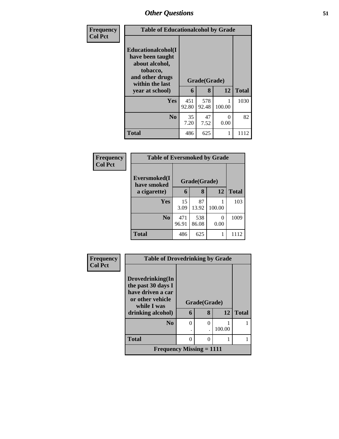| Frequency      | <b>Table of Educationalcohol by Grade</b>                                                                  |              |              |           |              |  |  |
|----------------|------------------------------------------------------------------------------------------------------------|--------------|--------------|-----------|--------------|--|--|
| <b>Col Pct</b> | Educationalcohol(I<br>have been taught<br>about alcohol,<br>tobacco,<br>and other drugs<br>within the last |              | Grade(Grade) |           |              |  |  |
|                | year at school)                                                                                            | 6            | 8            | 12        | <b>Total</b> |  |  |
|                | Yes                                                                                                        | 451<br>92.80 | 578<br>92.48 | 100.00    | 1030         |  |  |
|                | N <sub>0</sub>                                                                                             | 35<br>7.20   | 47<br>7.52   | 0<br>0.00 | 82           |  |  |
|                | <b>Total</b>                                                                                               | 486          | 625          | 1         | 1112         |  |  |

| Frequency      | <b>Table of Eversmoked by Grade</b> |              |              |           |              |
|----------------|-------------------------------------|--------------|--------------|-----------|--------------|
| <b>Col Pct</b> | Eversmoked(I<br>have smoked         |              | Grade(Grade) |           |              |
|                | a cigarette)                        | 6            | 8            | 12        | <b>Total</b> |
|                | <b>Yes</b>                          | 15<br>3.09   | 87<br>13.92  | 100.00    | 103          |
|                | N <sub>0</sub>                      | 471<br>96.91 | 538<br>86.08 | 0<br>0.00 | 1009         |
|                | <b>Total</b>                        | 486          | 625          |           | 1112         |

| Frequency      | <b>Table of Drovedrinking by Grade</b>  |          |               |        |              |
|----------------|-----------------------------------------|----------|---------------|--------|--------------|
| <b>Col Pct</b> |                                         |          |               |        |              |
|                | Drovedrinking(In                        |          |               |        |              |
|                | the past 30 days I<br>have driven a car |          |               |        |              |
|                | or other vehicle<br>while I was         |          | Grade(Grade)  |        |              |
|                | drinking alcohol)                       | 6        | 8             | 12     | <b>Total</b> |
|                | $\bf No$                                | $\Omega$ | $\mathcal{L}$ |        |              |
|                |                                         |          |               | 100.00 |              |
|                | <b>Total</b>                            | 0        |               |        |              |
|                | Frequency Missing $= 1111$              |          |               |        |              |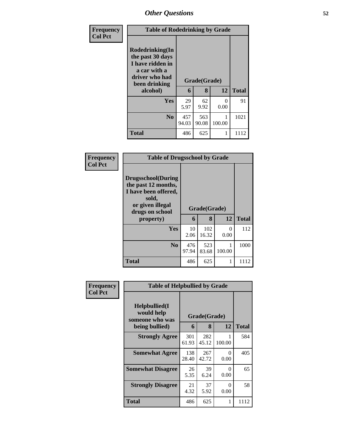| Frequency      | <b>Table of Rodedrinking by Grade</b>                                                                                  |              |                   |                           |              |  |  |
|----------------|------------------------------------------------------------------------------------------------------------------------|--------------|-------------------|---------------------------|--------------|--|--|
| <b>Col Pct</b> | Rodedrinking(In<br>the past 30 days<br>I have ridden in<br>a car with a<br>driver who had<br>been drinking<br>alcohol) | 6            | Grade(Grade)<br>8 | 12                        | <b>Total</b> |  |  |
|                | <b>Yes</b>                                                                                                             | 29<br>5.97   | 62<br>9.92        | $\mathbf{\Omega}$<br>0.00 | 91           |  |  |
|                | No.                                                                                                                    | 457<br>94.03 | 563<br>90.08      | 100.00                    | 1021         |  |  |
|                | <b>Total</b>                                                                                                           | 486          | 625               |                           | 1112         |  |  |

| Frequency      | <b>Table of Drugsschool by Grade</b>                                                                                                   |              |                   |           |              |
|----------------|----------------------------------------------------------------------------------------------------------------------------------------|--------------|-------------------|-----------|--------------|
| <b>Col Pct</b> | <b>Drugsschool</b> (During<br>the past 12 months,<br>I have been offered,<br>sold,<br>or given illegal<br>drugs on school<br>property) | 6            | Grade(Grade)<br>8 | 12        | <b>Total</b> |
|                | Yes                                                                                                                                    | 10<br>2.06   | 102<br>16.32      | 0<br>0.00 | 112          |
|                | N <sub>0</sub>                                                                                                                         | 476<br>97.94 | 523<br>83.68      | 100.00    | 1000         |
|                | <b>Total</b>                                                                                                                           | 486          | 625               | 1         | 1112         |

| Frequency      | <b>Table of Helpbullied by Grade</b>                              |                              |              |           |              |
|----------------|-------------------------------------------------------------------|------------------------------|--------------|-----------|--------------|
| <b>Col Pct</b> | Helpbullied(I)<br>would help<br>someone who was<br>being bullied) | Grade(Grade)<br>12<br>8<br>6 |              |           | <b>Total</b> |
|                | <b>Strongly Agree</b>                                             | 301<br>61.93                 | 282<br>45.12 | 100.00    | 584          |
|                | <b>Somewhat Agree</b>                                             | 138<br>28.40                 | 267<br>42.72 | 0<br>0.00 | 405          |
|                | <b>Somewhat Disagree</b>                                          | 26<br>5.35                   | 39<br>6.24   | 0<br>0.00 | 65           |
|                | <b>Strongly Disagree</b>                                          | 21<br>4.32                   | 37<br>5.92   | 0<br>0.00 | 58           |
|                | Total                                                             | 486                          | 625          | 1         | 1112         |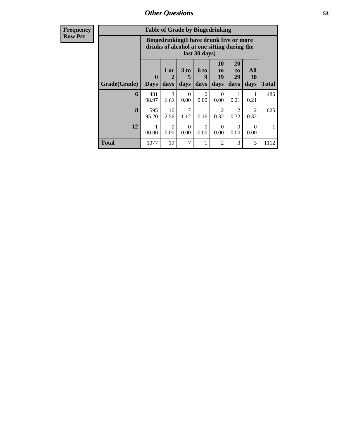| <b>Table of Grade by Bingedrinking</b> |                            |                                                                                                                                                                    |                  |                  |                        |                        |                        |      |  |
|----------------------------------------|----------------------------|--------------------------------------------------------------------------------------------------------------------------------------------------------------------|------------------|------------------|------------------------|------------------------|------------------------|------|--|
|                                        |                            | Bingedrinking(I have drunk five or more<br>drinks of alcohol at one sitting during the<br>last 30 days)                                                            |                  |                  |                        |                        |                        |      |  |
| Grade(Grade)                           | $\mathbf 0$<br><b>Days</b> | 20<br><b>10</b><br>All<br>3 to<br><b>6 to</b><br>1 or<br>to<br>to<br>29<br>9<br>19<br>30<br>2<br>5<br><b>Total</b><br>days<br>days<br>days<br>days<br>days<br>days |                  |                  |                        |                        |                        |      |  |
| 6                                      | 481<br>98.97               | $\mathcal{F}$<br>0.62                                                                                                                                              | $\Omega$<br>0.00 | $\Omega$<br>0.00 | $\Omega$<br>0.00       | 1<br>0.21              | 0.21                   | 486  |  |
| 8                                      | 595<br>95.20               | 16<br>2.56                                                                                                                                                         | 7<br>1.12        | 1<br>0.16        | $\mathfrak{D}$<br>0.32 | $\overline{2}$<br>0.32 | $\mathfrak{D}$<br>0.32 | 625  |  |
| 12                                     | 100.00                     | $\Omega$<br>$\Omega$<br>$\Omega$<br>$\Omega$<br>0<br>0<br>0.00<br>0.00<br>0.00<br>0.00<br>0.00<br>0.00                                                             |                  |                  |                        |                        |                        |      |  |
| <b>Total</b>                           | 1077                       | 19                                                                                                                                                                 | 7                | 1                | $\mathfrak{D}$         | 3                      | 3                      | 1112 |  |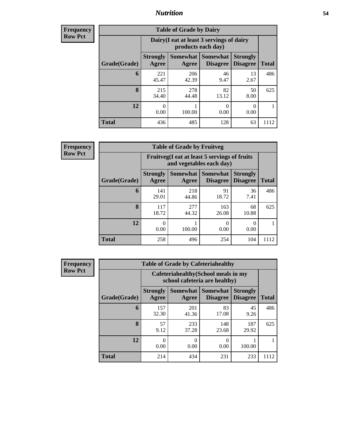## *Nutrition* **54**

**Frequency Row Pct**

| <b>Table of Grade by Dairy</b> |                          |                                                                                                 |             |            |      |  |  |  |
|--------------------------------|--------------------------|-------------------------------------------------------------------------------------------------|-------------|------------|------|--|--|--|
|                                |                          | Dairy (I eat at least 3 servings of dairy<br>products each day)                                 |             |            |      |  |  |  |
| Grade(Grade)                   | <b>Strongly</b><br>Agree | Somewhat  <br><b>Somewhat</b><br><b>Strongly</b><br><b>Disagree</b><br><b>Disagree</b><br>Agree |             |            |      |  |  |  |
| 6                              | 221<br>45.47             | 206<br>42.39                                                                                    | 46<br>9.47  | 13<br>2.67 | 486  |  |  |  |
| 8                              | 215<br>34.40             | 278<br>44.48                                                                                    | 82<br>13.12 | 50<br>8.00 | 625  |  |  |  |
| 12                             | $_{0}$<br>0.00           | 100.00                                                                                          | 0<br>0.00   | 0<br>0.00  |      |  |  |  |
| <b>Total</b>                   | 436                      | 485                                                                                             | 128         | 63         | 1112 |  |  |  |

**Frequency Row Pct**

| $\overline{I}$ | <b>Table of Grade by Fruitveg</b> |                          |                                                                          |                                    |                                    |              |  |
|----------------|-----------------------------------|--------------------------|--------------------------------------------------------------------------|------------------------------------|------------------------------------|--------------|--|
|                |                                   |                          | Fruitveg(I eat at least 5 servings of fruits<br>and vegetables each day) |                                    |                                    |              |  |
|                | Grade(Grade)                      | <b>Strongly</b><br>Agree | Somewhat  <br>Agree                                                      | <b>Somewhat</b><br><b>Disagree</b> | <b>Strongly</b><br><b>Disagree</b> | <b>Total</b> |  |
|                | 6                                 | 141<br>29.01             | 218<br>44.86                                                             | 91<br>18.72                        | 36<br>7.41                         | 486          |  |
|                | 8                                 | 117<br>18.72             | 277<br>44.32                                                             | 163<br>26.08                       | 68<br>10.88                        | 625          |  |
|                | 12                                | 0.00                     | 100.00                                                                   | 0<br>0.00                          | 0.00                               |              |  |
|                | <b>Total</b>                      | 258                      | 496                                                                      | 254                                | 104                                | 1112         |  |

| <b>Table of Grade by Cafeteriahealthy</b> |                                                                       |                     |                                    |                                    |              |  |  |
|-------------------------------------------|-----------------------------------------------------------------------|---------------------|------------------------------------|------------------------------------|--------------|--|--|
|                                           | Cafeteriahealthy (School meals in my<br>school cafeteria are healthy) |                     |                                    |                                    |              |  |  |
| Grade(Grade)                              | <b>Strongly</b><br>Agree                                              | Somewhat  <br>Agree | <b>Somewhat</b><br><b>Disagree</b> | <b>Strongly</b><br><b>Disagree</b> | <b>Total</b> |  |  |
| 6                                         | 157<br>32.30                                                          | 201<br>41.36        | 83<br>17.08                        | 45<br>9.26                         | 486          |  |  |
| 8                                         | 57<br>9.12                                                            | 233<br>37.28        | 148<br>23.68                       | 187<br>29.92                       | 625          |  |  |
| 12                                        | 0<br>0.00                                                             | 0.00                | 0.00                               | 100.00                             |              |  |  |
| <b>Total</b>                              | 214                                                                   | 434                 | 231                                | 233                                | 1112         |  |  |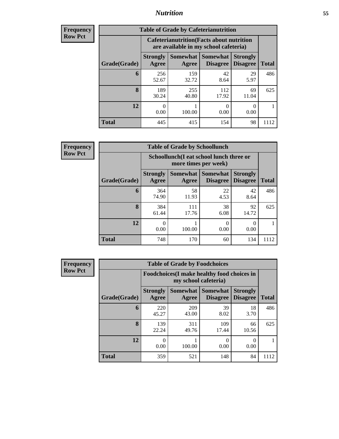## *Nutrition* **55**

| Frequency |
|-----------|
| Row Pct   |

| <b>Table of Grade by Cafeterianutrition</b> |                                                                                                                 |                                                                                           |              |             |      |  |  |
|---------------------------------------------|-----------------------------------------------------------------------------------------------------------------|-------------------------------------------------------------------------------------------|--------------|-------------|------|--|--|
|                                             |                                                                                                                 | <b>Cafeterianutrition</b> (Facts about nutrition<br>are available in my school cafeteria) |              |             |      |  |  |
| Grade(Grade)                                | Somewhat Somewhat<br><b>Strongly</b><br><b>Strongly</b><br><b>Disagree</b><br>Agree<br><b>Disagree</b><br>Agree |                                                                                           |              |             |      |  |  |
| 6                                           | 256<br>52.67                                                                                                    | 159<br>32.72                                                                              | 42<br>8.64   | 29<br>5.97  | 486  |  |  |
| 8                                           | 189<br>30.24                                                                                                    | 255<br>40.80                                                                              | 112<br>17.92 | 69<br>11.04 | 625  |  |  |
| 12                                          | 0<br>0.00                                                                                                       | 100.00                                                                                    | 0<br>0.00    | 0.00        |      |  |  |
| Total                                       | 445                                                                                                             | 415                                                                                       | 154          | 98          | 1112 |  |  |

**Frequency Row Pct**

| <b>Table of Grade by Schoollunch</b> |                          |                                                                 |                                   |                                    |              |  |  |
|--------------------------------------|--------------------------|-----------------------------------------------------------------|-----------------------------------|------------------------------------|--------------|--|--|
|                                      |                          | Schoollunch(I eat school lunch three or<br>more times per week) |                                   |                                    |              |  |  |
| Grade(Grade)                         | <b>Strongly</b><br>Agree | Agree                                                           | Somewhat   Somewhat  <br>Disagree | <b>Strongly</b><br><b>Disagree</b> | <b>Total</b> |  |  |
| 6                                    | 364<br>74.90             | 58<br>11.93                                                     | 22<br>4.53                        | 42<br>8.64                         | 486          |  |  |
| 8                                    | 384<br>61.44             | 111<br>17.76                                                    | 38<br>6.08                        | 92<br>14.72                        | 625          |  |  |
| 12                                   | 0.00                     | 100.00                                                          | 0.00                              | 0.00                               |              |  |  |
| <b>Total</b>                         | 748                      | 170                                                             | 60                                | 134                                | 1112         |  |  |

| <b>Table of Grade by Foodchoices</b> |                                                                            |                   |                                    |                                    |              |  |  |
|--------------------------------------|----------------------------------------------------------------------------|-------------------|------------------------------------|------------------------------------|--------------|--|--|
|                                      | <b>Foodchoices</b> (I make healthy food choices in<br>my school cafeteria) |                   |                                    |                                    |              |  |  |
| Grade(Grade)                         | <b>Strongly</b><br>Agree                                                   | Somewhat<br>Agree | <b>Somewhat</b><br><b>Disagree</b> | <b>Strongly</b><br><b>Disagree</b> | <b>Total</b> |  |  |
| 6                                    | 220<br>45.27                                                               | 209<br>43.00      | 39<br>8.02                         | 18<br>3.70                         | 486          |  |  |
| 8                                    | 139<br>22.24                                                               | 311<br>49.76      | 109<br>17.44                       | 66<br>10.56                        | 625          |  |  |
| 12                                   | 0<br>0.00                                                                  | 100.00            | 0<br>0.00                          | 0.00                               |              |  |  |
| <b>Total</b>                         | 359                                                                        | 521               | 148                                | 84                                 | 1112         |  |  |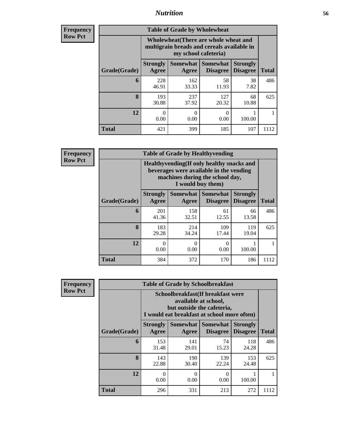## *Nutrition* **56**

| <b>Frequency</b><br>Row Pct |
|-----------------------------|
|                             |

| <b>Table of Grade by Wholewheat</b> |                                                                                                                                           |                  |                  |             |      |  |  |
|-------------------------------------|-------------------------------------------------------------------------------------------------------------------------------------------|------------------|------------------|-------------|------|--|--|
|                                     | Wholewheat (There are whole wheat and<br>multigrain breads and cereals available in<br>my school cafeteria)                               |                  |                  |             |      |  |  |
| Grade(Grade)                        | Somewhat<br><b>Somewhat</b><br><b>Strongly</b><br><b>Strongly</b><br><b>Disagree</b><br>Agree<br><b>Disagree</b><br><b>Total</b><br>Agree |                  |                  |             |      |  |  |
| 6                                   | 228<br>46.91                                                                                                                              | 162<br>33.33     | 58<br>11.93      | 38<br>7.82  | 486  |  |  |
| 8                                   | 193<br>30.88                                                                                                                              | 237<br>37.92     | 127<br>20.32     | 68<br>10.88 | 625  |  |  |
| 12                                  | 0<br>0.00                                                                                                                                 | $\Omega$<br>0.00 | $\Omega$<br>0.00 | 100.00      |      |  |  |
| <b>Total</b>                        | 421                                                                                                                                       | 399              | 185              | 107         | 1112 |  |  |

**Frequency Row Pct**

| V | <b>Table of Grade by Healthyvending</b> |                                                                                                                          |                          |                             |                                    |              |  |  |
|---|-----------------------------------------|--------------------------------------------------------------------------------------------------------------------------|--------------------------|-----------------------------|------------------------------------|--------------|--|--|
|   |                                         | Healthyvending (If only healthy snacks and<br>beverages were available in the vending<br>machines during the school day, |                          |                             |                                    |              |  |  |
|   | Grade(Grade)                            | <b>Strongly</b><br>Agree                                                                                                 | <b>Somewhat</b><br>Agree | Somewhat<br><b>Disagree</b> | <b>Strongly</b><br><b>Disagree</b> | <b>Total</b> |  |  |
|   | 6                                       | 201<br>41.36                                                                                                             | 158<br>32.51             | 61<br>12.55                 | 66<br>13.58                        | 486          |  |  |
|   | 8                                       | 183<br>29.28                                                                                                             | 214<br>34.24             | 109<br>17.44                | 119<br>19.04                       | 625          |  |  |
|   | 12                                      | 0<br>0.00                                                                                                                | 0<br>0.00                | 0<br>0.00                   | 100.00                             |              |  |  |
|   | <b>Total</b>                            | 384                                                                                                                      | 372                      | 170                         | 186                                | 1112         |  |  |

| <b>Table of Grade by Schoolbreakfast</b> |                                                                                                                                         |              |              |              |      |  |  |
|------------------------------------------|-----------------------------------------------------------------------------------------------------------------------------------------|--------------|--------------|--------------|------|--|--|
|                                          | Schoolbreakfast (If breakfast were<br>available at school,<br>but outside the cafeteria,<br>I would eat breakfast at school more often) |              |              |              |      |  |  |
| Grade(Grade)                             | Somewhat  <br>Somewhat<br><b>Strongly</b><br><b>Strongly</b><br><b>Disagree</b><br><b>Total</b><br>Agree<br><b>Disagree</b><br>Agree    |              |              |              |      |  |  |
| 6                                        | 153<br>31.48                                                                                                                            | 141<br>29.01 | 74<br>15.23  | 118<br>24.28 | 486  |  |  |
| $\bf{8}$                                 | 143<br>22.88                                                                                                                            | 190<br>30.40 | 139<br>22.24 | 153<br>24.48 | 625  |  |  |
| 12                                       | 0<br>0<br>0.00<br>0.00<br>100.00<br>0.00                                                                                                |              |              |              |      |  |  |
| <b>Total</b>                             | 296                                                                                                                                     | 331          | 213          | 272          | 1112 |  |  |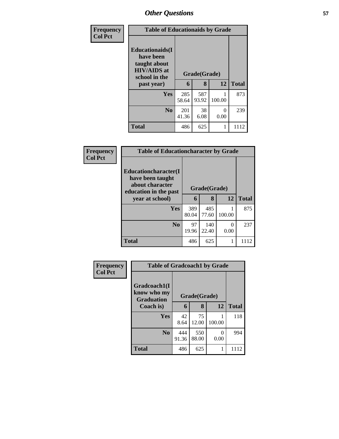| Frequency      | <b>Table of Educationaids by Grade</b>                                                                    |              |                   |           |              |
|----------------|-----------------------------------------------------------------------------------------------------------|--------------|-------------------|-----------|--------------|
| <b>Col Pct</b> | <b>Educationaids</b> (I<br>have been<br>taught about<br><b>HIV/AIDS</b> at<br>school in the<br>past year) | 6            | Grade(Grade)<br>8 | 12        | <b>Total</b> |
|                | Yes                                                                                                       | 285<br>58.64 | 587<br>93.92      | 100.00    | 873          |
|                | N <sub>0</sub>                                                                                            | 201<br>41.36 | 38<br>6.08        | 0<br>0.00 | 239          |
|                | <b>Total</b>                                                                                              | 486          | 625               |           | 1112         |

| <b>Frequency</b> | <b>Table of Educationcharacter by Grade</b>                                          |              |              |           |              |  |
|------------------|--------------------------------------------------------------------------------------|--------------|--------------|-----------|--------------|--|
| <b>Col Pct</b>   | Educationcharacter(I<br>have been taught<br>about character<br>education in the past | Grade(Grade) |              |           |              |  |
|                  | year at school)                                                                      | 6            | 8            | 12        | <b>Total</b> |  |
|                  | <b>Yes</b>                                                                           | 389<br>80.04 | 485<br>77.60 | 100.00    | 875          |  |
|                  | N <sub>0</sub>                                                                       | 97<br>19.96  | 140<br>22.40 | 0<br>0.00 | 237          |  |
|                  | <b>Total</b>                                                                         | 486          | 625          |           | 1112         |  |

| Frequency      | <b>Table of Gradcoach1 by Grade</b>              |              |              |        |              |
|----------------|--------------------------------------------------|--------------|--------------|--------|--------------|
| <b>Col Pct</b> | Gradcoach1(I<br>know who my<br><b>Graduation</b> |              | Grade(Grade) |        |              |
|                | Coach is)                                        | 6            | 8            | 12     | <b>Total</b> |
|                | Yes                                              | 42<br>8.64   | 75<br>12.00  | 100.00 | 118          |
|                | N <sub>0</sub>                                   | 444<br>91.36 | 550<br>88.00 | 0.00   | 994          |
|                | <b>Total</b>                                     | 486          | 625          |        | 1112         |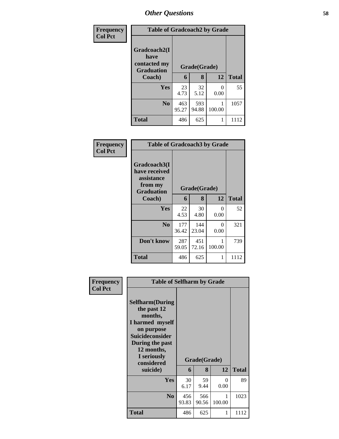| <b>Frequency</b> | <b>Table of Gradcoach2 by Grade</b>                       |              |              |                       |              |
|------------------|-----------------------------------------------------------|--------------|--------------|-----------------------|--------------|
| <b>Col Pct</b>   | Gradcoach2(I<br>have<br>contacted my<br><b>Graduation</b> | Grade(Grade) |              |                       |              |
|                  | Coach)                                                    | 6            | 8            | 12                    | <b>Total</b> |
|                  | Yes                                                       | 23<br>4.73   | 32<br>5.12   | $\mathcal{O}$<br>0.00 | 55           |
|                  | N <sub>0</sub>                                            | 463<br>95.27 | 593<br>94.88 | 100.00                | 1057         |
|                  | Total                                                     | 486          | 625          |                       | 1112         |

| Frequency<br><b>Col Pct</b> | <b>Table of Gradcoach3 by Grade</b>                                         |              |              |                  |              |
|-----------------------------|-----------------------------------------------------------------------------|--------------|--------------|------------------|--------------|
|                             | Gradcoach3(I<br>have received<br>assistance<br>from my<br><b>Graduation</b> | Grade(Grade) |              |                  |              |
|                             | Coach)                                                                      | 6            | 8            | 12               | <b>Total</b> |
|                             | Yes                                                                         | 22<br>4.53   | 30<br>4.80   | $\Omega$<br>0.00 | 52           |
|                             | N <sub>0</sub>                                                              | 177<br>36.42 | 144<br>23.04 | 0<br>0.00        | 321          |
|                             | Don't know                                                                  | 287<br>59.05 | 451<br>72.16 | 100.00           | 739          |
|                             | <b>Total</b>                                                                | 486          | 625          |                  | 1112         |

| Frequency<br><b>Col Pct</b> | <b>Table of Selfharm by Grade</b>                                                                                                                                          |              |              |             |              |
|-----------------------------|----------------------------------------------------------------------------------------------------------------------------------------------------------------------------|--------------|--------------|-------------|--------------|
|                             | <b>Selfharm</b> (During<br>the past 12<br>months,<br>I harmed myself<br>on purpose<br><b>Suicideconsider</b><br>During the past<br>12 months,<br>I seriously<br>considered |              | Grade(Grade) |             |              |
|                             | suicide)                                                                                                                                                                   | 6            | 8            | 12          | <b>Total</b> |
|                             | Yes                                                                                                                                                                        | 30<br>6.17   | 59<br>9.44   | 0<br>0.00   | 89           |
|                             | N <sub>0</sub>                                                                                                                                                             | 456<br>93.83 | 566<br>90.56 | 1<br>100.00 | 1023         |
|                             | Total                                                                                                                                                                      | 486          | 625          | 1           | 1112         |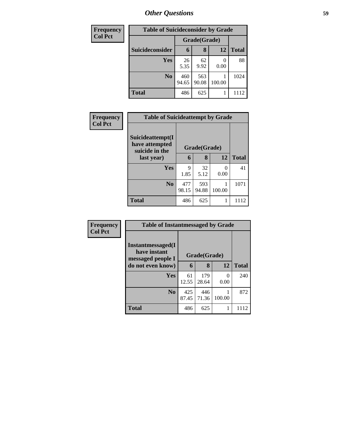| <b>Frequency</b> | <b>Table of Suicideconsider by Grade</b> |              |              |        |              |  |
|------------------|------------------------------------------|--------------|--------------|--------|--------------|--|
| <b>Col Pct</b>   |                                          | Grade(Grade) |              |        |              |  |
|                  | Suicideconsider                          | 6            | 8            | 12     | <b>Total</b> |  |
|                  | Yes                                      | 26<br>5.35   | 62<br>9.92   | 0.00   | 88           |  |
|                  | N <sub>0</sub>                           | 460<br>94.65 | 563<br>90.08 | 100.00 | 1024         |  |
|                  | <b>Total</b>                             | 486          | 625          |        | 1112         |  |

| Frequency      |                                                      | <b>Table of Suicideattempt by Grade</b> |              |           |              |  |  |
|----------------|------------------------------------------------------|-----------------------------------------|--------------|-----------|--------------|--|--|
| <b>Col Pct</b> | Suicideattempt(I<br>have attempted<br>suicide in the |                                         | Grade(Grade) |           |              |  |  |
|                | last year)                                           | 6                                       | 8            | 12        | <b>Total</b> |  |  |
|                | Yes                                                  | 9<br>1.85                               | 32<br>5.12   | 0<br>0.00 | 41           |  |  |
|                | N <sub>0</sub>                                       | 477<br>98.15                            | 593<br>94.88 | 100.00    | 1071         |  |  |
|                | <b>Total</b>                                         | 486                                     | 625          | 1         | 1112         |  |  |

| Frequency      | <b>Table of Instantmessaged by Grade</b>               |              |              |                  |              |  |
|----------------|--------------------------------------------------------|--------------|--------------|------------------|--------------|--|
| <b>Col Pct</b> | Instantmessaged(I<br>have instant<br>messaged people I |              | Grade(Grade) |                  |              |  |
|                | do not even know)                                      | 6            | 8            | 12               | <b>Total</b> |  |
|                | Yes                                                    | 61<br>12.55  | 179<br>28.64 | $\Omega$<br>0.00 | 240          |  |
|                | N <sub>0</sub>                                         | 425<br>87.45 | 446<br>71.36 | 100.00           | 872          |  |
|                | <b>Total</b>                                           | 486          | 625          |                  | 1112         |  |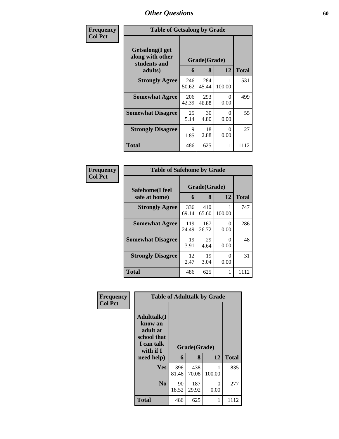| Frequency      | <b>Table of Getsalong by Grade</b>                  |              |              |                  |              |  |
|----------------|-----------------------------------------------------|--------------|--------------|------------------|--------------|--|
| <b>Col Pct</b> | Getsalong(I get<br>along with other<br>students and | Grade(Grade) |              |                  |              |  |
|                | adults)                                             | 6            | 8            | 12               | <b>Total</b> |  |
|                | <b>Strongly Agree</b>                               | 246<br>50.62 | 284<br>45.44 | 100.00           | 531          |  |
|                | <b>Somewhat Agree</b>                               | 206<br>42.39 | 293<br>46.88 | 0<br>0.00        | 499          |  |
|                | <b>Somewhat Disagree</b>                            | 25<br>5.14   | 30<br>4.80   | 0<br>0.00        | 55           |  |
|                | <b>Strongly Disagree</b>                            | 9<br>1.85    | 18<br>2.88   | $\Omega$<br>0.00 | 27           |  |
|                | <b>Total</b>                                        | 486          | 625          | 1                | 1112         |  |

| Frequency      | <b>Table of Safehome by Grade</b> |              |                   |           |              |
|----------------|-----------------------------------|--------------|-------------------|-----------|--------------|
| <b>Col Pct</b> | Safehome(I feel<br>safe at home)  | 6            | Grade(Grade)<br>8 | 12        | <b>Total</b> |
|                | <b>Strongly Agree</b>             | 336<br>69.14 | 410<br>65.60      | 100.00    | 747          |
|                | <b>Somewhat Agree</b>             | 119<br>24.49 | 167<br>26.72      | 0<br>0.00 | 286          |
|                | <b>Somewhat Disagree</b>          | 19<br>3.91   | 29<br>4.64        | 0<br>0.00 | 48           |
|                | <b>Strongly Disagree</b>          | 12<br>2.47   | 19<br>3.04        | 0<br>0.00 | 31           |
|                | <b>Total</b>                      | 486          | 625               |           | 1112         |

| Frequency      | <b>Table of Adulttalk by Grade</b>                                                                |              |                   |           |              |  |  |  |  |
|----------------|---------------------------------------------------------------------------------------------------|--------------|-------------------|-----------|--------------|--|--|--|--|
| <b>Col Pct</b> | <b>Adulttalk(I</b><br>know an<br>adult at<br>school that<br>I can talk<br>with if I<br>need help) | 6            | Grade(Grade)<br>8 | 12        | <b>Total</b> |  |  |  |  |
|                | <b>Yes</b>                                                                                        | 396<br>81.48 | 438<br>70.08      | 100.00    | 835          |  |  |  |  |
|                | N <sub>0</sub>                                                                                    | 90<br>18.52  | 187<br>29.92      | 0<br>0.00 | 277          |  |  |  |  |
|                | <b>Total</b>                                                                                      | 486          | 625               |           | 1112         |  |  |  |  |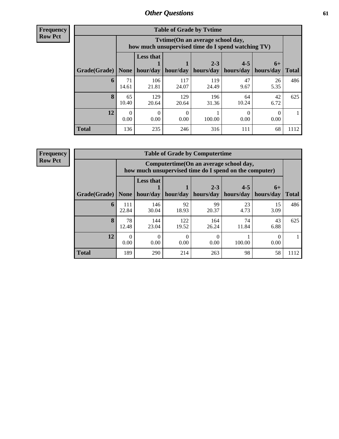**Frequency Row Pct**

| <b>Table of Grade by Tytime</b> |             |                                                                                        |              |                      |                      |                   |              |  |  |
|---------------------------------|-------------|----------------------------------------------------------------------------------------|--------------|----------------------|----------------------|-------------------|--------------|--|--|
|                                 |             | Tytime(On an average school day,<br>how much unsupervised time do I spend watching TV) |              |                      |                      |                   |              |  |  |
| Grade(Grade)                    | None        | <b>Less that</b><br>hour/day                                                           | hour/day     | $2 - 3$<br>hours/day | $4 - 5$<br>hours/day | $6+$<br>hours/day | <b>Total</b> |  |  |
| 6                               | 71<br>14.61 | 106<br>21.81                                                                           | 117<br>24.07 | 119<br>24.49         | 47<br>9.67           | 26<br>5.35        | 486          |  |  |
| 8                               | 65<br>10.40 | 129<br>20.64                                                                           | 129<br>20.64 | 196<br>31.36         | 64<br>10.24          | 42<br>6.72        | 625          |  |  |
| 12                              | 0.00        | 0.00                                                                                   | 0.00         | 100.00               | 0.00                 | 0.00              |              |  |  |
| <b>Total</b>                    | 136         | 235                                                                                    | 246          | 316                  | 111                  | 68                | 1112         |  |  |

**Frequency**

**Row Pct**

| <b>Table of Grade by Computertime</b> |              |                                                                                                   |                  |                      |                      |                   |              |
|---------------------------------------|--------------|---------------------------------------------------------------------------------------------------|------------------|----------------------|----------------------|-------------------|--------------|
|                                       |              | Computertime (On an average school day,<br>how much unsupervised time do I spend on the computer) |                  |                      |                      |                   |              |
| Grade(Grade)                          | <b>None</b>  | <b>Less that</b><br>hour/day                                                                      | hour/day         | $2 - 3$<br>hours/day | $4 - 5$<br>hours/day | $6+$<br>hours/day | <b>Total</b> |
| 6                                     | 111<br>22.84 | 146<br>30.04                                                                                      | 92<br>18.93      | 99<br>20.37          | 23<br>4.73           | 15<br>3.09        | 486          |
| 8                                     | 78<br>12.48  | 144<br>23.04                                                                                      | 122<br>19.52     | 164<br>26.24         | 74<br>11.84          | 43<br>6.88        | 625          |
| 12                                    | 0<br>0.00    | 0.00                                                                                              | $\theta$<br>0.00 | 0.00                 | 100.00               | 0.00              |              |
| <b>Total</b>                          | 189          | 290                                                                                               | 214              | 263                  | 98                   | 58                | 1112         |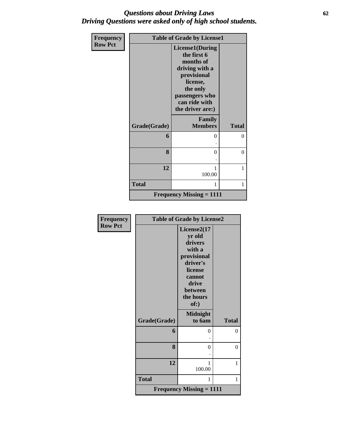## *Questions about Driving Laws* **62** *Driving Questions were asked only of high school students.*

| Frequency      |              | <b>Table of Grade by License1</b>                                                                                                                           |                |
|----------------|--------------|-------------------------------------------------------------------------------------------------------------------------------------------------------------|----------------|
| <b>Row Pct</b> |              | License1(During<br>the first 6<br>months of<br>driving with a<br>provisional<br>license,<br>the only<br>passengers who<br>can ride with<br>the driver are:) |                |
|                | Grade(Grade) | Family<br><b>Members</b>                                                                                                                                    | <b>Total</b>   |
|                | 6            | 0                                                                                                                                                           | $\theta$       |
|                | 8            | 0                                                                                                                                                           | $\overline{0}$ |
|                | 12           | 100.00                                                                                                                                                      | 1              |
|                | <b>Total</b> | 1                                                                                                                                                           | 1              |
|                |              | <b>Frequency Missing = 1111</b>                                                                                                                             |                |

| Frequency      | <b>Table of Grade by License2</b> |                                 |              |  |  |
|----------------|-----------------------------------|---------------------------------|--------------|--|--|
|                |                                   |                                 |              |  |  |
| <b>Row Pct</b> |                                   | License2(17                     |              |  |  |
|                |                                   | yr old                          |              |  |  |
|                |                                   | drivers                         |              |  |  |
|                |                                   | with a                          |              |  |  |
|                |                                   | provisional                     |              |  |  |
|                |                                   | driver's                        |              |  |  |
|                |                                   | license                         |              |  |  |
|                |                                   | cannot                          |              |  |  |
|                |                                   | drive                           |              |  |  |
|                |                                   | between                         |              |  |  |
|                |                                   | the hours                       |              |  |  |
|                |                                   | of:)                            |              |  |  |
|                |                                   |                                 |              |  |  |
|                |                                   | <b>Midnight</b>                 |              |  |  |
|                | Grade(Grade)                      | to 6am                          | <b>Total</b> |  |  |
|                | 6                                 | 0                               | $\theta$     |  |  |
|                |                                   |                                 |              |  |  |
|                | 8                                 | $\theta$                        | $\theta$     |  |  |
|                |                                   |                                 |              |  |  |
|                | 12                                | 1                               | 1            |  |  |
|                |                                   | 100.00                          |              |  |  |
|                |                                   |                                 |              |  |  |
|                | <b>Total</b>                      | 1                               | 1            |  |  |
|                |                                   | <b>Frequency Missing = 1111</b> |              |  |  |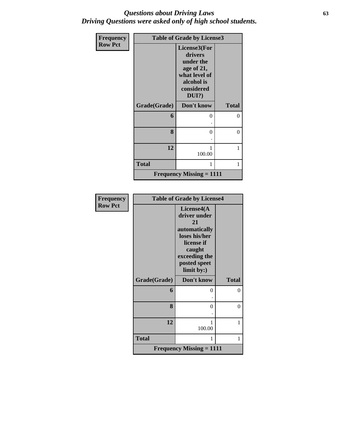## *Questions about Driving Laws* **63** *Driving Questions were asked only of high school students.*

| Frequency      | <b>Table of Grade by License3</b> |                                                                                                             |              |  |
|----------------|-----------------------------------|-------------------------------------------------------------------------------------------------------------|--------------|--|
| <b>Row Pct</b> |                                   | License3(For<br>drivers<br>under the<br>age of 21,<br>what level of<br>alcohol is<br>considered<br>$DUI$ ?) |              |  |
|                | Grade(Grade)                      | Don't know                                                                                                  | <b>Total</b> |  |
|                | 6                                 | 0                                                                                                           | $\theta$     |  |
|                |                                   |                                                                                                             |              |  |
|                | 8                                 | $\theta$                                                                                                    | $\theta$     |  |
|                |                                   |                                                                                                             |              |  |
|                | 12                                | 1<br>100.00                                                                                                 | 1            |  |
|                | <b>Total</b>                      | 1                                                                                                           | 1            |  |
|                |                                   | <b>Frequency Missing = 1111</b>                                                                             |              |  |

| Frequency      |              | <b>Table of Grade by License4</b>                                                                                                         |                |
|----------------|--------------|-------------------------------------------------------------------------------------------------------------------------------------------|----------------|
| <b>Row Pct</b> |              | License4(A<br>driver under<br>21<br>automatically<br>loses his/her<br>license if<br>caught<br>exceeding the<br>posted speet<br>limit by:) |                |
|                | Grade(Grade) | Don't know                                                                                                                                | <b>Total</b>   |
|                | 6            | 0                                                                                                                                         | $\overline{0}$ |
|                |              |                                                                                                                                           |                |
|                | 8            | 0                                                                                                                                         | $\overline{0}$ |
|                |              |                                                                                                                                           |                |
|                | 12           | 1<br>100.00                                                                                                                               | 1              |
|                |              |                                                                                                                                           |                |
|                | <b>Total</b> | 1                                                                                                                                         | 1              |
|                |              | <b>Frequency Missing = 1111</b>                                                                                                           |                |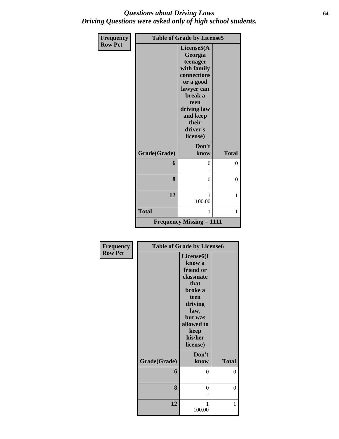## *Questions about Driving Laws* **64** *Driving Questions were asked only of high school students.*

| <b>Frequency</b> |              | <b>Table of Grade by License5</b>                                           |              |
|------------------|--------------|-----------------------------------------------------------------------------|--------------|
| <b>Row Pct</b>   |              | License5(A<br>Georgia                                                       |              |
|                  |              | teenager<br>with family<br>connections                                      |              |
|                  |              | or a good<br>lawyer can                                                     |              |
|                  |              | break a<br>teen<br>driving law<br>and keep<br>their<br>driver's<br>license) |              |
|                  | Grade(Grade) | Don't<br>know                                                               | <b>Total</b> |
|                  | 6            | 0                                                                           | 0            |
|                  | 8            | $\theta$                                                                    | $\theta$     |
|                  | 12           | 1<br>100.00                                                                 | 1            |
|                  | <b>Total</b> | 1                                                                           | 1            |
|                  |              | <b>Frequency Missing = 1111</b>                                             |              |

| <b>Frequency</b> |              | <b>Table of Grade by License6</b> |                |
|------------------|--------------|-----------------------------------|----------------|
| <b>Row Pct</b>   |              | License <sub>6</sub> (I           |                |
|                  |              | know a                            |                |
|                  |              | friend or                         |                |
|                  |              | classmate                         |                |
|                  |              | that                              |                |
|                  |              | broke a                           |                |
|                  |              | teen                              |                |
|                  |              | driving                           |                |
|                  |              | law,                              |                |
|                  |              | but was                           |                |
|                  |              | allowed to                        |                |
|                  |              | keep                              |                |
|                  |              | his/her                           |                |
|                  |              | license)                          |                |
|                  |              | Don't                             |                |
|                  | Grade(Grade) | know                              | <b>Total</b>   |
|                  | 6            | $\theta$                          | $\overline{0}$ |
|                  |              |                                   |                |
|                  | 8            | 0                                 | $\overline{0}$ |
|                  |              |                                   |                |
|                  | 12           | 1                                 | 1              |
|                  |              | 100.00                            |                |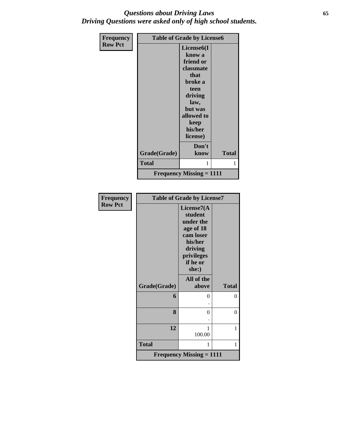## *Questions about Driving Laws* **65** *Driving Questions were asked only of high school students.*

| Frequency      |              | <b>Table of Grade by License6</b> |              |
|----------------|--------------|-----------------------------------|--------------|
| <b>Row Pct</b> |              | License <sub>6</sub> (I           |              |
|                |              | know a                            |              |
|                |              | friend or                         |              |
|                |              | classmate                         |              |
|                |              | that                              |              |
|                |              | broke a                           |              |
|                |              | teen                              |              |
|                |              | driving                           |              |
|                |              | law,                              |              |
|                |              | but was                           |              |
|                |              | allowed to                        |              |
|                |              | keep                              |              |
|                |              | his/her                           |              |
|                |              | license)                          |              |
|                |              | Don't                             |              |
|                | Grade(Grade) | know                              | <b>Total</b> |
|                |              |                                   |              |
|                | <b>Total</b> |                                   | 1            |
|                |              | <b>Frequency Missing = 1111</b>   |              |

| <b>Frequency</b> | <b>Table of Grade by License7</b> |                                                                                                                        |              |  |  |
|------------------|-----------------------------------|------------------------------------------------------------------------------------------------------------------------|--------------|--|--|
| <b>Row Pct</b>   |                                   | License7(A)<br>student<br>under the<br>age of 18<br>cam loser<br>his/her<br>driving<br>privileges<br>if he or<br>she:) |              |  |  |
|                  | Grade(Grade)                      | All of the<br>above                                                                                                    | <b>Total</b> |  |  |
|                  | 6                                 | 0                                                                                                                      | $\Omega$     |  |  |
|                  | 8                                 | 0                                                                                                                      | $\theta$     |  |  |
|                  | 12                                | 1<br>100.00                                                                                                            | 1            |  |  |
|                  | <b>Total</b>                      | 1                                                                                                                      | 1            |  |  |
|                  |                                   | <b>Frequency Missing = 1111</b>                                                                                        |              |  |  |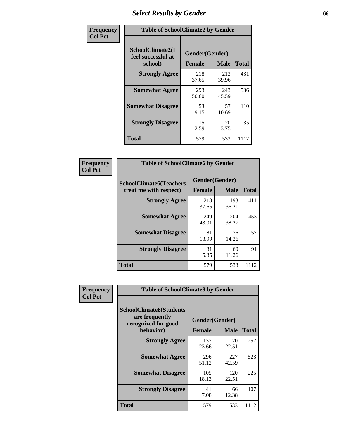# *Select Results by Gender* **66**

| Frequency      | <b>Table of SchoolClimate2 by Gender</b> |                               |                             |                     |  |
|----------------|------------------------------------------|-------------------------------|-----------------------------|---------------------|--|
| <b>Col Pct</b> | SchoolClimate2(I<br>feel successful at   | Gender(Gender)                |                             |                     |  |
|                | school)<br><b>Strongly Agree</b>         | <b>Female</b><br>218<br>37.65 | <b>Male</b><br>213<br>39.96 | <b>Total</b><br>431 |  |
|                | <b>Somewhat Agree</b>                    | 293<br>50.60                  | 243<br>45.59                | 536                 |  |
|                | <b>Somewhat Disagree</b>                 | 53<br>9.15                    | 57<br>10.69                 | 110                 |  |
|                | <b>Strongly Disagree</b>                 | 15<br>2.59                    | 20<br>3.75                  | 35                  |  |
|                | <b>Total</b>                             | 579                           | 533                         | 1112                |  |

| Frequency      | <b>Table of SchoolClimate6 by Gender</b>                 |                                 |              |              |  |
|----------------|----------------------------------------------------------|---------------------------------|--------------|--------------|--|
| <b>Col Pct</b> | <b>SchoolClimate6(Teachers</b><br>treat me with respect) | Gender(Gender)<br><b>Female</b> | <b>Male</b>  | <b>Total</b> |  |
|                | <b>Strongly Agree</b>                                    | 218<br>37.65                    | 193<br>36.21 | 411          |  |
|                | <b>Somewhat Agree</b>                                    | 249<br>43.01                    | 204<br>38.27 | 453          |  |
|                | <b>Somewhat Disagree</b>                                 | 81<br>13.99                     | 76<br>14.26  | 157          |  |
|                | <b>Strongly Disagree</b>                                 | 31<br>5.35                      | 60<br>11.26  | 91           |  |
|                | <b>Total</b>                                             | 579                             | 533          | 1112         |  |

| <b>Frequency</b> | <b>Table of SchoolClimate8 by Gender</b>                                             |               |                               |              |  |
|------------------|--------------------------------------------------------------------------------------|---------------|-------------------------------|--------------|--|
| <b>Col Pct</b>   | <b>SchoolClimate8(Students</b><br>are frequently<br>recognized for good<br>behavior) | <b>Female</b> | Gender(Gender)<br><b>Male</b> | <b>Total</b> |  |
|                  | <b>Strongly Agree</b>                                                                | 137<br>23.66  | 120<br>22.51                  | 257          |  |
|                  | <b>Somewhat Agree</b>                                                                | 296<br>51.12  | 227<br>42.59                  | 523          |  |
|                  | <b>Somewhat Disagree</b>                                                             | 105<br>18.13  | 120<br>22.51                  | 225          |  |
|                  | <b>Strongly Disagree</b>                                                             | 41<br>7.08    | 66<br>12.38                   | 107          |  |
|                  | Total                                                                                | 579           | 533                           | 1112         |  |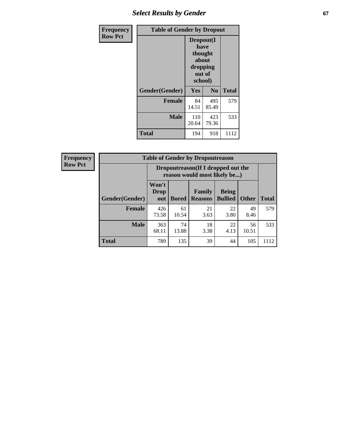# **Select Results by Gender 67**

| Frequency      | <b>Table of Gender by Dropout</b> |                                                                        |                |              |
|----------------|-----------------------------------|------------------------------------------------------------------------|----------------|--------------|
| <b>Row Pct</b> |                                   | Dropout(I<br>have<br>thought<br>about<br>dropping<br>out of<br>school) |                |              |
|                | Gender(Gender)                    | Yes                                                                    | N <sub>0</sub> | <b>Total</b> |
|                | <b>Female</b>                     | 84<br>14.51                                                            | 495<br>85.49   | 579          |
|                | <b>Male</b>                       | 110<br>20.64                                                           | 423<br>79.36   | 533          |
|                | <b>Total</b>                      | 194                                                                    | 918            | 1112         |

| <b>Frequency</b> | <b>Table of Gender by Dropoutreason</b> |                             |              |                                                                     |                                |              |  |
|------------------|-----------------------------------------|-----------------------------|--------------|---------------------------------------------------------------------|--------------------------------|--------------|--|
| <b>Row Pct</b>   |                                         |                             |              | Dropoutreason (If I dropped out the<br>reason would most likely be) |                                |              |  |
|                  | <b>Gender</b> (Gender)                  | Won't<br><b>Drop</b><br>out | <b>Bored</b> | <b>Family</b><br><b>Reasons</b>                                     | <b>Being</b><br><b>Bullied</b> | <b>Other</b> |  |
|                  | Female                                  | 426<br>73.58                | 61<br>10.54  | 21<br>3.63                                                          | 22<br>3.80                     | 49<br>8.46   |  |
|                  | <b>Male</b>                             | 363<br>68.11                | 74<br>13.88  | 18<br>3.38                                                          | 22<br>4.13                     | 56<br>10.51  |  |

г ٦

**Total** 789 135 39 44 105 1112

**Total**

579

533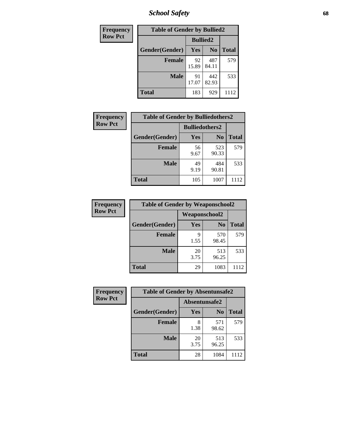*School Safety* **68**

| Frequency      | <b>Table of Gender by Bullied2</b> |                 |                |              |
|----------------|------------------------------------|-----------------|----------------|--------------|
| <b>Row Pct</b> |                                    | <b>Bullied2</b> |                |              |
|                | Gender(Gender)                     | Yes             | N <sub>0</sub> | <b>Total</b> |
|                | <b>Female</b>                      | 92<br>15.89     | 487<br>84.11   | 579          |
|                | <b>Male</b>                        | 91<br>17.07     | 442<br>82.93   | 533          |
|                | Total                              | 183             | 929            | 1112         |

| Frequency      | <b>Table of Gender by Bulliedothers2</b> |                       |                |              |
|----------------|------------------------------------------|-----------------------|----------------|--------------|
| <b>Row Pct</b> |                                          | <b>Bulliedothers2</b> |                |              |
|                | Gender(Gender)                           | <b>Yes</b>            | N <sub>0</sub> | <b>Total</b> |
|                | <b>Female</b>                            | 56<br>9.67            | 523<br>90.33   | 579          |
|                | <b>Male</b>                              | 49<br>9.19            | 484<br>90.81   | 533          |
|                | <b>Total</b>                             | 105                   | 1007           | 1112         |

| <b>Frequency</b> | <b>Table of Gender by Weaponschool2</b> |               |                |              |
|------------------|-----------------------------------------|---------------|----------------|--------------|
| <b>Row Pct</b>   |                                         | Weaponschool2 |                |              |
|                  | Gender(Gender)                          | Yes           | N <sub>0</sub> | <b>Total</b> |
|                  | <b>Female</b>                           | 9<br>1.55     | 570<br>98.45   | 579          |
|                  | <b>Male</b>                             | 20<br>3.75    | 513<br>96.25   | 533          |
|                  | <b>Total</b>                            | 29            | 1083           | 1112         |

| Frequency      | <b>Table of Gender by Absentunsafe2</b> |               |                |              |
|----------------|-----------------------------------------|---------------|----------------|--------------|
| <b>Row Pct</b> |                                         | Absentunsafe2 |                |              |
|                | Gender(Gender)                          | <b>Yes</b>    | N <sub>0</sub> | <b>Total</b> |
|                | <b>Female</b>                           | 8<br>1.38     | 571<br>98.62   | 579          |
|                | <b>Male</b>                             | 20<br>3.75    | 513<br>96.25   | 533          |
|                | <b>Total</b>                            | 28            | 1084           | 1112         |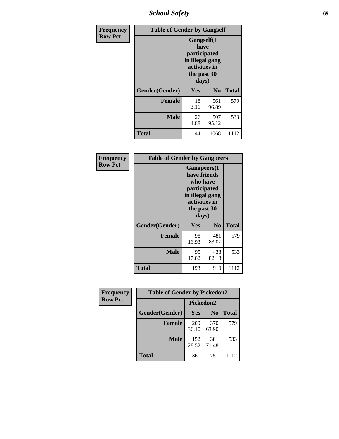*School Safety* **69**

| Frequency      | <b>Table of Gender by Gangself</b> |                                                                                                |                |              |
|----------------|------------------------------------|------------------------------------------------------------------------------------------------|----------------|--------------|
| <b>Row Pct</b> |                                    | Gangself(I<br>have<br>participated<br>in illegal gang<br>activities in<br>the past 30<br>days) |                |              |
|                | Gender(Gender)                     | Yes                                                                                            | N <sub>0</sub> | <b>Total</b> |
|                | <b>Female</b>                      | 18<br>3.11                                                                                     | 561<br>96.89   | 579          |
|                | <b>Male</b>                        | 26<br>4.88                                                                                     | 507<br>95.12   | 533          |
|                | <b>Total</b>                       | 44                                                                                             | 1068           | 1112         |

| Frequency      | <b>Table of Gender by Gangpeers</b> |                                                                                                                             |                |       |
|----------------|-------------------------------------|-----------------------------------------------------------------------------------------------------------------------------|----------------|-------|
| <b>Row Pct</b> |                                     | <b>Gangpeers</b> (I<br>have friends<br>who have<br>participated<br>in illegal gang<br>activities in<br>the past 30<br>days) |                |       |
|                | Gender(Gender)                      | Yes                                                                                                                         | N <sub>0</sub> | Total |
|                | <b>Female</b>                       | 98<br>16.93                                                                                                                 | 481<br>83.07   | 579   |
|                | <b>Male</b>                         | 95<br>17.82                                                                                                                 | 438<br>82.18   | 533   |
|                | Total                               | 193                                                                                                                         | 919            | 1112  |

| Frequency      | <b>Table of Gender by Pickedon2</b> |              |                |              |
|----------------|-------------------------------------|--------------|----------------|--------------|
| <b>Row Pct</b> |                                     | Pickedon2    |                |              |
|                | Gender(Gender)                      | Yes          | N <sub>0</sub> | <b>Total</b> |
|                | <b>Female</b>                       | 209<br>36.10 | 370<br>63.90   | 579          |
|                | <b>Male</b>                         | 152<br>28.52 | 381<br>71.48   | 533          |
|                | <b>Total</b>                        | 361          | 751            | 1112         |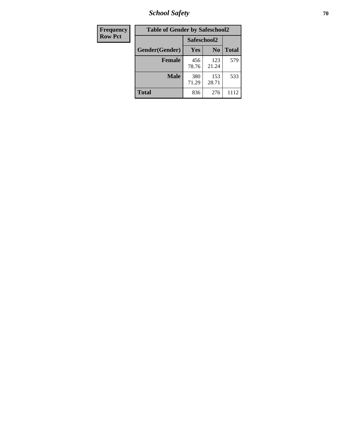*School Safety* **70**

| Frequency      | <b>Table of Gender by Safeschool2</b> |              |                |              |
|----------------|---------------------------------------|--------------|----------------|--------------|
| <b>Row Pct</b> |                                       | Safeschool2  |                |              |
|                | Gender(Gender)                        | <b>Yes</b>   | N <sub>0</sub> | <b>Total</b> |
|                | <b>Female</b>                         | 456<br>78.76 | 123<br>21.24   | 579          |
|                | Male                                  | 380<br>71.29 | 153<br>28.71   | 533          |
|                | <b>Total</b>                          | 836          | 276            | 1112         |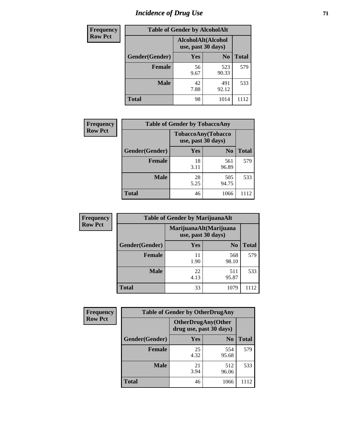# *Incidence of Drug Use* <sup>71</sup>

| <b>Frequency</b> | <b>Table of Gender by AlcoholAlt</b> |                                          |                |              |  |
|------------------|--------------------------------------|------------------------------------------|----------------|--------------|--|
| <b>Row Pct</b>   |                                      | AlcoholAlt(Alcohol<br>use, past 30 days) |                |              |  |
|                  | Gender(Gender)                       | <b>Yes</b>                               | N <sub>0</sub> | <b>Total</b> |  |
|                  | <b>Female</b>                        | 56<br>9.67                               | 523<br>90.33   | 579          |  |
|                  | <b>Male</b>                          | 42<br>7.88                               | 491<br>92.12   | 533          |  |
|                  | <b>Total</b>                         | 98                                       | 1014           | 1112         |  |

| <b>Frequency</b> | <b>Table of Gender by TobaccoAny</b> |                                          |                |              |
|------------------|--------------------------------------|------------------------------------------|----------------|--------------|
| <b>Row Pct</b>   |                                      | TobaccoAny(Tobacco<br>use, past 30 days) |                |              |
|                  | Gender(Gender)                       | Yes                                      | N <sub>0</sub> | <b>Total</b> |
|                  | <b>Female</b>                        | 18<br>3.11                               | 561<br>96.89   | 579          |
|                  | <b>Male</b>                          | 28<br>5.25                               | 505<br>94.75   | 533          |
|                  | <b>Total</b>                         | 46                                       | 1066           | 1112         |

| <b>Frequency</b> | <b>Table of Gender by MarijuanaAlt</b> |                                              |                |              |
|------------------|----------------------------------------|----------------------------------------------|----------------|--------------|
| <b>Row Pct</b>   |                                        | MarijuanaAlt(Marijuana<br>use, past 30 days) |                |              |
|                  | Gender(Gender)                         | <b>Yes</b>                                   | N <sub>0</sub> | <b>Total</b> |
|                  | <b>Female</b>                          | 11<br>1.90                                   | 568<br>98.10   | 579          |
|                  | <b>Male</b>                            | 22<br>4.13                                   | 511<br>95.87   | 533          |
|                  | <b>Total</b>                           | 33                                           | 1079           |              |

| <b>Frequency</b> | <b>Table of Gender by OtherDrugAny</b> |                                                       |                |              |
|------------------|----------------------------------------|-------------------------------------------------------|----------------|--------------|
| <b>Row Pct</b>   |                                        | <b>OtherDrugAny</b> (Other<br>drug use, past 30 days) |                |              |
|                  | Gender(Gender)                         | <b>Yes</b>                                            | N <sub>0</sub> | <b>Total</b> |
|                  | <b>Female</b>                          | 25<br>4.32                                            | 554<br>95.68   | 579          |
|                  | <b>Male</b>                            | 21<br>3.94                                            | 512<br>96.06   | 533          |
|                  | <b>Total</b>                           | 46                                                    | 1066           | 1112         |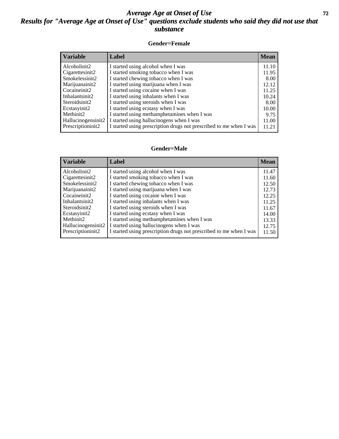## *Average Age at Onset of Use* **72** *Results for "Average Age at Onset of Use" questions exclude students who said they did not use that substance*

### **Gender=Female**

| <b>Variable</b>    | Label                                                              | <b>Mean</b> |
|--------------------|--------------------------------------------------------------------|-------------|
| Alcoholinit2       | I started using alcohol when I was                                 | 11.10       |
| Cigarettesinit2    | I started smoking tobacco when I was                               | 11.95       |
| Smokelessinit2     | I started chewing tobacco when I was                               | 8.00        |
| Marijuanainit2     | I started using marijuana when I was                               | 12.12       |
| Cocaineinit2       | I started using cocaine when I was                                 | 11.25       |
| Inhalantsinit2     | I started using inhalants when I was                               | 10.24       |
| Steroidsinit2      | I started using steroids when I was                                | 8.00        |
| Ecstasyinit2       | I started using ecstasy when I was                                 | 10.00       |
| Methinit2          | I started using methamphetamines when I was                        | 9.75        |
| Hallucinogensinit2 | I started using hallucinogens when I was                           | 11.00       |
| Prescription in t2 | I started using prescription drugs not prescribed to me when I was | 11.21       |

### **Gender=Male**

| <b>Variable</b>    | Label                                                              | <b>Mean</b> |
|--------------------|--------------------------------------------------------------------|-------------|
| Alcoholinit2       | I started using alcohol when I was                                 | 11.47       |
| Cigarettesinit2    | I started smoking tobacco when I was                               | 11.60       |
| Smokelessinit2     | I started chewing tobacco when I was                               | 12.50       |
| Marijuanainit2     | I started using marijuana when I was                               | 12.73       |
| Cocaineinit2       | I started using cocaine when I was                                 | 12.25       |
| Inhalantsinit2     | I started using inhalants when I was                               | 11.25       |
| Steroidsinit2      | I started using steroids when I was                                | 11.67       |
| Ecstasyinit2       | I started using ecstasy when I was                                 | 14.00       |
| Methinit2          | I started using methamphetamines when I was                        | 13.33       |
| Hallucinogensinit2 | I started using hallucinogens when I was                           | 12.75       |
| Prescriptioninit2  | I started using prescription drugs not prescribed to me when I was | 11.50       |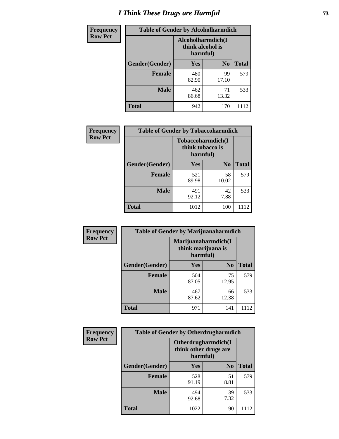# *I Think These Drugs are Harmful* **73**

| <b>Frequency</b> | <b>Table of Gender by Alcoholharmdich</b> |                                                   |                |              |
|------------------|-------------------------------------------|---------------------------------------------------|----------------|--------------|
| <b>Row Pct</b>   |                                           | Alcoholharmdich(I<br>think alcohol is<br>harmful) |                |              |
|                  | Gender(Gender)                            | <b>Yes</b>                                        | N <sub>0</sub> | <b>Total</b> |
|                  | <b>Female</b>                             | 480<br>82.90                                      | 99<br>17.10    | 579          |
|                  | <b>Male</b>                               | 462<br>86.68                                      | 71<br>13.32    | 533          |
|                  | Total                                     | 942                                               | 170            | 1112         |

| Frequency      | <b>Table of Gender by Tobaccoharmdich</b> |                                                   |                |              |
|----------------|-------------------------------------------|---------------------------------------------------|----------------|--------------|
| <b>Row Pct</b> |                                           | Tobaccoharmdich(I<br>think tobacco is<br>harmful) |                |              |
|                | Gender(Gender)                            | Yes                                               | N <sub>0</sub> | <b>Total</b> |
|                | <b>Female</b>                             | 521<br>89.98                                      | 58<br>10.02    | 579          |
|                | <b>Male</b>                               | 491<br>92.12                                      | 42<br>7.88     | 533          |
|                | <b>Total</b>                              | 1012                                              | 100            | 1112         |

| Frequency      | <b>Table of Gender by Marijuanaharmdich</b> |                                                       |                |              |  |
|----------------|---------------------------------------------|-------------------------------------------------------|----------------|--------------|--|
| <b>Row Pct</b> |                                             | Marijuanaharmdich(I<br>think marijuana is<br>harmful) |                |              |  |
|                | Gender(Gender)                              | <b>Yes</b>                                            | N <sub>0</sub> | <b>Total</b> |  |
|                | <b>Female</b>                               | 504<br>87.05                                          | 75<br>12.95    | 579          |  |
|                | <b>Male</b>                                 | 467<br>87.62                                          | 66<br>12.38    | 533          |  |
|                | <b>Total</b>                                | 971                                                   | 141            | 1112         |  |

| Frequency      | <b>Table of Gender by Otherdrugharmdich</b> |                                   |                     |              |  |
|----------------|---------------------------------------------|-----------------------------------|---------------------|--------------|--|
| <b>Row Pct</b> |                                             | think other drugs are<br>harmful) | Otherdrugharmdich(I |              |  |
|                | Gender(Gender)                              | <b>Yes</b>                        | N <sub>0</sub>      | <b>Total</b> |  |
|                | <b>Female</b>                               | 528<br>91.19                      | 51<br>8.81          | 579          |  |
|                | <b>Male</b>                                 | 494<br>92.68                      | 39<br>7.32          | 533          |  |
|                | <b>Total</b>                                | 1022                              | 90                  | 1112         |  |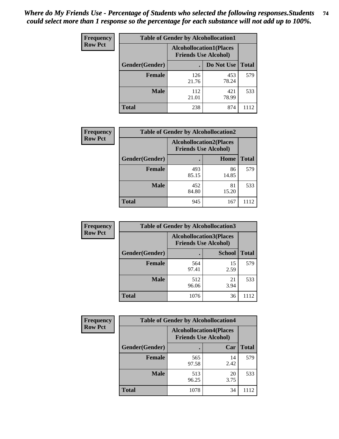| <b>Frequency</b> | <b>Table of Gender by Alcohollocation1</b> |                                                               |              |              |  |
|------------------|--------------------------------------------|---------------------------------------------------------------|--------------|--------------|--|
| <b>Row Pct</b>   |                                            | <b>Alcohollocation1(Places</b><br><b>Friends Use Alcohol)</b> |              |              |  |
|                  | Gender(Gender)                             |                                                               | Do Not Use   | <b>Total</b> |  |
|                  | <b>Female</b>                              | 126<br>21.76                                                  | 453<br>78.24 | 579          |  |
|                  | <b>Male</b>                                | 112<br>21.01                                                  | 421<br>78.99 | 533          |  |
|                  | Total                                      | 238                                                           | 874          | 1112         |  |

| <b>Frequency</b> | <b>Table of Gender by Alcohollocation2</b> |                                |                             |              |
|------------------|--------------------------------------------|--------------------------------|-----------------------------|--------------|
| <b>Row Pct</b>   |                                            | <b>Alcohollocation2(Places</b> | <b>Friends Use Alcohol)</b> |              |
|                  | Gender(Gender)                             |                                | Home                        | <b>Total</b> |
|                  | <b>Female</b>                              | 493<br>85.15                   | 86<br>14.85                 | 579          |
|                  | <b>Male</b>                                | 452<br>84.80                   | 81<br>15.20                 | 533          |
|                  | <b>Total</b>                               | 945                            | 167                         | 1112         |

| <b>Frequency</b> | <b>Table of Gender by Alcohollocation3</b> |              |                                                               |              |
|------------------|--------------------------------------------|--------------|---------------------------------------------------------------|--------------|
| <b>Row Pct</b>   |                                            |              | <b>Alcohollocation3(Places</b><br><b>Friends Use Alcohol)</b> |              |
|                  | Gender(Gender)                             | ٠            | <b>School</b>                                                 | <b>Total</b> |
|                  | <b>Female</b>                              | 564<br>97.41 | 15<br>2.59                                                    | 579          |
|                  | <b>Male</b>                                | 512<br>96.06 | 21<br>3.94                                                    | 533          |
|                  | <b>Total</b>                               | 1076         | 36                                                            | 1112         |

| Frequency      | <b>Table of Gender by Alcohollocation4</b> |                                                               |            |              |
|----------------|--------------------------------------------|---------------------------------------------------------------|------------|--------------|
| <b>Row Pct</b> |                                            | <b>Alcohollocation4(Places</b><br><b>Friends Use Alcohol)</b> |            |              |
|                | Gender(Gender)                             |                                                               | Car        | <b>Total</b> |
|                | <b>Female</b>                              | 565<br>97.58                                                  | 14<br>2.42 | 579          |
|                | <b>Male</b>                                | 513<br>96.25                                                  | 20<br>3.75 | 533          |
|                | <b>Total</b>                               | 1078                                                          | 34         | 1112         |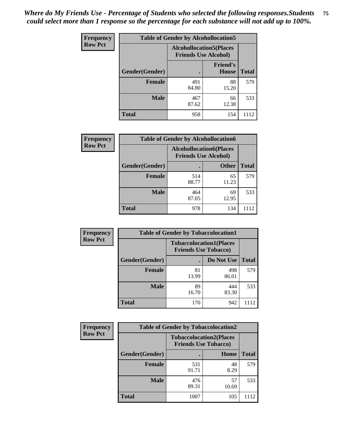| <b>Frequency</b> | <b>Table of Gender by Alcohollocation5</b> |                                                               |                                 |              |
|------------------|--------------------------------------------|---------------------------------------------------------------|---------------------------------|--------------|
| <b>Row Pct</b>   |                                            | <b>Alcohollocation5(Places</b><br><b>Friends Use Alcohol)</b> |                                 |              |
|                  | Gender(Gender)                             |                                                               | <b>Friend's</b><br><b>House</b> | <b>Total</b> |
|                  | <b>Female</b>                              | 491<br>84.80                                                  | 88<br>15.20                     | 579          |
|                  | <b>Male</b>                                | 467<br>87.62                                                  | 66<br>12.38                     | 533          |
|                  | <b>Total</b>                               | 958                                                           | 154                             | 1112         |

| <b>Frequency</b> |                | <b>Table of Gender by Alcohollocation6</b>                    |              |              |
|------------------|----------------|---------------------------------------------------------------|--------------|--------------|
| <b>Row Pct</b>   |                | <b>Alcohollocation6(Places</b><br><b>Friends Use Alcohol)</b> |              |              |
|                  | Gender(Gender) |                                                               | <b>Other</b> | <b>Total</b> |
|                  | <b>Female</b>  | 514<br>88.77                                                  | 65<br>11.23  | 579          |
|                  | <b>Male</b>    | 464<br>87.05                                                  | 69<br>12.95  | 533          |
|                  | <b>Total</b>   | 978                                                           | 134          | 1112         |

| Frequency      | <b>Table of Gender by Tobaccolocation1</b> |                                                               |              |              |
|----------------|--------------------------------------------|---------------------------------------------------------------|--------------|--------------|
| <b>Row Pct</b> |                                            | <b>Tobaccolocation1(Places</b><br><b>Friends Use Tobacco)</b> |              |              |
|                | Gender(Gender)                             |                                                               | Do Not Use   | <b>Total</b> |
|                | Female                                     | 81<br>13.99                                                   | 498<br>86.01 | 579          |
|                | <b>Male</b>                                | 89<br>16.70                                                   | 444<br>83.30 | 533          |
|                | <b>Total</b>                               | 170                                                           | 942          | 1112         |

| <b>Frequency</b> | <b>Table of Gender by Tobaccolocation2</b> |                                                               |             |              |
|------------------|--------------------------------------------|---------------------------------------------------------------|-------------|--------------|
| <b>Row Pct</b>   |                                            | <b>Tobaccolocation2(Places</b><br><b>Friends Use Tobacco)</b> |             |              |
|                  | Gender(Gender)                             |                                                               | Home        | <b>Total</b> |
|                  | Female                                     | 531<br>91.71                                                  | 48<br>8.29  | 579          |
|                  | <b>Male</b>                                | 476<br>89.31                                                  | 57<br>10.69 | 533          |
|                  | <b>Total</b>                               | 1007                                                          | 105         | 1112         |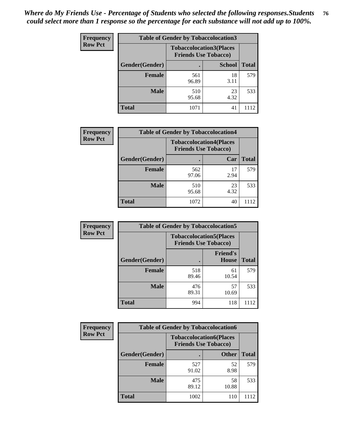| <b>Frequency</b> |                | <b>Table of Gender by Tobaccolocation3</b> |                                                               |              |
|------------------|----------------|--------------------------------------------|---------------------------------------------------------------|--------------|
| <b>Row Pct</b>   |                |                                            | <b>Tobaccolocation3(Places</b><br><b>Friends Use Tobacco)</b> |              |
|                  | Gender(Gender) |                                            | <b>School</b>                                                 | <b>Total</b> |
|                  | <b>Female</b>  | 561<br>96.89                               | 18<br>3.11                                                    | 579          |
|                  | <b>Male</b>    | 510<br>95.68                               | 23<br>4.32                                                    | 533          |
|                  | Total          | 1071                                       | 41                                                            | 1112         |

| <b>Frequency</b> | <b>Table of Gender by Tobaccolocation4</b> |              |                                                               |              |
|------------------|--------------------------------------------|--------------|---------------------------------------------------------------|--------------|
| <b>Row Pct</b>   |                                            |              | <b>Tobaccolocation4(Places</b><br><b>Friends Use Tobacco)</b> |              |
|                  | Gender(Gender)                             |              | Car                                                           | <b>Total</b> |
|                  | <b>Female</b>                              | 562<br>97.06 | 17<br>2.94                                                    | 579          |
|                  | <b>Male</b>                                | 510<br>95.68 | 23<br>4.32                                                    | 533          |
|                  | <b>Total</b>                               | 1072         | 40                                                            |              |

| <b>Frequency</b> | <b>Table of Gender by Tobaccolocation5</b> |                                                               |                                 |              |
|------------------|--------------------------------------------|---------------------------------------------------------------|---------------------------------|--------------|
| <b>Row Pct</b>   |                                            | <b>Tobaccolocation5(Places</b><br><b>Friends Use Tobacco)</b> |                                 |              |
|                  | Gender(Gender)                             |                                                               | <b>Friend's</b><br><b>House</b> | <b>Total</b> |
|                  | <b>Female</b>                              | 518<br>89.46                                                  | 61<br>10.54                     | 579          |
|                  | <b>Male</b>                                | 476<br>89.31                                                  | 57<br>10.69                     | 533          |
|                  | <b>Total</b>                               | 994                                                           | 118                             | 1112         |

| <b>Frequency</b> | <b>Table of Gender by Tobaccolocation6</b> |                                                               |              |              |
|------------------|--------------------------------------------|---------------------------------------------------------------|--------------|--------------|
| <b>Row Pct</b>   |                                            | <b>Tobaccolocation6(Places</b><br><b>Friends Use Tobacco)</b> |              |              |
|                  | Gender(Gender)                             |                                                               | <b>Other</b> | <b>Total</b> |
|                  | Female                                     | 527<br>91.02                                                  | 52<br>8.98   | 579          |
|                  | <b>Male</b>                                | 475<br>89.12                                                  | 58<br>10.88  | 533          |
|                  | <b>Total</b>                               | 1002                                                          | 110          | 1112         |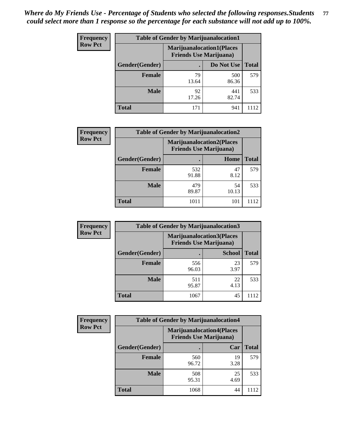| <b>Frequency</b> | <b>Table of Gender by Marijuanalocation1</b> |                                |                                  |              |  |
|------------------|----------------------------------------------|--------------------------------|----------------------------------|--------------|--|
| <b>Row Pct</b>   |                                              | <b>Friends Use Marijuana</b> ) | <b>Marijuanalocation1(Places</b> |              |  |
|                  | <b>Gender</b> (Gender)                       |                                | Do Not Use                       | <b>Total</b> |  |
|                  | <b>Female</b>                                | 79<br>13.64                    | 500<br>86.36                     | 579          |  |
|                  | <b>Male</b>                                  | 92<br>17.26                    | 441<br>82.74                     | 533          |  |
|                  | <b>Total</b>                                 | 171                            | 941                              | 1112         |  |

| <b>Frequency</b> | <b>Table of Gender by Marijuanalocation2</b> |                                                                    |             |              |
|------------------|----------------------------------------------|--------------------------------------------------------------------|-------------|--------------|
| <b>Row Pct</b>   |                                              | <b>Marijuanalocation2(Places</b><br><b>Friends Use Marijuana</b> ) |             |              |
|                  | Gender(Gender)                               |                                                                    | Home        | <b>Total</b> |
|                  | <b>Female</b>                                | 532<br>91.88                                                       | 47<br>8.12  | 579          |
|                  | <b>Male</b>                                  | 479<br>89.87                                                       | 54<br>10.13 | 533          |
|                  | <b>Total</b>                                 | 1011                                                               | 101         | 1112         |

| Frequency      |                | <b>Table of Gender by Marijuanalocation3</b>                       |               |              |
|----------------|----------------|--------------------------------------------------------------------|---------------|--------------|
| <b>Row Pct</b> |                | <b>Marijuanalocation3(Places</b><br><b>Friends Use Marijuana</b> ) |               |              |
|                | Gender(Gender) |                                                                    | <b>School</b> | <b>Total</b> |
|                | Female         | 556<br>96.03                                                       | 23<br>3.97    | 579          |
|                | <b>Male</b>    | 511<br>95.87                                                       | 22<br>4.13    | 533          |
|                | <b>Total</b>   | 1067                                                               | 45            | 1112         |

| <b>Frequency</b> | <b>Table of Gender by Marijuanalocation4</b> |                                |                                  |              |  |
|------------------|----------------------------------------------|--------------------------------|----------------------------------|--------------|--|
| <b>Row Pct</b>   |                                              | <b>Friends Use Marijuana</b> ) | <b>Marijuanalocation4(Places</b> |              |  |
|                  | Gender(Gender)                               |                                | Car                              | <b>Total</b> |  |
|                  | <b>Female</b>                                | 560<br>96.72                   | 19<br>3.28                       | 579          |  |
|                  | <b>Male</b>                                  | 508<br>95.31                   | 25<br>4.69                       | 533          |  |
|                  | <b>Total</b>                                 | 1068                           | 44                               |              |  |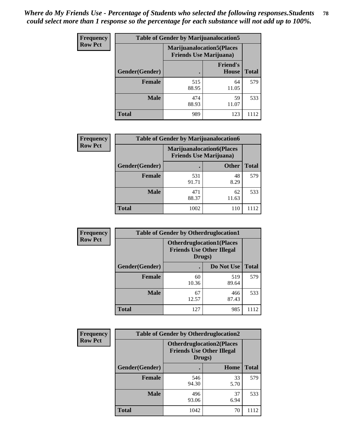| <b>Frequency</b> | <b>Table of Gender by Marijuanalocation5</b> |                                                                    |                          |              |
|------------------|----------------------------------------------|--------------------------------------------------------------------|--------------------------|--------------|
| <b>Row Pct</b>   |                                              | <b>Marijuanalocation5(Places</b><br><b>Friends Use Marijuana</b> ) |                          |              |
|                  | Gender(Gender)                               |                                                                    | <b>Friend's</b><br>House | <b>Total</b> |
|                  | Female                                       | 515<br>88.95                                                       | 64<br>11.05              | 579          |
|                  | <b>Male</b>                                  | 474<br>88.93                                                       | 59<br>11.07              | 533          |
|                  | <b>Total</b>                                 | 989                                                                | 123                      | 1112         |

| <b>Frequency</b> | <b>Table of Gender by Marijuanalocation6</b> |                                                                     |              |              |
|------------------|----------------------------------------------|---------------------------------------------------------------------|--------------|--------------|
| <b>Row Pct</b>   |                                              | <b>Marijuanalocation6(Places)</b><br><b>Friends Use Marijuana</b> ) |              |              |
|                  | Gender(Gender)                               |                                                                     | <b>Other</b> | <b>Total</b> |
|                  | Female                                       | 531<br>91.71                                                        | 48<br>8.29   | 579          |
|                  | <b>Male</b>                                  | 471<br>88.37                                                        | 62<br>11.63  | 533          |
|                  | <b>Total</b>                                 | 1002                                                                | 110          | 1112         |

| <b>Frequency</b> | <b>Table of Gender by Otherdruglocation1</b> |             |                                                                                |              |
|------------------|----------------------------------------------|-------------|--------------------------------------------------------------------------------|--------------|
| <b>Row Pct</b>   |                                              |             | <b>Otherdruglocation1(Places</b><br><b>Friends Use Other Illegal</b><br>Drugs) |              |
|                  | Gender(Gender)                               |             | Do Not Use                                                                     | <b>Total</b> |
|                  | <b>Female</b>                                | 60<br>10.36 | 519<br>89.64                                                                   | 579          |
|                  | <b>Male</b>                                  | 67<br>12.57 | 466<br>87.43                                                                   | 533          |
|                  | <b>Total</b>                                 | 127         | 985                                                                            | 1112         |

| Frequency      | <b>Table of Gender by Otherdruglocation2</b> |                                                                                |            |              |
|----------------|----------------------------------------------|--------------------------------------------------------------------------------|------------|--------------|
| <b>Row Pct</b> |                                              | <b>Otherdruglocation2(Places</b><br><b>Friends Use Other Illegal</b><br>Drugs) |            |              |
|                | Gender(Gender)                               |                                                                                | Home       | <b>Total</b> |
|                | <b>Female</b>                                | 546<br>94.30                                                                   | 33<br>5.70 | 579          |
|                | <b>Male</b>                                  | 496<br>93.06                                                                   | 37<br>6.94 | 533          |
|                | <b>Total</b>                                 | 1042                                                                           | 70         | 1112         |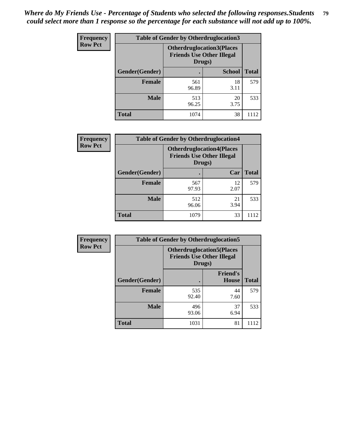| Frequency      | <b>Table of Gender by Otherdruglocation3</b> |                                                                                |               |              |
|----------------|----------------------------------------------|--------------------------------------------------------------------------------|---------------|--------------|
| <b>Row Pct</b> |                                              | <b>Otherdruglocation3(Places</b><br><b>Friends Use Other Illegal</b><br>Drugs) |               |              |
|                | Gender(Gender)                               |                                                                                | <b>School</b> | <b>Total</b> |
|                | <b>Female</b>                                | 561<br>96.89                                                                   | 18<br>3.11    | 579          |
|                | <b>Male</b>                                  | 513<br>96.25                                                                   | 20<br>3.75    | 533          |
|                | <b>Total</b>                                 | 1074                                                                           | 38            | 1112         |

| Frequency      | <b>Table of Gender by Otherdruglocation4</b> |                                                                                |            |              |
|----------------|----------------------------------------------|--------------------------------------------------------------------------------|------------|--------------|
| <b>Row Pct</b> |                                              | <b>Otherdruglocation4(Places</b><br><b>Friends Use Other Illegal</b><br>Drugs) |            |              |
|                | Gender(Gender)                               |                                                                                | Car        | <b>Total</b> |
|                | <b>Female</b>                                | 567<br>97.93                                                                   | 12<br>2.07 | 579          |
|                | <b>Male</b>                                  | 512<br>96.06                                                                   | 21<br>3.94 | 533          |
|                | <b>Total</b>                                 | 1079                                                                           | 33         | 1112         |

| Frequency      | <b>Table of Gender by Otherdruglocation5</b> |                                                                                |                                 |              |
|----------------|----------------------------------------------|--------------------------------------------------------------------------------|---------------------------------|--------------|
| <b>Row Pct</b> |                                              | <b>Otherdruglocation5(Places</b><br><b>Friends Use Other Illegal</b><br>Drugs) |                                 |              |
|                | Gender(Gender)                               |                                                                                | <b>Friend's</b><br><b>House</b> | <b>Total</b> |
|                | <b>Female</b>                                | 535<br>92.40                                                                   | 44<br>7.60                      | 579          |
|                | <b>Male</b>                                  | 496<br>93.06                                                                   | 37<br>6.94                      | 533          |
|                | <b>Total</b>                                 | 1031                                                                           | 81                              | 1112         |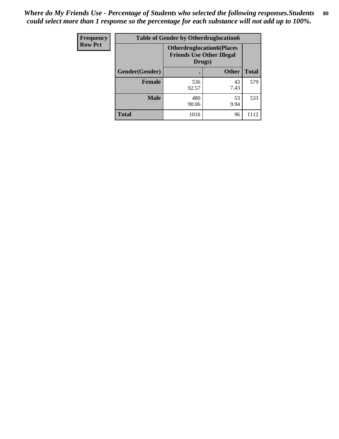| Frequency      | <b>Table of Gender by Otherdruglocation6</b> |                                                                                |              |              |
|----------------|----------------------------------------------|--------------------------------------------------------------------------------|--------------|--------------|
| <b>Row Pct</b> |                                              | <b>Otherdruglocation6(Places</b><br><b>Friends Use Other Illegal</b><br>Drugs) |              |              |
|                | Gender(Gender)                               |                                                                                | <b>Other</b> | <b>Total</b> |
|                | <b>Female</b>                                | 536<br>92.57                                                                   | 43<br>7.43   | 579          |
|                | <b>Male</b>                                  | 480<br>90.06                                                                   | 53<br>9.94   | 533          |
|                | <b>Total</b>                                 | 1016                                                                           | 96           | 1112         |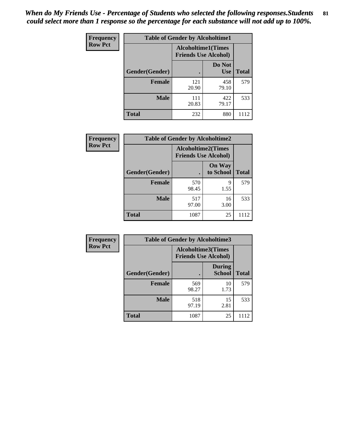| <b>Frequency</b> | <b>Table of Gender by Alcoholtime1</b> |                                                          |                      |              |
|------------------|----------------------------------------|----------------------------------------------------------|----------------------|--------------|
| <b>Row Pct</b>   |                                        | <b>Alcoholtime1(Times</b><br><b>Friends Use Alcohol)</b> |                      |              |
|                  | <b>Gender</b> (Gender)                 |                                                          | Do Not<br><b>Use</b> | <b>Total</b> |
|                  | <b>Female</b>                          | 121<br>20.90                                             | 458<br>79.10         | 579          |
|                  | <b>Male</b>                            | 111<br>20.83                                             | 422<br>79.17         | 533          |
|                  | <b>Total</b>                           | 232                                                      | 880                  | 1112         |

| Frequency      | <b>Table of Gender by Alcoholtime2</b> |                                                          |                            |              |
|----------------|----------------------------------------|----------------------------------------------------------|----------------------------|--------------|
| <b>Row Pct</b> |                                        | <b>Alcoholtime2(Times</b><br><b>Friends Use Alcohol)</b> |                            |              |
|                | Gender(Gender)                         |                                                          | <b>On Way</b><br>to School | <b>Total</b> |
|                | Female                                 | 570<br>98.45                                             | 9<br>1.55                  | 579          |
|                | <b>Male</b>                            | 517<br>97.00                                             | 16<br>3.00                 | 533          |
|                | <b>Total</b>                           | 1087                                                     | 25                         | 1112         |

| Frequency      | <b>Table of Gender by Alcoholtime3</b> |                                                   |                                |              |
|----------------|----------------------------------------|---------------------------------------------------|--------------------------------|--------------|
| <b>Row Pct</b> |                                        | Alcoholtime3(Times<br><b>Friends Use Alcohol)</b> |                                |              |
|                | Gender(Gender)                         |                                                   | <b>During</b><br><b>School</b> | <b>Total</b> |
|                | <b>Female</b>                          | 569<br>98.27                                      | 10<br>1.73                     | 579          |
|                | <b>Male</b>                            | 518<br>97.19                                      | 15<br>2.81                     | 533          |
|                | <b>Total</b>                           | 1087                                              | 25                             | 1112         |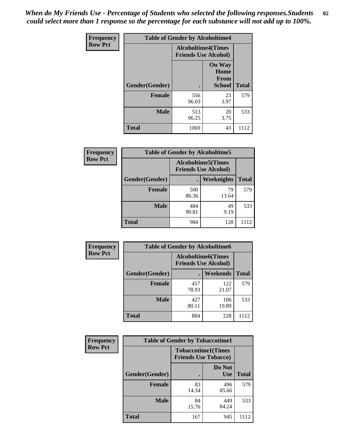*When do My Friends Use - Percentage of Students who selected the following responses.Students could select more than 1 response so the percentage for each substance will not add up to 100%.* **82**

| Frequency      | <b>Table of Gender by Alcoholtime4</b> |                                                          |                                                |              |
|----------------|----------------------------------------|----------------------------------------------------------|------------------------------------------------|--------------|
| <b>Row Pct</b> |                                        | <b>Alcoholtime4(Times</b><br><b>Friends Use Alcohol)</b> |                                                |              |
|                | Gender(Gender)                         |                                                          | <b>On Way</b><br>Home<br><b>From</b><br>School | <b>Total</b> |
|                | <b>Female</b>                          | 556<br>96.03                                             | 23<br>3.97                                     | 579          |
|                | <b>Male</b>                            | 513<br>96.25                                             | 20<br>3.75                                     | 533          |
|                | <b>Total</b>                           | 1069                                                     | 43                                             | 1112         |

| <b>Frequency</b> | <b>Table of Gender by Alcoholtime5</b> |              |                                                           |              |
|------------------|----------------------------------------|--------------|-----------------------------------------------------------|--------------|
| <b>Row Pct</b>   |                                        |              | <b>Alcoholtime5</b> (Times<br><b>Friends Use Alcohol)</b> |              |
|                  | Gender(Gender)                         |              | Weeknights                                                | <b>Total</b> |
|                  | <b>Female</b>                          | 500<br>86.36 | 79<br>13.64                                               | 579          |
|                  | <b>Male</b>                            | 484<br>90.81 | 49<br>9.19                                                | 533          |
|                  | <b>Total</b>                           | 984          | 128                                                       | 1112         |

| <b>Frequency</b> | <b>Table of Gender by Alcoholtime6</b> |              |                                                           |              |
|------------------|----------------------------------------|--------------|-----------------------------------------------------------|--------------|
| <b>Row Pct</b>   |                                        |              | <b>Alcoholtime6</b> (Times<br><b>Friends Use Alcohol)</b> |              |
|                  | Gender(Gender)                         |              | Weekends                                                  | <b>Total</b> |
|                  | <b>Female</b>                          | 457<br>78.93 | 122<br>21.07                                              | 579          |
|                  | <b>Male</b>                            | 427<br>80.11 | 106<br>19.89                                              | 533          |
|                  | <b>Total</b>                           | 884          | 228                                                       | 1112         |

| Frequency      | <b>Table of Gender by Tobaccotime1</b> |                                                          |                      |              |
|----------------|----------------------------------------|----------------------------------------------------------|----------------------|--------------|
| <b>Row Pct</b> |                                        | <b>Tobaccotime1(Times</b><br><b>Friends Use Tobacco)</b> |                      |              |
|                | Gender(Gender)                         |                                                          | Do Not<br><b>Use</b> | <b>Total</b> |
|                | Female                                 | 83<br>14.34                                              | 496<br>85.66         | 579          |
|                | <b>Male</b>                            | 84<br>15.76                                              | 449<br>84.24         | 533          |
|                | <b>Total</b>                           | 167                                                      | 945                  | 1112         |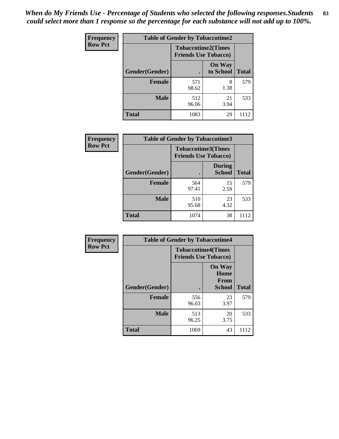| <b>Frequency</b> | <b>Table of Gender by Tobaccotime2</b> |                             |                            |              |
|------------------|----------------------------------------|-----------------------------|----------------------------|--------------|
| <b>Row Pct</b>   |                                        | <b>Friends Use Tobacco)</b> | <b>Tobaccotime2(Times</b>  |              |
|                  | Gender(Gender)                         |                             | <b>On Way</b><br>to School | <b>Total</b> |
|                  | <b>Female</b>                          | 571<br>98.62                | 8<br>1.38                  | 579          |
|                  | <b>Male</b>                            | 512<br>96.06                | 21<br>3.94                 | 533          |
|                  | <b>Total</b>                           | 1083                        | 29                         | 1112         |

| Frequency      | <b>Table of Gender by Tobaccotime3</b> |                                                          |                                |              |
|----------------|----------------------------------------|----------------------------------------------------------|--------------------------------|--------------|
| <b>Row Pct</b> |                                        | <b>Tobaccotime3(Times</b><br><b>Friends Use Tobacco)</b> |                                |              |
|                | Gender(Gender)                         |                                                          | <b>During</b><br><b>School</b> | <b>Total</b> |
|                | Female                                 | 564<br>97.41                                             | 15<br>2.59                     | 579          |
|                | <b>Male</b>                            | 510<br>95.68                                             | 23<br>4.32                     | 533          |
|                | <b>Total</b>                           | 1074                                                     | 38                             | 1112         |

| <b>Frequency</b> | <b>Table of Gender by Tobaccotime4</b> |                                                          |                                                       |              |
|------------------|----------------------------------------|----------------------------------------------------------|-------------------------------------------------------|--------------|
| <b>Row Pct</b>   |                                        | <b>Tobaccotime4(Times</b><br><b>Friends Use Tobacco)</b> |                                                       |              |
|                  | Gender(Gender)                         |                                                          | <b>On Way</b><br>Home<br><b>From</b><br><b>School</b> | <b>Total</b> |
|                  | <b>Female</b>                          | 556<br>96.03                                             | 23<br>3.97                                            | 579          |
|                  | <b>Male</b>                            | 513<br>96.25                                             | 20<br>3.75                                            | 533          |
|                  | <b>Total</b>                           | 1069                                                     | 43                                                    | 1112         |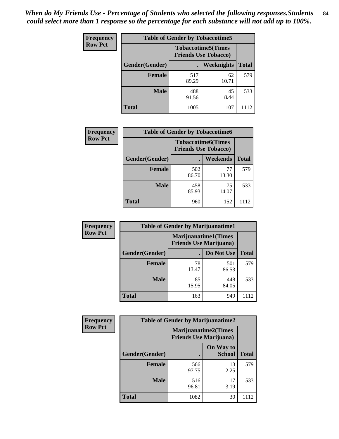| <b>Frequency</b> | <b>Table of Gender by Tobaccotime5</b> |                                                          |                   |              |  |
|------------------|----------------------------------------|----------------------------------------------------------|-------------------|--------------|--|
| <b>Row Pct</b>   |                                        | <b>Tobaccotime5(Times</b><br><b>Friends Use Tobacco)</b> |                   |              |  |
|                  | <b>Gender</b> (Gender)                 |                                                          | <b>Weeknights</b> | <b>Total</b> |  |
|                  | Female                                 | 517<br>89.29                                             | 62<br>10.71       | 579          |  |
|                  | <b>Male</b>                            | 488<br>91.56                                             | 45<br>8.44        | 533          |  |
|                  | Total                                  | 1005                                                     | 107               | 1112         |  |

| <b>Frequency</b> |                | <b>Table of Gender by Tobaccotime6</b>                   |                 |              |
|------------------|----------------|----------------------------------------------------------|-----------------|--------------|
| <b>Row Pct</b>   |                | <b>Tobaccotime6(Times</b><br><b>Friends Use Tobacco)</b> |                 |              |
|                  | Gender(Gender) |                                                          | <b>Weekends</b> | <b>Total</b> |
|                  | Female         | 502<br>86.70                                             | 77<br>13.30     | 579          |
|                  | <b>Male</b>    | 458<br>85.93                                             | 75<br>14.07     | 533          |
|                  | <b>Total</b>   | 960                                                      | 152             | 1112         |

| Frequency      | <b>Table of Gender by Marijuanatime1</b> |             |                                                                |              |  |
|----------------|------------------------------------------|-------------|----------------------------------------------------------------|--------------|--|
| <b>Row Pct</b> |                                          |             | <b>Marijuanatime1</b> (Times<br><b>Friends Use Marijuana</b> ) |              |  |
|                | Gender(Gender)                           |             | Do Not Use                                                     | <b>Total</b> |  |
|                | <b>Female</b>                            | 78<br>13.47 | 501<br>86.53                                                   | 579          |  |
|                | <b>Male</b>                              | 85<br>15.95 | 448<br>84.05                                                   | 533          |  |
|                | <b>Total</b>                             | 163         | 949                                                            | 1112         |  |

| <b>Frequency</b> | <b>Table of Gender by Marijuanatime2</b> |                                                               |                            |              |
|------------------|------------------------------------------|---------------------------------------------------------------|----------------------------|--------------|
| <b>Row Pct</b>   |                                          | <b>Marijuanatime2(Times</b><br><b>Friends Use Marijuana</b> ) |                            |              |
|                  | Gender(Gender)                           |                                                               | On Way to<br><b>School</b> | <b>Total</b> |
|                  | <b>Female</b>                            | 566<br>97.75                                                  | 13<br>2.25                 | 579          |
|                  | <b>Male</b>                              | 516<br>96.81                                                  | 17<br>3.19                 | 533          |
|                  | <b>Total</b>                             | 1082                                                          | 30                         | 1112         |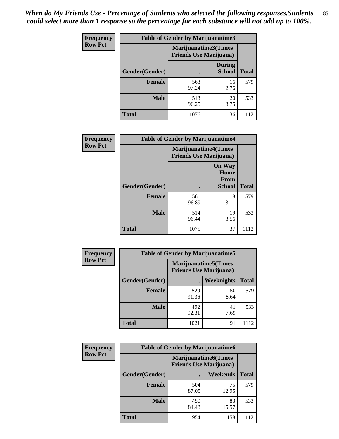*When do My Friends Use - Percentage of Students who selected the following responses.Students could select more than 1 response so the percentage for each substance will not add up to 100%.* **85**

| <b>Frequency</b> | <b>Table of Gender by Marijuanatime3</b> |                                                        |                                |              |
|------------------|------------------------------------------|--------------------------------------------------------|--------------------------------|--------------|
| <b>Row Pct</b>   |                                          | Marijuanatime3(Times<br><b>Friends Use Marijuana</b> ) |                                |              |
|                  | Gender(Gender)                           |                                                        | <b>During</b><br><b>School</b> | <b>Total</b> |
|                  | <b>Female</b>                            | 563<br>97.24                                           | 16<br>2.76                     | 579          |
|                  | <b>Male</b>                              | 513<br>96.25                                           | 20<br>3.75                     | 533          |
|                  | <b>Total</b>                             | 1076                                                   | 36                             | 1112         |

| Frequency      | <b>Table of Gender by Marijuanatime4</b> |                                                               |                                                |              |
|----------------|------------------------------------------|---------------------------------------------------------------|------------------------------------------------|--------------|
| <b>Row Pct</b> |                                          | <b>Marijuanatime4(Times</b><br><b>Friends Use Marijuana</b> ) |                                                |              |
|                | Gender(Gender)                           |                                                               | <b>On Way</b><br>Home<br>From<br><b>School</b> | <b>Total</b> |
|                | <b>Female</b>                            | 561<br>96.89                                                  | 18<br>3.11                                     | 579          |
|                | <b>Male</b>                              | 514<br>96.44                                                  | 19<br>3.56                                     | 533          |
|                | <b>Total</b>                             | 1075                                                          | 37                                             | 1112         |

| <b>Frequency</b> | <b>Table of Gender by Marijuanatime5</b> |              |                                                                |              |  |
|------------------|------------------------------------------|--------------|----------------------------------------------------------------|--------------|--|
| <b>Row Pct</b>   |                                          |              | <b>Marijuanatime5</b> (Times<br><b>Friends Use Marijuana</b> ) |              |  |
|                  | Gender(Gender)                           |              | Weeknights                                                     | <b>Total</b> |  |
|                  | Female                                   | 529<br>91.36 | 50<br>8.64                                                     | 579          |  |
|                  | <b>Male</b>                              | 492<br>92.31 | 41<br>7.69                                                     | 533          |  |
|                  | <b>Total</b>                             | 1021         | 91                                                             | 1112         |  |

| Frequency      | <b>Table of Gender by Marijuanatime6</b> |                                                               |                 |              |
|----------------|------------------------------------------|---------------------------------------------------------------|-----------------|--------------|
| <b>Row Pct</b> |                                          | <b>Marijuanatime6(Times</b><br><b>Friends Use Marijuana</b> ) |                 |              |
|                | Gender(Gender)                           |                                                               | <b>Weekends</b> | <b>Total</b> |
|                | <b>Female</b>                            | 504<br>87.05                                                  | 75<br>12.95     | 579          |
|                | <b>Male</b>                              | 450<br>84.43                                                  | 83<br>15.57     | 533          |
|                | <b>Total</b>                             | 954                                                           | 158             | 1112         |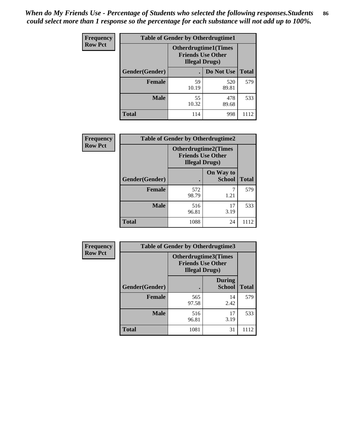| <b>Frequency</b> | <b>Table of Gender by Otherdrugtime1</b> |                                                                                   |                    |      |  |
|------------------|------------------------------------------|-----------------------------------------------------------------------------------|--------------------|------|--|
| <b>Row Pct</b>   |                                          | <b>Otherdrugtime1(Times</b><br><b>Friends Use Other</b><br><b>Illegal Drugs</b> ) |                    |      |  |
|                  | Gender(Gender)                           |                                                                                   | Do Not Use   Total |      |  |
|                  | <b>Female</b>                            | 59<br>10.19                                                                       | 520<br>89.81       | 579  |  |
|                  | <b>Male</b>                              | 55<br>10.32                                                                       | 478<br>89.68       | 533  |  |
|                  | <b>Total</b>                             | 114                                                                               | 998                | 1112 |  |

| Frequency      | <b>Table of Gender by Otherdrugtime2</b> |                                                                                   |                            |              |
|----------------|------------------------------------------|-----------------------------------------------------------------------------------|----------------------------|--------------|
| <b>Row Pct</b> |                                          | <b>Otherdrugtime2(Times</b><br><b>Friends Use Other</b><br><b>Illegal Drugs</b> ) |                            |              |
|                | Gender(Gender)                           |                                                                                   | On Way to<br><b>School</b> | <b>Total</b> |
|                | <b>Female</b>                            | 572<br>98.79                                                                      | 1.21                       | 579          |
|                | <b>Male</b>                              | 516<br>96.81                                                                      | 17<br>3.19                 | 533          |
|                | <b>Total</b>                             | 1088                                                                              | 24                         | 1112         |

| Frequency      | <b>Table of Gender by Otherdrugtime3</b> |                        |                                                  |              |  |
|----------------|------------------------------------------|------------------------|--------------------------------------------------|--------------|--|
| <b>Row Pct</b> |                                          | <b>Illegal Drugs</b> ) | Otherdrugtime3(Times<br><b>Friends Use Other</b> |              |  |
|                | Gender(Gender)                           |                        | <b>During</b><br><b>School</b>                   | <b>Total</b> |  |
|                | <b>Female</b>                            | 565<br>97.58           | 14<br>2.42                                       | 579          |  |
|                | <b>Male</b>                              | 516<br>96.81           | 17<br>3.19                                       | 533          |  |
|                | <b>Total</b>                             | 1081                   | 31                                               | 1112         |  |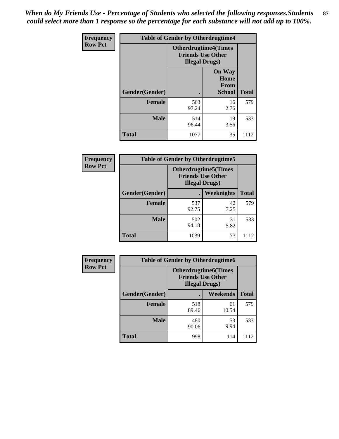*When do My Friends Use - Percentage of Students who selected the following responses.Students could select more than 1 response so the percentage for each substance will not add up to 100%.* **87**

| Frequency      |                |                                                                                   | <b>Table of Gender by Otherdrugtime4</b>              |              |  |
|----------------|----------------|-----------------------------------------------------------------------------------|-------------------------------------------------------|--------------|--|
| <b>Row Pct</b> |                | <b>Otherdrugtime4(Times</b><br><b>Friends Use Other</b><br><b>Illegal Drugs</b> ) |                                                       |              |  |
|                | Gender(Gender) |                                                                                   | <b>On Way</b><br>Home<br><b>From</b><br><b>School</b> | <b>Total</b> |  |
|                | <b>Female</b>  | 563<br>97.24                                                                      | 16<br>2.76                                            | 579          |  |
|                | <b>Male</b>    | 514<br>96.44                                                                      | 19<br>3.56                                            | 533          |  |
|                | <b>Total</b>   | 1077                                                                              | 35                                                    | 1112         |  |

| <b>Frequency</b> | <b>Table of Gender by Otherdrugtime5</b> |                                                                                    |                   |              |  |
|------------------|------------------------------------------|------------------------------------------------------------------------------------|-------------------|--------------|--|
| <b>Row Pct</b>   |                                          | <b>Otherdrugtime5</b> (Times<br><b>Friends Use Other</b><br><b>Illegal Drugs</b> ) |                   |              |  |
|                  | Gender(Gender)                           |                                                                                    | <b>Weeknights</b> | <b>Total</b> |  |
|                  | <b>Female</b>                            | 537<br>92.75                                                                       | 42<br>7.25        | 579          |  |
|                  | <b>Male</b>                              | 502<br>94.18                                                                       | 31<br>5.82        | 533          |  |
|                  | <b>Total</b>                             | 1039                                                                               | 73                | 1112         |  |

| <b>Frequency</b> | <b>Table of Gender by Otherdrugtime6</b> |                                                                                   |             |              |  |
|------------------|------------------------------------------|-----------------------------------------------------------------------------------|-------------|--------------|--|
| <b>Row Pct</b>   |                                          | <b>Otherdrugtime6(Times</b><br><b>Friends Use Other</b><br><b>Illegal Drugs</b> ) |             |              |  |
|                  | Gender(Gender)                           |                                                                                   | Weekends    | <b>Total</b> |  |
|                  | <b>Female</b>                            | 518<br>89.46                                                                      | 61<br>10.54 | 579          |  |
|                  | <b>Male</b>                              | 480<br>90.06                                                                      | 53<br>9.94  | 533          |  |
|                  | <b>Total</b>                             | 998                                                                               | 114         | 1112         |  |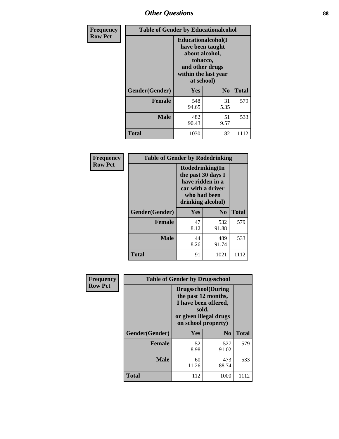# *Other Questions* **88**

| <b>Frequency</b> | <b>Table of Gender by Educationalcohol</b> |                                                                                                                                       |                |              |  |
|------------------|--------------------------------------------|---------------------------------------------------------------------------------------------------------------------------------------|----------------|--------------|--|
| <b>Row Pct</b>   |                                            | <b>Educationalcohol</b> (I<br>have been taught<br>about alcohol,<br>tobacco,<br>and other drugs<br>within the last year<br>at school) |                |              |  |
|                  | Gender(Gender)                             | <b>Yes</b>                                                                                                                            | N <sub>0</sub> | <b>Total</b> |  |
|                  | <b>Female</b>                              | 548<br>94.65                                                                                                                          | 31<br>5.35     | 579          |  |
|                  | <b>Male</b>                                | 482<br>90.43                                                                                                                          | 51<br>9.57     | 533          |  |
|                  | <b>Total</b>                               | 1030                                                                                                                                  | 82             | 1112         |  |

| Frequency      | <b>Table of Gender by Rodedrinking</b> |                                                                                                                     |                |              |
|----------------|----------------------------------------|---------------------------------------------------------------------------------------------------------------------|----------------|--------------|
| <b>Row Pct</b> |                                        | Rodedrinking(In<br>the past 30 days I<br>have ridden in a<br>car with a driver<br>who had been<br>drinking alcohol) |                |              |
|                | Gender(Gender)                         | Yes                                                                                                                 | N <sub>0</sub> | <b>Total</b> |
|                | <b>Female</b>                          | 47<br>8.12                                                                                                          | 532<br>91.88   | 579          |
|                | <b>Male</b>                            | 44<br>8.26                                                                                                          | 489<br>91.74   | 533          |
|                | <b>Total</b>                           | 91                                                                                                                  | 1021           | 1112         |

| Frequency      | <b>Table of Gender by Drugsschool</b> |                                                                                                                                     |                |              |
|----------------|---------------------------------------|-------------------------------------------------------------------------------------------------------------------------------------|----------------|--------------|
| <b>Row Pct</b> |                                       | <b>Drugsschool</b> (During<br>the past 12 months,<br>I have been offered,<br>sold,<br>or given illegal drugs<br>on school property) |                |              |
|                | Gender(Gender)                        | Yes                                                                                                                                 | N <sub>0</sub> | <b>Total</b> |
|                | <b>Female</b>                         | 52<br>8.98                                                                                                                          | 527<br>91.02   | 579          |
|                | <b>Male</b>                           | 60<br>11.26                                                                                                                         | 473<br>88.74   | 533          |
|                | <b>Total</b>                          | 112                                                                                                                                 | 1000           | 1112         |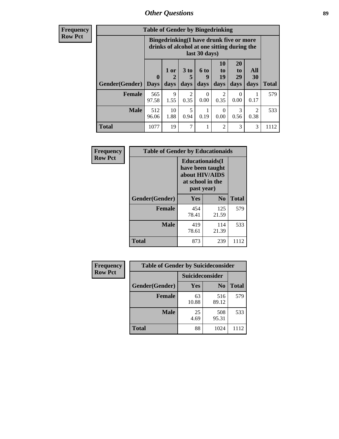# *Other Questions* **89**

**Frequency Row Pct**

| <b>Table of Gender by Bingedrinking</b> |                                                                                                         |              |                        |                   |                        |                               |                        |              |
|-----------------------------------------|---------------------------------------------------------------------------------------------------------|--------------|------------------------|-------------------|------------------------|-------------------------------|------------------------|--------------|
|                                         | Bingedrinking(I have drunk five or more<br>drinks of alcohol at one sitting during the<br>last 30 days) |              |                        |                   |                        |                               |                        |              |
| <b>Gender</b> (Gender)                  | $\bf{0}$<br><b>Days</b>                                                                                 | 1 or<br>days | 3 to<br>5<br>days      | 6 to<br>9<br>days | 10<br>to<br>19<br>days | <b>20</b><br>to<br>29<br>days | All<br>30<br>days      | <b>Total</b> |
| <b>Female</b>                           | 565<br>97.58                                                                                            | 9<br>1.55    | $\overline{2}$<br>0.35 | ∩<br>0.00         | $\mathfrak{D}$<br>0.35 | $\Omega$<br>0.00              | 0.17                   | 579          |
| <b>Male</b>                             | 512<br>96.06                                                                                            | 10<br>1.88   | 5<br>0.94              | 0.19              | $\Omega$<br>0.00       | 3<br>0.56                     | $\mathfrak{D}$<br>0.38 | 533          |
| <b>Total</b>                            | 1077                                                                                                    | 19           | $\overline{7}$         |                   | $\overline{2}$         | 3                             | 3                      | 1112         |

| Frequency      | <b>Table of Gender by Educationaids</b> |                                                                                                 |                |              |
|----------------|-----------------------------------------|-------------------------------------------------------------------------------------------------|----------------|--------------|
| <b>Row Pct</b> |                                         | <b>Educationaids</b> (I<br>have been taught<br>about HIV/AIDS<br>at school in the<br>past year) |                |              |
|                | Gender(Gender)                          | Yes                                                                                             | N <sub>0</sub> | <b>Total</b> |
|                | <b>Female</b>                           | 454<br>78.41                                                                                    | 125<br>21.59   | 579          |
|                | <b>Male</b>                             | 419<br>78.61                                                                                    | 114<br>21.39   | 533          |
|                | <b>Total</b>                            | 873                                                                                             | 239            | 1112         |

| <b>Frequency</b> | <b>Table of Gender by Suicideconsider</b> |                 |                |              |
|------------------|-------------------------------------------|-----------------|----------------|--------------|
| <b>Row Pct</b>   |                                           | Suicideconsider |                |              |
|                  | Gender(Gender)                            | Yes             | N <sub>0</sub> | <b>Total</b> |
|                  | <b>Female</b>                             | 63<br>10.88     | 516<br>89.12   | 579          |
|                  | <b>Male</b>                               | 25<br>4.69      | 508<br>95.31   | 533          |
|                  | <b>Total</b>                              | 88              | 1024           | 1112         |